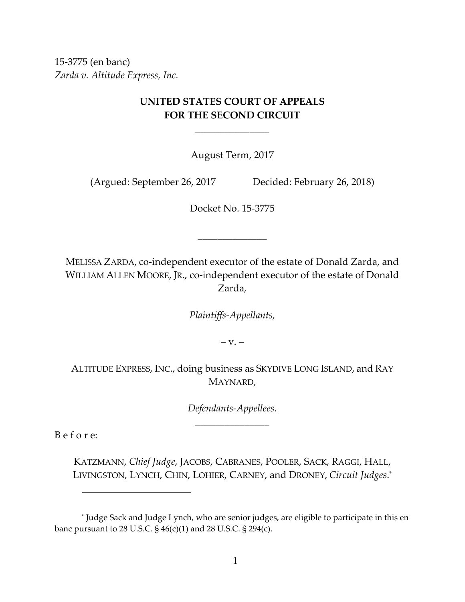15‐3775 (en banc) *Zarda v. Altitude Express, Inc.*

# **UNITED STATES COURT OF APPEALS FOR THE SECOND CIRCUIT**

\_\_\_\_\_\_\_\_\_\_\_\_\_\_\_

August Term, 2017

(Argued: September 26, 2017 Decided: February 26, 2018)

Docket No. 15‐3775

\_\_\_\_\_\_\_\_\_\_\_\_\_\_

MELISSA ZARDA, co‐independent executor of the estate of Donald Zarda, and WILLIAM ALLEN MOORE, JR., co-independent executor of the estate of Donald Zarda*,*

*Plaintiffs‐Appellants,*

 $-V. -$ 

ALTITUDE EXPRESS, INC., doing business as SKYDIVE LONG ISLAND, and RAY MAYNARD,

> *Defendants‐Appellees*. \_\_\_\_\_\_\_\_\_\_\_\_\_\_\_

B e f o r e:

KATZMANN, *Chief Judge*, JACOBS, CABRANES, POOLER, SACK, RAGGI, HALL, LIVINGSTON, LYNCH, CHIN, LOHIER, CARNEY, and DRONEY, *Circuit Judges*. \*

<sup>\*</sup> Judge Sack and Judge Lynch, who are senior judges, are eligible to participate in this en banc pursuant to 28 U.S.C. § 46(c)(1) and 28 U.S.C. § 294(c).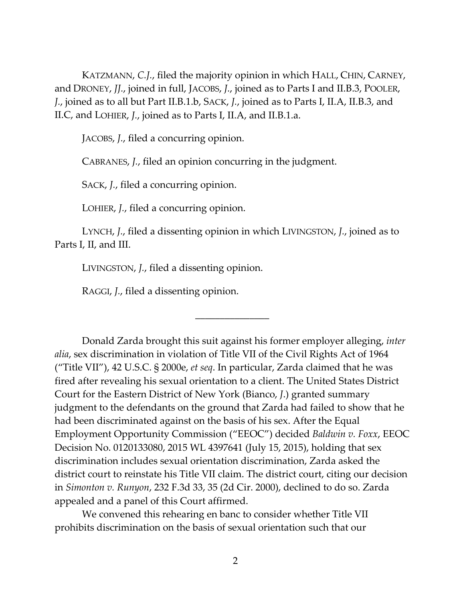KATZMANN, *C.J.*, filed the majority opinion in which HALL, CHIN, CARNEY, and DRONEY, *JJ.*, joined in full, JACOBS, *J.*, joined as to Parts I and II.B.3, POOLER, *J.*, joined as to all but Part II.B.1.b, SACK, *J.*, joined as to Parts I, II.A, II.B.3, and II.C, and LOHIER, *J.*, joined as to Parts I, II.A, and II.B.1.a.

JACOBS, *J.*, filed a concurring opinion.

CABRANES, *J.*, filed an opinion concurring in the judgment.

SACK, *J.*, filed a concurring opinion.

LOHIER, *J.*, filed a concurring opinion.

LYNCH, *J.*, filed a dissenting opinion in which LIVINGSTON, *J.*, joined as to Parts I, II, and III.

\_\_\_\_\_\_\_\_\_\_\_\_\_\_\_

LIVINGSTON, *J.*, filed a dissenting opinion.

RAGGI, *J.*, filed a dissenting opinion.

Donald Zarda brought this suit against his former employer alleging, *inter alia*, sex discrimination in violation of Title VII of the Civil Rights Act of 1964 ("Title VII"), 42 U.S.C. § 2000e, *et seq*. In particular, Zarda claimed that he was fired after revealing his sexual orientation to a client. The United States District Court for the Eastern District of New York (Bianco, *J*.) granted summary judgment to the defendants on the ground that Zarda had failed to show that he had been discriminated against on the basis of his sex. After the Equal Employment Opportunity Commission ("EEOC") decided *Baldwin v. Foxx*, EEOC Decision No. 0120133080, 2015 WL 4397641 (July 15, 2015), holding that sex discrimination includes sexual orientation discrimination, Zarda asked the district court to reinstate his Title VII claim. The district court, citing our decision in *Simonton v. Runyon*, 232 F.3d 33, 35 (2d Cir. 2000), declined to do so. Zarda appealed and a panel of this Court affirmed.

We convened this rehearing en banc to consider whether Title VII prohibits discrimination on the basis of sexual orientation such that our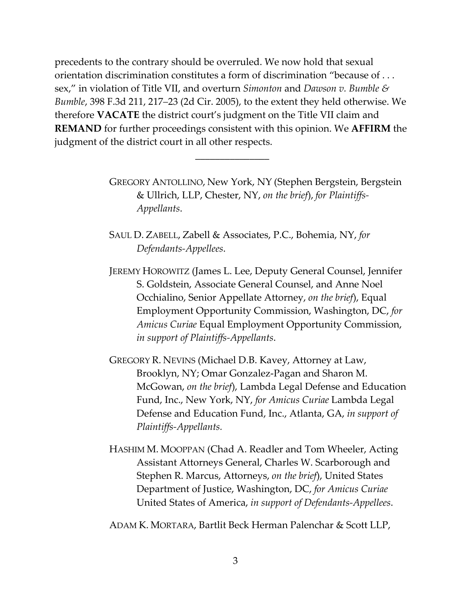precedents to the contrary should be overruled. We now hold that sexual orientation discrimination constitutes a form of discrimination "because of . . . sex," in violation of Title VII, and overturn *Simonton* and *Dawson v. Bumble & Bumble*, 398 F.3d 211, 217–23 (2d Cir. 2005), to the extent they held otherwise. We therefore **VACATE** the district court's judgment on the Title VII claim and **REMAND** for further proceedings consistent with this opinion. We **AFFIRM** the judgment of the district court in all other respects.

\_\_\_\_\_\_\_\_\_\_\_\_\_\_\_

GREGORY ANTOLLINO, New York, NY (Stephen Bergstein, Bergstein & Ullrich, LLP, Chester, NY, *on the brief*), *for Plaintiffs‐ Appellants*.

SAUL D. ZABELL, Zabell & Associates, P.C., Bohemia, NY, *for Defendants‐Appellees*.

JEREMY HOROWITZ (James L. Lee, Deputy General Counsel, Jennifer S. Goldstein, Associate General Counsel, and Anne Noel Occhialino, Senior Appellate Attorney, *on the brief*), Equal Employment Opportunity Commission, Washington, DC, *for Amicus Curiae* Equal Employment Opportunity Commission, *in support of Plaintiffs‐Appellants*.

GREGORY R. NEVINS (Michael D.B. Kavey, Attorney at Law, Brooklyn, NY; Omar Gonzalez‐Pagan and Sharon M. McGowan, *on the brief*), Lambda Legal Defense and Education Fund, Inc., New York, NY, *for Amicus Curiae* Lambda Legal Defense and Education Fund, Inc., Atlanta, GA, *in support of Plaintiffs‐Appellants.* 

HASHIM M. MOOPPAN (Chad A. Readler and Tom Wheeler, Acting Assistant Attorneys General, Charles W. Scarborough and Stephen R. Marcus, Attorneys, *on the brief*), United States Department of Justice, Washington, DC, *for Amicus Curiae* United States of America, *in support of Defendants‐Appellees*.

ADAM K. MORTARA, Bartlit Beck Herman Palenchar & Scott LLP,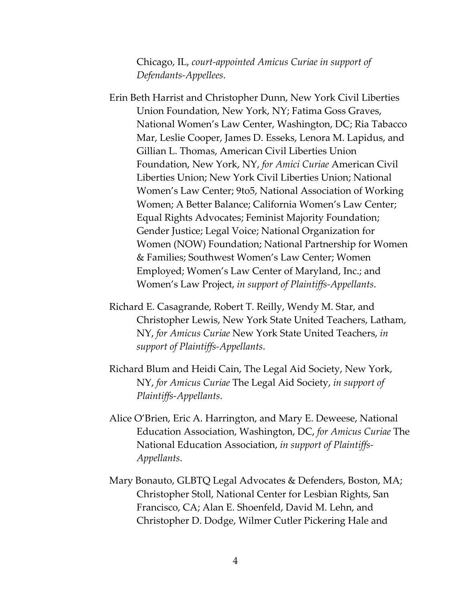Chicago, IL, *court‐appointed Amicus Curiae in support of Defendants‐Appellees*.

- Erin Beth Harrist and Christopher Dunn, New York Civil Liberties Union Foundation, New York, NY; Fatima Goss Graves, National Women's Law Center, Washington, DC; Ria Tabacco Mar, Leslie Cooper, James D. Esseks, Lenora M. Lapidus, and Gillian L. Thomas, American Civil Liberties Union Foundation, New York, NY, *for Amici Curiae* American Civil Liberties Union; New York Civil Liberties Union; National Women's Law Center; 9to5, National Association of Working Women; A Better Balance; California Women's Law Center; Equal Rights Advocates; Feminist Majority Foundation; Gender Justice; Legal Voice; National Organization for Women (NOW) Foundation; National Partnership for Women & Families; Southwest Women's Law Center; Women Employed; Women's Law Center of Maryland, Inc.; and Women's Law Project, *in support of Plaintiffs‐Appellants*.
- Richard E. Casagrande, Robert T. Reilly, Wendy M. Star, and Christopher Lewis, New York State United Teachers, Latham, NY, *for Amicus Curiae* New York State United Teachers, *in support of Plaintiffs‐Appellants*.
- Richard Blum and Heidi Cain, The Legal Aid Society, New York, NY, *for Amicus Curiae* The Legal Aid Society, *in support of Plaintiffs‐Appellants*.
- Alice O'Brien, Eric A. Harrington, and Mary E. Deweese, National Education Association, Washington, DC, *for Amicus Curiae* The National Education Association, *in support of Plaintiffs‐ Appellants*.
- Mary Bonauto, GLBTQ Legal Advocates & Defenders, Boston, MA; Christopher Stoll, National Center for Lesbian Rights, San Francisco, CA; Alan E. Shoenfeld, David M. Lehn, and Christopher D. Dodge, Wilmer Cutler Pickering Hale and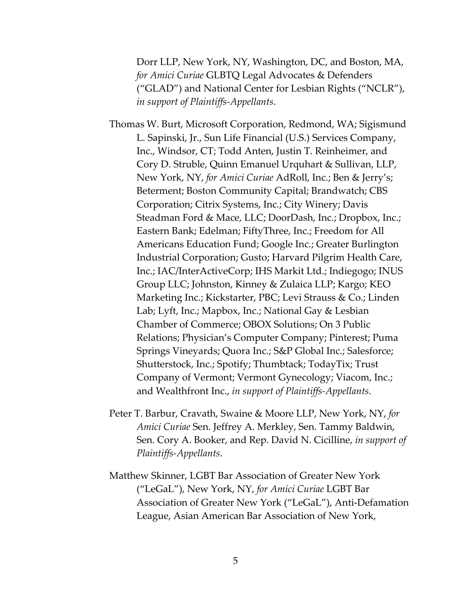Dorr LLP, New York, NY, Washington, DC, and Boston, MA, *for Amici Curiae* GLBTQ Legal Advocates & Defenders ("GLAD") and National Center for Lesbian Rights ("NCLR"), *in support of Plaintiffs‐Appellants*.

Thomas W. Burt, Microsoft Corporation, Redmond, WA; Sigismund L. Sapinski, Jr., Sun Life Financial (U.S.) Services Company, Inc., Windsor, CT; Todd Anten, Justin T. Reinheimer, and Cory D. Struble, Quinn Emanuel Urquhart & Sullivan, LLP, New York, NY, *for Amici Curiae* AdRoll, Inc.; Ben & Jerry's; Beterment; Boston Community Capital; Brandwatch; CBS Corporation; Citrix Systems, Inc.; City Winery; Davis Steadman Ford & Mace, LLC; DoorDash, Inc.; Dropbox, Inc.; Eastern Bank; Edelman; FiftyThree, Inc.; Freedom for All Americans Education Fund; Google Inc.; Greater Burlington Industrial Corporation; Gusto; Harvard Pilgrim Health Care, Inc.; IAC/InterActiveCorp; IHS Markit Ltd.; Indiegogo; INUS Group LLC; Johnston, Kinney & Zulaica LLP; Kargo; KEO Marketing Inc.; Kickstarter, PBC; Levi Strauss & Co.; Linden Lab; Lyft, Inc.; Mapbox, Inc.; National Gay & Lesbian Chamber of Commerce; OBOX Solutions; On 3 Public Relations; Physician's Computer Company; Pinterest; Puma Springs Vineyards; Quora Inc.; S&P Global Inc.; Salesforce; Shutterstock, Inc.; Spotify; Thumbtack; TodayTix; Trust Company of Vermont; Vermont Gynecology; Viacom, Inc.; and Wealthfront Inc., *in support of Plaintiffs‐Appellants*.

- Peter T. Barbur, Cravath, Swaine & Moore LLP, New York, NY, *for Amici Curiae* Sen. Jeffrey A. Merkley, Sen. Tammy Baldwin, Sen. Cory A. Booker, and Rep. David N. Cicilline, *in support of Plaintiffs‐Appellants*.
- Matthew Skinner, LGBT Bar Association of Greater New York ("LeGaL"), New York, NY, *for Amici Curiae* LGBT Bar Association of Greater New York ("LeGaL"), Anti‐Defamation League, Asian American Bar Association of New York,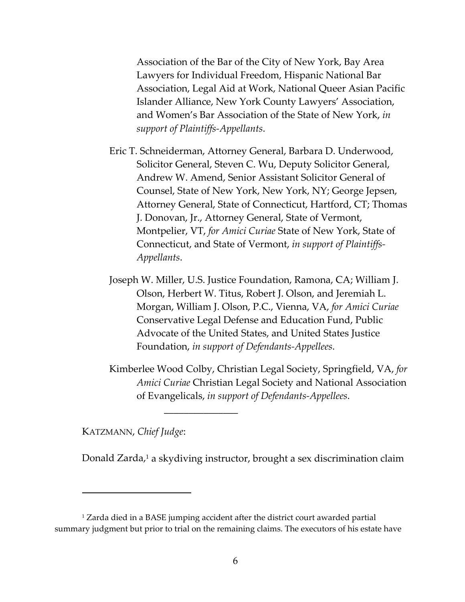Association of the Bar of the City of New York, Bay Area Lawyers for Individual Freedom, Hispanic National Bar Association, Legal Aid at Work, National Queer Asian Pacific Islander Alliance, New York County Lawyers' Association, and Women's Bar Association of the State of New York, *in support of Plaintiffs‐Appellants*.

- Eric T. Schneiderman, Attorney General, Barbara D. Underwood, Solicitor General, Steven C. Wu, Deputy Solicitor General, Andrew W. Amend, Senior Assistant Solicitor General of Counsel, State of New York, New York, NY; George Jepsen, Attorney General, State of Connecticut, Hartford, CT; Thomas J. Donovan, Jr., Attorney General, State of Vermont, Montpelier, VT, *for Amici Curiae* State of New York, State of Connecticut, and State of Vermont, *in support of Plaintiffs‐ Appellants*.
- Joseph W. Miller, U.S. Justice Foundation, Ramona, CA; William J. Olson, Herbert W. Titus, Robert J. Olson, and Jeremiah L. Morgan, William J. Olson, P.C., Vienna, VA, *for Amici Curiae* Conservative Legal Defense and Education Fund, Public Advocate of the United States, and United States Justice Foundation, *in support of Defendants‐Appellees*.
- Kimberlee Wood Colby, Christian Legal Society, Springfield, VA, *for Amici Curiae* Christian Legal Society and National Association of Evangelicals, *in support of Defendants‐Appellees*.

KATZMANN, *Chief Judge*:

Donald Zarda,<sup>1</sup> a skydiving instructor, brought a sex discrimination claim

\_\_\_\_\_\_\_\_\_\_\_\_\_\_\_

<sup>1</sup> Zarda died in a BASE jumping accident after the district court awarded partial summary judgment but prior to trial on the remaining claims. The executors of his estate have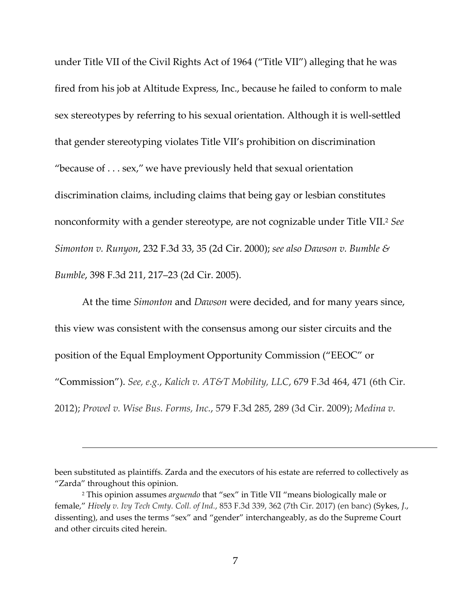under Title VII of the Civil Rights Act of 1964 ("Title VII") alleging that he was fired from his job at Altitude Express, Inc., because he failed to conform to male sex stereotypes by referring to his sexual orientation. Although it is well-settled that gender stereotyping violates Title VII's prohibition on discrimination "because of . . . sex," we have previously held that sexual orientation discrimination claims, including claims that being gay or lesbian constitutes nonconformity with a gender stereotype, are not cognizable under Title VII.2 *See Simonton v. Runyon*, 232 F.3d 33, 35 (2d Cir. 2000); *see also Dawson v. Bumble & Bumble*, 398 F.3d 211, 217–23 (2d Cir. 2005).

At the time *Simonton* and *Dawson* were decided, and for many years since, this view was consistent with the consensus among our sister circuits and the position of the Equal Employment Opportunity Commission ("EEOC" or "Commission"). *See, e.g.*, *Kalich v. AT&T Mobility, LLC*, 679 F.3d 464, 471 (6th Cir. 2012); *Prowel v. Wise Bus. Forms, Inc.*, 579 F.3d 285, 289 (3d Cir. 2009); *Medina v.*

<u> Andreas Andreas Andreas Andreas Andreas Andreas Andreas Andreas Andreas Andreas Andreas Andreas Andreas Andr</u>

been substituted as plaintiffs. Zarda and the executors of his estate are referred to collectively as "Zarda" throughout this opinion.

<sup>2</sup> This opinion assumes *arguendo* that "sex" in Title VII "means biologically male or female," *Hively v. Ivy Tech Cmty. Coll. of Ind.*, 853 F.3d 339, 362 (7th Cir. 2017) (en banc) (Sykes, *J*., dissenting), and uses the terms "sex" and "gender" interchangeably, as do the Supreme Court and other circuits cited herein.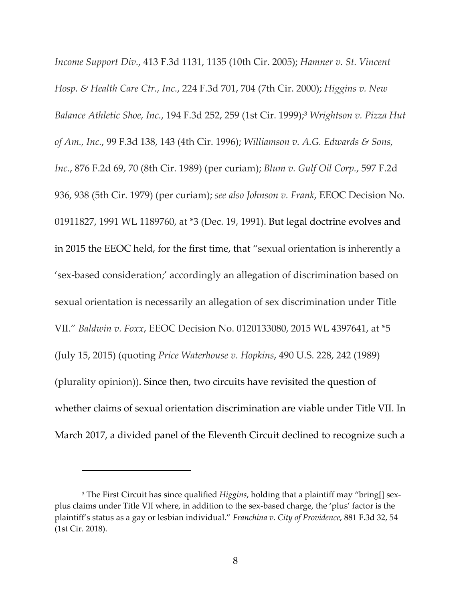*Income Support Div.*, 413 F.3d 1131, 1135 (10th Cir. 2005); *Hamner v. St. Vincent Hosp. & Health Care Ctr., Inc.*, 224 F.3d 701, 704 (7th Cir. 2000); *Higgins v. New Balance Athletic Shoe, Inc.*, 194 F.3d 252, 259 (1st Cir. 1999);3 *Wrightson v. Pizza Hut of Am., Inc.*, 99 F.3d 138, 143 (4th Cir. 1996); *Williamson v. A.G. Edwards & Sons, Inc.*, 876 F.2d 69, 70 (8th Cir. 1989) (per curiam); *Blum v. Gulf Oil Corp.*, 597 F.2d 936, 938 (5th Cir. 1979) (per curiam); *see also Johnson v. Frank*, EEOC Decision No. 01911827, 1991 WL 1189760, at \*3 (Dec. 19, 1991). But legal doctrine evolves and in 2015 the EEOC held, for the first time, that "sexual orientation is inherently a 'sex‐based consideration;' accordingly an allegation of discrimination based on sexual orientation is necessarily an allegation of sex discrimination under Title VII." *Baldwin v. Foxx*, EEOC Decision No. 0120133080, 2015 WL 4397641, at \*5 (July 15, 2015) (quoting *Price Waterhouse v. Hopkins*, 490 U.S. 228, 242 (1989) (plurality opinion)). Since then, two circuits have revisited the question of whether claims of sexual orientation discrimination are viable under Title VII. In March 2017, a divided panel of the Eleventh Circuit declined to recognize such a

<sup>&</sup>lt;sup>3</sup> The First Circuit has since qualified *Higgins*, holding that a plaintiff may "bring[] sexplus claims under Title VII where, in addition to the sex‐based charge, the 'plus' factor is the plaintiff's status as a gay or lesbian individual." *Franchina v. City of Providence*, 881 F.3d 32, 54 (1st Cir. 2018).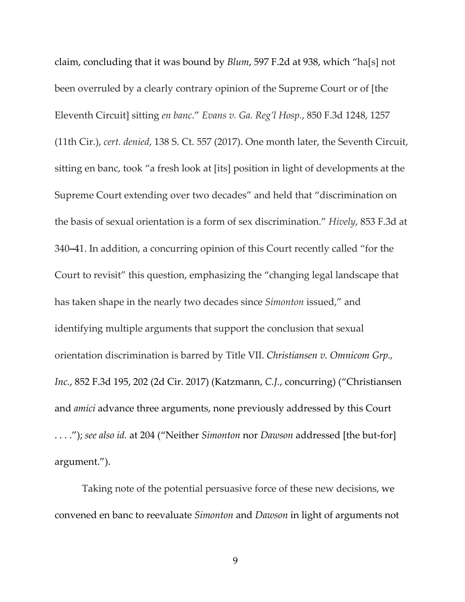claim, concluding that it was bound by *Blum*, 597 F.2d at 938, which "ha[s] not been overruled by a clearly contrary opinion of the Supreme Court or of [the Eleventh Circuit] sitting *en banc*." *Evans v. Ga. Reg'l Hosp.*, 850 F.3d 1248, 1257 (11th Cir.), *cert. denied*, 138 S. Ct. 557 (2017). One month later, the Seventh Circuit, sitting en banc, took "a fresh look at [its] position in light of developments at the Supreme Court extending over two decades" and held that "discrimination on the basis of sexual orientation is a form of sex discrimination." *Hively*, 853 F.3d at 340**–**41. In addition, a concurring opinion of this Court recently called "for the Court to revisit" this question, emphasizing the "changing legal landscape that has taken shape in the nearly two decades since *Simonton* issued," and identifying multiple arguments that support the conclusion that sexual orientation discrimination is barred by Title VII. *Christiansen v. Omnicom Grp., Inc.*, 852 F.3d 195, 202 (2d Cir. 2017) (Katzmann, *C.J.*, concurring) ("Christiansen and *amici* advance three arguments, none previously addressed by this Court . . . ."); *see also id.* at 204 ("Neither *Simonton* nor *Dawson* addressed [the but‐for] argument.").

Taking note of the potential persuasive force of these new decisions, we convened en banc to reevaluate *Simonton* and *Dawson* in light of arguments not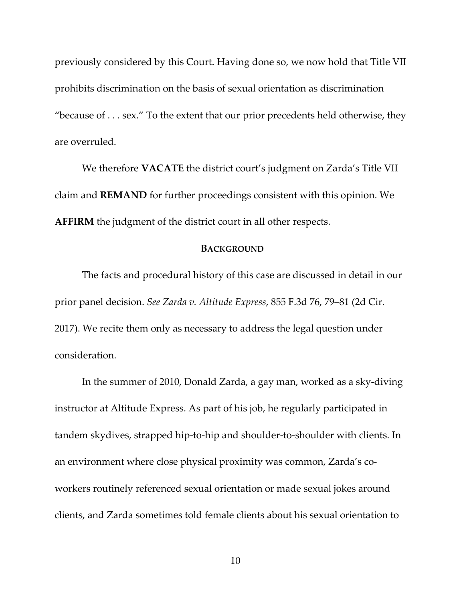previously considered by this Court. Having done so, we now hold that Title VII prohibits discrimination on the basis of sexual orientation as discrimination "because of  $\dots$  sex." To the extent that our prior precedents held otherwise, they are overruled.

We therefore **VACATE** the district court's judgment on Zarda's Title VII claim and **REMAND** for further proceedings consistent with this opinion. We **AFFIRM** the judgment of the district court in all other respects.

#### **BACKGROUND**

The facts and procedural history of this case are discussed in detail in our prior panel decision. *See Zarda v. Altitude Express*, 855 F.3d 76, 79–81 (2d Cir. 2017). We recite them only as necessary to address the legal question under consideration.

In the summer of 2010, Donald Zarda, a gay man, worked as a sky‐diving instructor at Altitude Express. As part of his job, he regularly participated in tandem skydives, strapped hip‐to‐hip and shoulder‐to‐shoulder with clients. In an environment where close physical proximity was common, Zarda's coworkers routinely referenced sexual orientation or made sexual jokes around clients, and Zarda sometimes told female clients about his sexual orientation to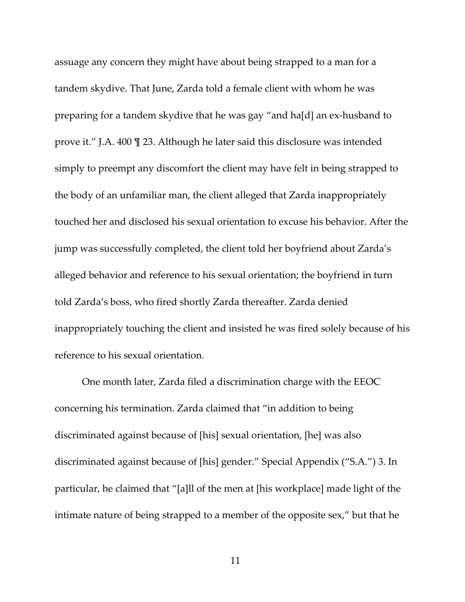assuage any concern they might have about being strapped to a man for a tandem skydive. That June, Zarda told a female client with whom he was preparing for a tandem skydive that he was gay "and ha[d] an ex‐husband to prove it." J.A. 400 ¶ 23. Although he later said this disclosure was intended simply to preempt any discomfort the client may have felt in being strapped to the body of an unfamiliar man, the client alleged that Zarda inappropriately touched her and disclosed his sexual orientation to excuse his behavior. After the jump was successfully completed, the client told her boyfriend about Zarda's alleged behavior and reference to his sexual orientation; the boyfriend in turn told Zarda's boss, who fired shortly Zarda thereafter. Zarda denied inappropriately touching the client and insisted he was fired solely because of his reference to his sexual orientation.

One month later, Zarda filed a discrimination charge with the EEOC concerning his termination. Zarda claimed that "in addition to being discriminated against because of [his] sexual orientation, [he] was also discriminated against because of [his] gender." Special Appendix ("S.A.") 3. In particular, he claimed that "[a]ll of the men at [his workplace] made light of the intimate nature of being strapped to a member of the opposite sex," but that he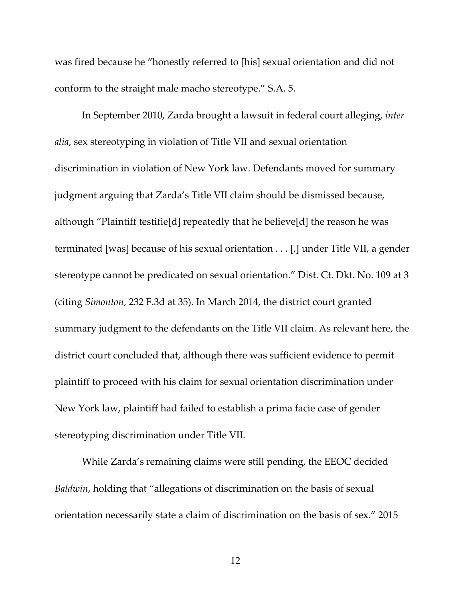was fired because he "honestly referred to [his] sexual orientation and did not conform to the straight male macho stereotype." S.A. 5.

In September 2010, Zarda brought a lawsuit in federal court alleging, *inter alia*, sex stereotyping in violation of Title VII and sexual orientation discrimination in violation of New York law. Defendants moved for summary judgment arguing that Zarda's Title VII claim should be dismissed because, although "Plaintiff testifie[d] repeatedly that he believe[d] the reason he was terminated [was] because of his sexual orientation . . . [,] under Title VII, a gender stereotype cannot be predicated on sexual orientation." Dist. Ct. Dkt. No. 109 at 3 (citing *Simonton*, 232 F.3d at 35). In March 2014, the district court granted summary judgment to the defendants on the Title VII claim. As relevant here, the district court concluded that, although there was sufficient evidence to permit plaintiff to proceed with his claim for sexual orientation discrimination under New York law, plaintiff had failed to establish a prima facie case of gender stereotyping discrimination under Title VII.

While Zarda's remaining claims were still pending, the EEOC decided *Baldwin*, holding that "allegations of discrimination on the basis of sexual orientation necessarily state a claim of discrimination on the basis of sex." 2015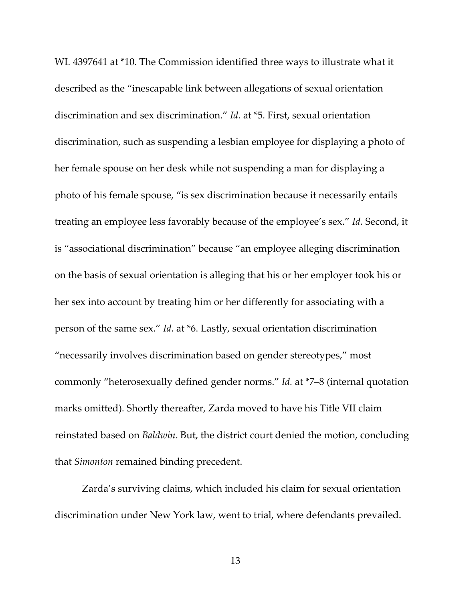WL 4397641 at \*10. The Commission identified three ways to illustrate what it described as the "inescapable link between allegations of sexual orientation discrimination and sex discrimination." *Id.* at \*5. First, sexual orientation discrimination, such as suspending a lesbian employee for displaying a photo of her female spouse on her desk while not suspending a man for displaying a photo of his female spouse, "is sex discrimination because it necessarily entails treating an employee less favorably because of the employee's sex." *Id.* Second, it is "associational discrimination" because "an employee alleging discrimination on the basis of sexual orientation is alleging that his or her employer took his or her sex into account by treating him or her differently for associating with a person of the same sex." *Id.* at \*6. Lastly, sexual orientation discrimination "necessarily involves discrimination based on gender stereotypes," most commonly "heterosexually defined gender norms." *Id.* at \*7–8 (internal quotation marks omitted). Shortly thereafter, Zarda moved to have his Title VII claim reinstated based on *Baldwin*. But, the district court denied the motion, concluding that *Simonton* remained binding precedent.

Zarda's surviving claims, which included his claim for sexual orientation discrimination under New York law, went to trial, where defendants prevailed.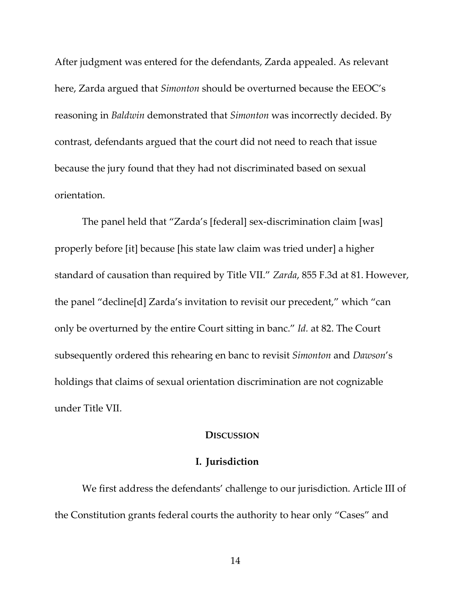After judgment was entered for the defendants, Zarda appealed. As relevant here, Zarda argued that *Simonton* should be overturned because the EEOC's reasoning in *Baldwin* demonstrated that *Simonton* was incorrectly decided. By contrast, defendants argued that the court did not need to reach that issue because the jury found that they had not discriminated based on sexual orientation.

The panel held that "Zarda's [federal] sex‐discrimination claim [was] properly before [it] because [his state law claim was tried under] a higher standard of causation than required by Title VII." *Zarda*, 855 F.3d at 81. However, the panel "decline[d] Zarda's invitation to revisit our precedent," which "can only be overturned by the entire Court sitting in banc." *Id.* at 82. The Court subsequently ordered this rehearing en banc to revisit *Simonton* and *Dawson*'s holdings that claims of sexual orientation discrimination are not cognizable under Title VII.

#### **DISCUSSION**

### **I. Jurisdiction**

We first address the defendants' challenge to our jurisdiction. Article III of the Constitution grants federal courts the authority to hear only "Cases" and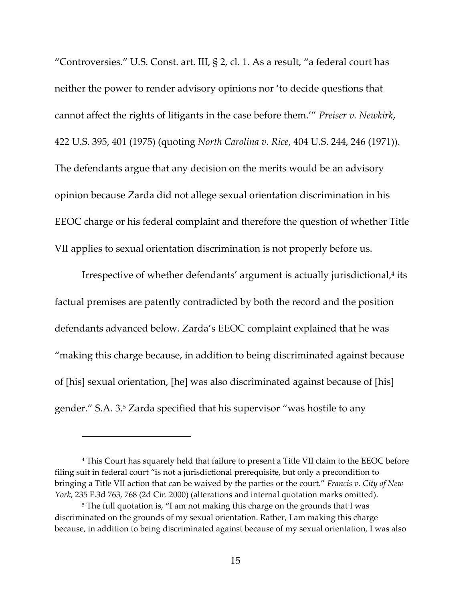"Controversies." U.S. Const. art. III, § 2, cl. 1. As a result, "a federal court has neither the power to render advisory opinions nor 'to decide questions that cannot affect the rights of litigants in the case before them.'" *Preiser v. Newkirk*, 422 U.S. 395, 401 (1975) (quoting *North Carolina v. Rice*, 404 U.S. 244, 246 (1971)). The defendants argue that any decision on the merits would be an advisory opinion because Zarda did not allege sexual orientation discrimination in his EEOC charge or his federal complaint and therefore the question of whether Title VII applies to sexual orientation discrimination is not properly before us.

Irrespective of whether defendants' argument is actually jurisdictional,<sup>4</sup> its factual premises are patently contradicted by both the record and the position defendants advanced below. Zarda's EEOC complaint explained that he was "making this charge because, in addition to being discriminated against because of [his] sexual orientation, [he] was also discriminated against because of [his] gender." S.A. 3.5 Zarda specified that his supervisor "was hostile to any

<sup>4</sup> This Court has squarely held that failure to present a Title VII claim to the EEOC before filing suit in federal court "is not a jurisdictional prerequisite, but only a precondition to bringing a Title VII action that can be waived by the parties or the court." *Francis v. City of New York*, 235 F.3d 763, 768 (2d Cir. 2000) (alterations and internal quotation marks omitted).

<sup>&</sup>lt;sup>5</sup> The full quotation is, "I am not making this charge on the grounds that I was discriminated on the grounds of my sexual orientation. Rather, I am making this charge because, in addition to being discriminated against because of my sexual orientation, I was also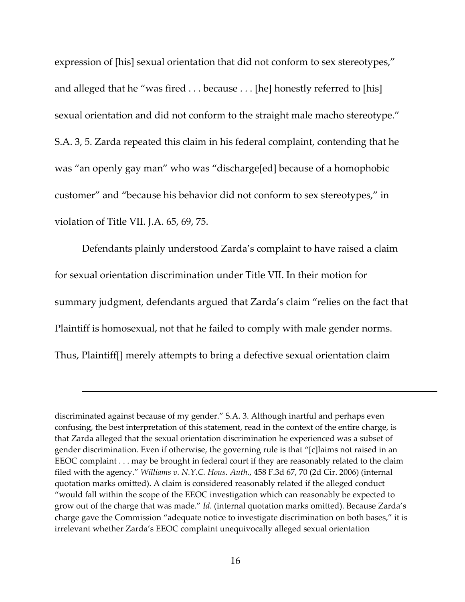expression of [his] sexual orientation that did not conform to sex stereotypes," and alleged that he "was fired . . . because . . . [he] honestly referred to [his] sexual orientation and did not conform to the straight male macho stereotype." S.A. 3, 5. Zarda repeated this claim in his federal complaint, contending that he was "an openly gay man" who was "discharge[ed] because of a homophobic customer" and "because his behavior did not conform to sex stereotypes," in violation of Title VII. J.A. 65, 69, 75.

Defendants plainly understood Zarda's complaint to have raised a claim for sexual orientation discrimination under Title VII. In their motion for summary judgment, defendants argued that Zarda's claim "relies on the fact that Plaintiff is homosexual, not that he failed to comply with male gender norms. Thus, Plaintiff[] merely attempts to bring a defective sexual orientation claim

<u> Andreas Andreas Andreas Andreas Andreas Andreas Andreas Andreas Andreas Andreas Andreas Andreas Andreas Andr</u>

discriminated against because of my gender." S.A. 3. Although inartful and perhaps even confusing, the best interpretation of this statement, read in the context of the entire charge, is that Zarda alleged that the sexual orientation discrimination he experienced was a subset of gender discrimination. Even if otherwise, the governing rule is that "[c]laims not raised in an EEOC complaint . . . may be brought in federal court if they are reasonably related to the claim filed with the agency." *Williams v. N.Y.C. Hous. Auth.*, 458 F.3d 67, 70 (2d Cir. 2006) (internal quotation marks omitted). A claim is considered reasonably related if the alleged conduct "would fall within the scope of the EEOC investigation which can reasonably be expected to grow out of the charge that was made." *Id.* (internal quotation marks omitted). Because Zarda's charge gave the Commission "adequate notice to investigate discrimination on both bases," it is irrelevant whether Zarda's EEOC complaint unequivocally alleged sexual orientation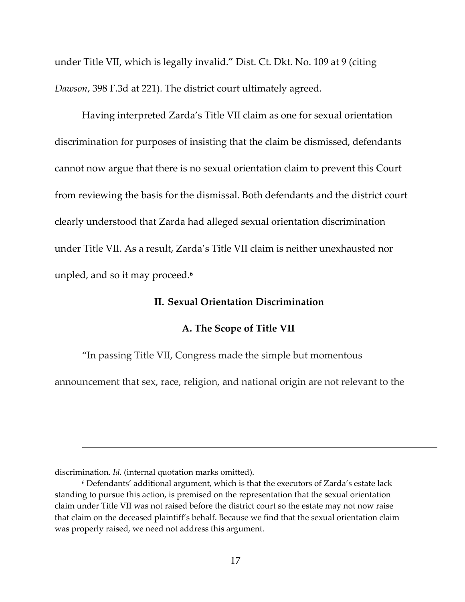under Title VII, which is legally invalid." Dist. Ct. Dkt. No. 109 at 9 (citing *Dawson*, 398 F.3d at 221). The district court ultimately agreed.

Having interpreted Zarda's Title VII claim as one for sexual orientation discrimination for purposes of insisting that the claim be dismissed, defendants cannot now argue that there is no sexual orientation claim to prevent this Court from reviewing the basis for the dismissal. Both defendants and the district court clearly understood that Zarda had alleged sexual orientation discrimination under Title VII. As a result, Zarda's Title VII claim is neither unexhausted nor unpled, and so it may proceed.**<sup>6</sup>**

### **II. Sexual Orientation Discrimination**

#### **A. The Scope of Title VII**

"In passing Title VII, Congress made the simple but momentous

announcement that sex, race, religion, and national origin are not relevant to the

<u> Andreas Andreas Andreas Andreas Andreas Andreas Andreas Andreas Andreas Andreas Andreas Andreas Andreas Andr</u>

discrimination. *Id.* (internal quotation marks omitted).

<sup>6</sup> Defendants' additional argument, which is that the executors of Zarda's estate lack standing to pursue this action, is premised on the representation that the sexual orientation claim under Title VII was not raised before the district court so the estate may not now raise that claim on the deceased plaintiff's behalf. Because we find that the sexual orientation claim was properly raised, we need not address this argument.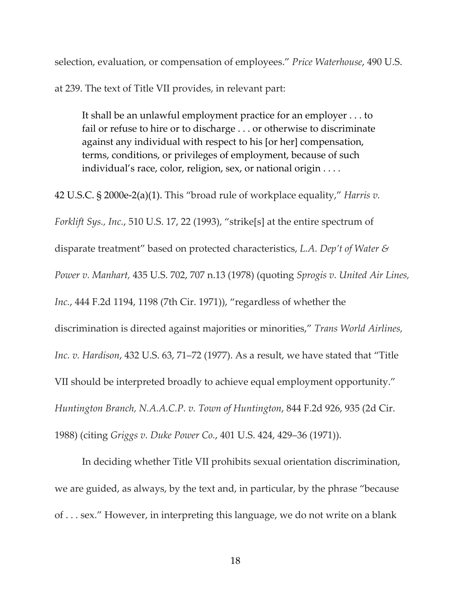selection, evaluation, or compensation of employees." *Price Waterhouse*, 490 U.S.

at 239. The text of Title VII provides, in relevant part:

It shall be an unlawful employment practice for an employer . . . to fail or refuse to hire or to discharge . . . or otherwise to discriminate against any individual with respect to his [or her] compensation, terms, conditions, or privileges of employment, because of such individual's race, color, religion, sex, or national origin . . . .

42 U.S.C. § 2000e‐2(a)(1). This "broad rule of workplace equality," *Harris v. Forklift Sys., Inc.*, 510 U.S. 17, 22 (1993), "strike[s] at the entire spectrum of disparate treatment" based on protected characteristics, *L.A. Dep't of Water & Power v. Manhart,* 435 U.S. 702, 707 n.13 (1978) (quoting *Sprogis v. United Air Lines, Inc.*, 444 F.2d 1194, 1198 (7th Cir. 1971)), "regardless of whether the discrimination is directed against majorities or minorities," *Trans World Airlines, Inc. v. Hardison*, 432 U.S. 63, 71–72 (1977). As a result, we have stated that "Title VII should be interpreted broadly to achieve equal employment opportunity." *Huntington Branch, N.A.A.C.P. v. Town of Huntington*, 844 F.2d 926, 935 (2d Cir. 1988) (citing *Griggs v. Duke Power Co.*, 401 U.S. 424, 429–36 (1971)).

In deciding whether Title VII prohibits sexual orientation discrimination, we are guided, as always, by the text and, in particular, by the phrase "because of . . . sex." However, in interpreting this language, we do not write on a blank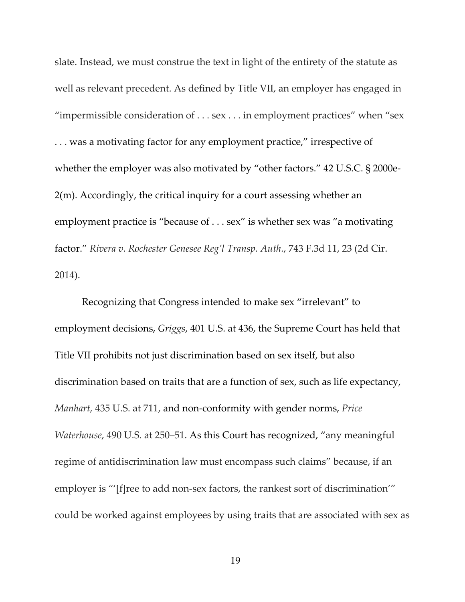slate. Instead, we must construe the text in light of the entirety of the statute as well as relevant precedent. As defined by Title VII, an employer has engaged in "impermissible consideration of . . . sex . . . in employment practices" when "sex . . . was a motivating factor for any employment practice," irrespective of whether the employer was also motivated by "other factors." 42 U.S.C. § 2000e-2(m). Accordingly, the critical inquiry for a court assessing whether an employment practice is "because of . . . sex" is whether sex was "a motivating factor." *Rivera v. Rochester Genesee Reg'l Transp. Auth.*, 743 F.3d 11, 23 (2d Cir. 2014).

Recognizing that Congress intended to make sex "irrelevant" to employment decisions, *Griggs*, 401 U.S. at 436, the Supreme Court has held that Title VII prohibits not just discrimination based on sex itself, but also discrimination based on traits that are a function of sex, such as life expectancy, *Manhart,* 435 U.S. at 711, and non‐conformity with gender norms, *Price Waterhouse*, 490 U.S. at 250–51. As this Court has recognized, "any meaningful regime of antidiscrimination law must encompass such claims" because, if an employer is "'[f]ree to add non-sex factors, the rankest sort of discrimination'" could be worked against employees by using traits that are associated with sex as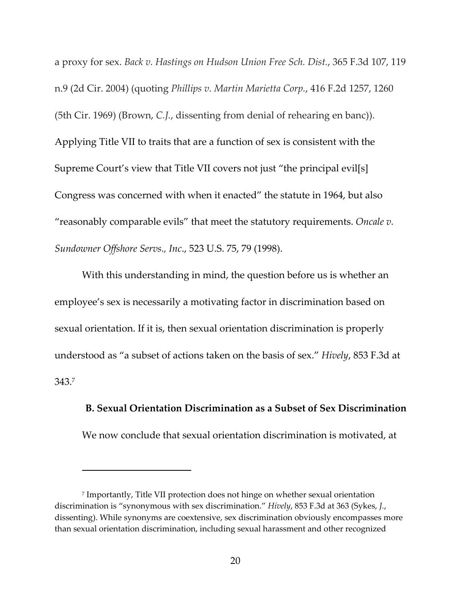a proxy for sex. *Back v. Hastings on Hudson Union Free Sch. Dist.*, 365 F.3d 107, 119 n.9 (2d Cir. 2004) (quoting *Phillips v. Martin Marietta Corp.*, 416 F.2d 1257, 1260 (5th Cir. 1969) (Brown, *C.J.*, dissenting from denial of rehearing en banc)). Applying Title VII to traits that are a function of sex is consistent with the Supreme Court's view that Title VII covers not just "the principal evil[s] Congress was concerned with when it enacted" the statute in 1964, but also "reasonably comparable evils" that meet the statutory requirements. *Oncale v. Sundowner Offshore Servs., Inc*., 523 U.S. 75, 79 (1998).

With this understanding in mind, the question before us is whether an employee's sex is necessarily a motivating factor in discrimination based on sexual orientation. If it is, then sexual orientation discrimination is properly understood as "a subset of actions taken on the basis of sex." *Hively*, 853 F.3d at 343.7

**B. Sexual Orientation Discrimination as a Subset of Sex Discrimination** We now conclude that sexual orientation discrimination is motivated, at

<sup>7</sup> Importantly, Title VII protection does not hinge on whether sexual orientation discrimination is "synonymous with sex discrimination." *Hively*, 853 F.3d at 363 (Sykes, *J.*, dissenting). While synonyms are coextensive, sex discrimination obviously encompasses more

than sexual orientation discrimination, including sexual harassment and other recognized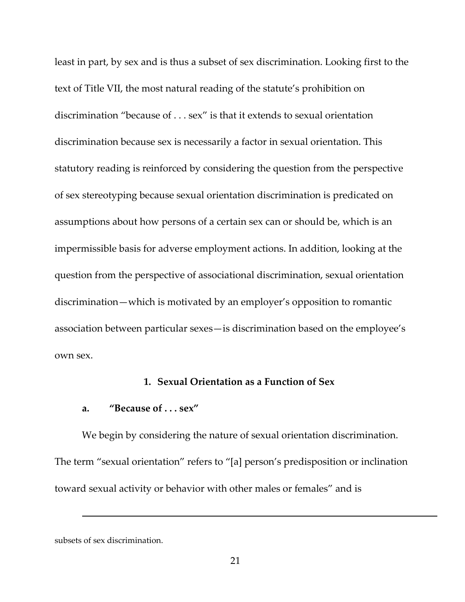least in part, by sex and is thus a subset of sex discrimination. Looking first to the text of Title VII, the most natural reading of the statute's prohibition on discrimination "because of . . . sex" is that it extends to sexual orientation discrimination because sex is necessarily a factor in sexual orientation. This statutory reading is reinforced by considering the question from the perspective of sex stereotyping because sexual orientation discrimination is predicated on assumptions about how persons of a certain sex can or should be, which is an impermissible basis for adverse employment actions. In addition, looking at the question from the perspective of associational discrimination, sexual orientation discrimination—which is motivated by an employer's opposition to romantic association between particular sexes—is discrimination based on the employee's own sex.

## **1. Sexual Orientation as a Function of Sex**

## **a. "Because of . . . sex"**

We begin by considering the nature of sexual orientation discrimination. The term "sexual orientation" refers to "[a] person's predisposition or inclination toward sexual activity or behavior with other males or females" and is

<u> Andreas Andreas Andreas Andreas Andreas Andreas Andreas Andreas Andreas Andreas Andreas Andreas Andreas Andr</u>

subsets of sex discrimination.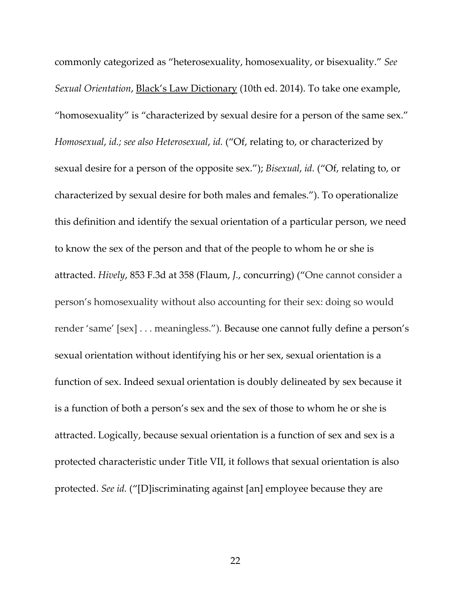commonly categorized as "heterosexuality, homosexuality, or bisexuality." *See Sexual Orientation*, Black's Law Dictionary (10th ed. 2014). To take one example, "homosexuality" is "characterized by sexual desire for a person of the same sex." *Homosexual*, *id.; see also Heterosexual*, *id.* ("Of, relating to, or characterized by sexual desire for a person of the opposite sex."); *Bisexual*, *id.* ("Of, relating to, or characterized by sexual desire for both males and females."). To operationalize this definition and identify the sexual orientation of a particular person, we need to know the sex of the person and that of the people to whom he or she is attracted. *Hively*, 853 F.3d at 358 (Flaum, *J.*, concurring) ("One cannot consider a person's homosexuality without also accounting for their sex: doing so would render 'same' [sex] . . . meaningless."). Because one cannot fully define a person's sexual orientation without identifying his or her sex, sexual orientation is a function of sex. Indeed sexual orientation is doubly delineated by sex because it is a function of both a person's sex and the sex of those to whom he or she is attracted. Logically, because sexual orientation is a function of sex and sex is a protected characteristic under Title VII, it follows that sexual orientation is also protected. *See id.* ("[D]iscriminating against [an] employee because they are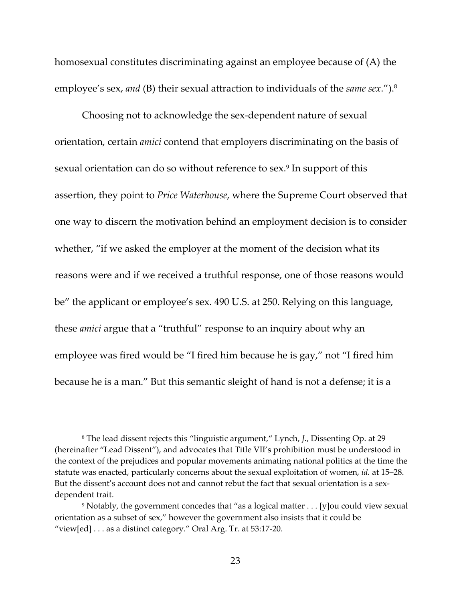homosexual constitutes discriminating against an employee because of (A) the employee's sex, *and* (B) their sexual attraction to individuals of the *same sex*.").<sup>8</sup>

Choosing not to acknowledge the sex‐dependent nature of sexual orientation, certain *amici* contend that employers discriminating on the basis of sexual orientation can do so without reference to sex.<sup>9</sup> In support of this assertion, they point to *Price Waterhouse*, where the Supreme Court observed that one way to discern the motivation behind an employment decision is to consider whether, "if we asked the employer at the moment of the decision what its reasons were and if we received a truthful response, one of those reasons would be" the applicant or employee's sex. 490 U.S. at 250. Relying on this language, these *amici* argue that a "truthful" response to an inquiry about why an employee was fired would be "I fired him because he is gay," not "I fired him because he is a man." But this semantic sleight of hand is not a defense; it is a

<sup>8</sup> The lead dissent rejects this "linguistic argument," Lynch, *J.*, Dissenting Op. at 29 (hereinafter "Lead Dissent"), and advocates that Title VII's prohibition must be understood in the context of the prejudices and popular movements animating national politics at the time the statute was enacted, particularly concerns about the sexual exploitation of women, *id.* at 15–28. But the dissent's account does not and cannot rebut the fact that sexual orientation is a sexdependent trait.

<sup>9</sup> Notably, the government concedes that "as a logical matter . . . [y]ou could view sexual orientation as a subset of sex," however the government also insists that it could be "view[ed] . . . as a distinct category." Oral Arg. Tr. at 53:17‐20.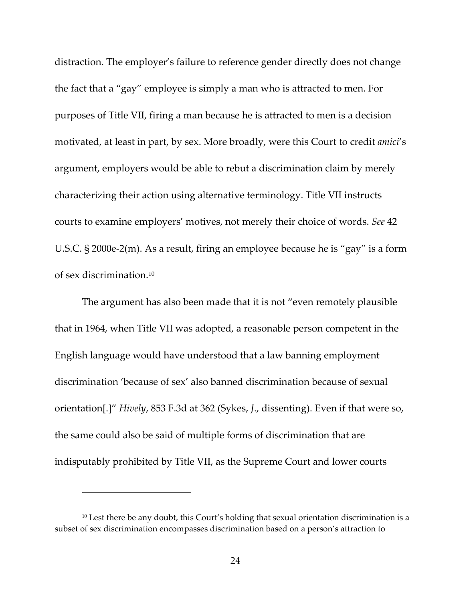distraction. The employer's failure to reference gender directly does not change the fact that a "gay" employee is simply a man who is attracted to men. For purposes of Title VII, firing a man because he is attracted to men is a decision motivated, at least in part, by sex. More broadly, were this Court to credit *amici*'s argument, employers would be able to rebut a discrimination claim by merely characterizing their action using alternative terminology. Title VII instructs courts to examine employers' motives, not merely their choice of words. *See* 42 U.S.C. § 2000e‐2(m). As a result, firing an employee because he is "gay" is a form of sex discrimination.10

The argument has also been made that it is not "even remotely plausible that in 1964, when Title VII was adopted, a reasonable person competent in the English language would have understood that a law banning employment discrimination 'because of sex' also banned discrimination because of sexual orientation[.]" *Hively*, 853 F.3d at 362 (Sykes, *J*., dissenting). Even if that were so, the same could also be said of multiple forms of discrimination that are indisputably prohibited by Title VII, as the Supreme Court and lower courts

<sup>&</sup>lt;sup>10</sup> Lest there be any doubt, this Court's holding that sexual orientation discrimination is a subset of sex discrimination encompasses discrimination based on a person's attraction to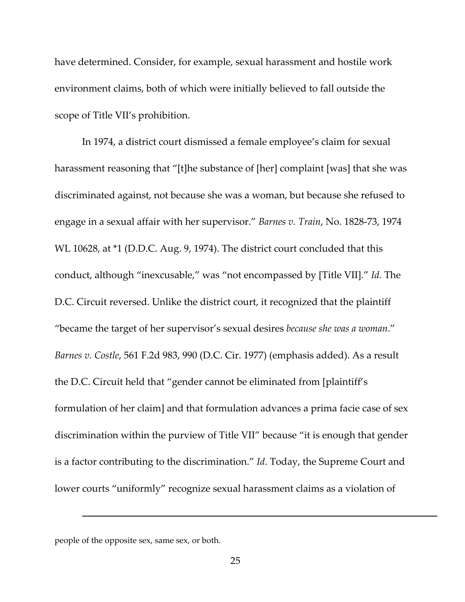have determined. Consider, for example, sexual harassment and hostile work environment claims, both of which were initially believed to fall outside the scope of Title VII's prohibition.

In 1974, a district court dismissed a female employee's claim for sexual harassment reasoning that "[t]he substance of [her] complaint [was] that she was discriminated against, not because she was a woman, but because she refused to engage in a sexual affair with her supervisor." *Barnes v. Train*, No. 1828‐73, 1974 WL 10628, at \*1 (D.D.C. Aug. 9, 1974). The district court concluded that this conduct, although "inexcusable," was "not encompassed by [Title VII]." *Id.* The D.C. Circuit reversed. Unlike the district court, it recognized that the plaintiff "became the target of her supervisor's sexual desires *because she was a woman*." *Barnes v. Costle*, 561 F.2d 983, 990 (D.C. Cir. 1977) (emphasis added). As a result the D.C. Circuit held that "gender cannot be eliminated from [plaintiff's formulation of her claim] and that formulation advances a prima facie case of sex discrimination within the purview of Title VII" because "it is enough that gender is a factor contributing to the discrimination." *Id*. Today, the Supreme Court and lower courts "uniformly" recognize sexual harassment claims as a violation of

<u> Andreas Andreas Andreas Andreas Andreas Andreas Andreas Andreas Andreas Andreas Andreas Andreas Andreas Andr</u>

people of the opposite sex, same sex, or both.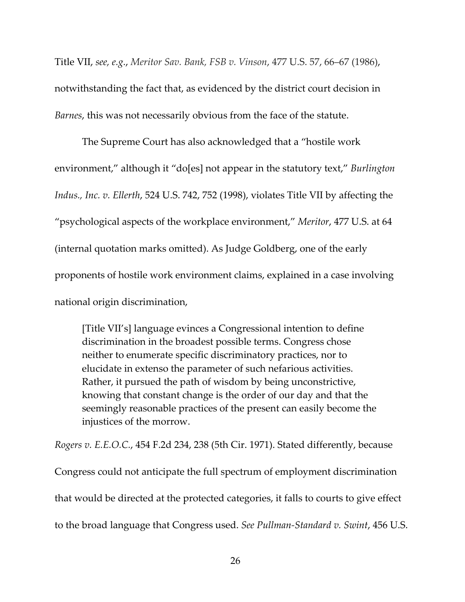Title VII, *see, e.g.*, *Meritor Sav. Bank, FSB v. Vinson*, 477 U.S. 57, 66–67 (1986), notwithstanding the fact that, as evidenced by the district court decision in *Barnes*, this was not necessarily obvious from the face of the statute.

The Supreme Court has also acknowledged that a "hostile work environment," although it "do[es] not appear in the statutory text," *Burlington Indus., Inc. v. Ellerth*, 524 U.S. 742, 752 (1998), violates Title VII by affecting the "psychological aspects of the workplace environment," *Meritor*, 477 U.S. at 64 (internal quotation marks omitted). As Judge Goldberg, one of the early proponents of hostile work environment claims, explained in a case involving national origin discrimination,

[Title VII's] language evinces a Congressional intention to define discrimination in the broadest possible terms. Congress chose neither to enumerate specific discriminatory practices, nor to elucidate in extenso the parameter of such nefarious activities. Rather, it pursued the path of wisdom by being unconstrictive, knowing that constant change is the order of our day and that the seemingly reasonable practices of the present can easily become the injustices of the morrow.

*Rogers v. E.E.O.C.*, 454 F.2d 234, 238 (5th Cir. 1971). Stated differently, because Congress could not anticipate the full spectrum of employment discrimination that would be directed at the protected categories, it falls to courts to give effect to the broad language that Congress used. *See Pullman‐Standard v. Swint*, 456 U.S.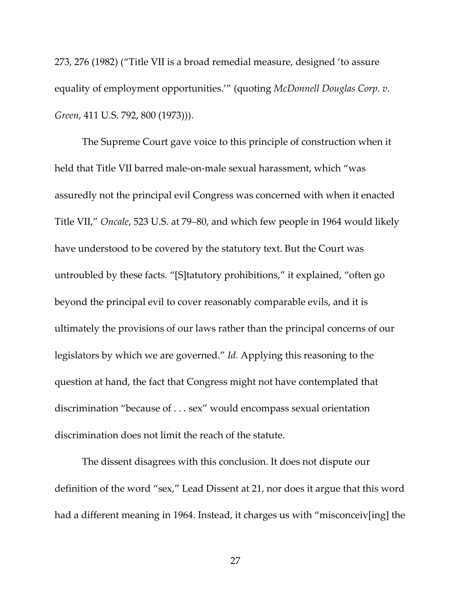273, 276 (1982) ("Title VII is a broad remedial measure, designed 'to assure equality of employment opportunities.'" (quoting *McDonnell Douglas Corp. v. Green*, 411 U.S. 792, 800 (1973))).

The Supreme Court gave voice to this principle of construction when it held that Title VII barred male‐on‐male sexual harassment, which "was assuredly not the principal evil Congress was concerned with when it enacted Title VII," *Oncale*, 523 U.S. at 79–80, and which few people in 1964 would likely have understood to be covered by the statutory text. But the Court was untroubled by these facts. "[S]tatutory prohibitions," it explained, "often go beyond the principal evil to cover reasonably comparable evils, and it is ultimately the provisions of our laws rather than the principal concerns of our legislators by which we are governed." *Id.* Applying this reasoning to the question at hand, the fact that Congress might not have contemplated that discrimination "because of . . . sex" would encompass sexual orientation discrimination does not limit the reach of the statute.

The dissent disagrees with this conclusion. It does not dispute our definition of the word "sex," Lead Dissent at 21, nor does it argue that this word had a different meaning in 1964. Instead, it charges us with "misconceiv[ing] the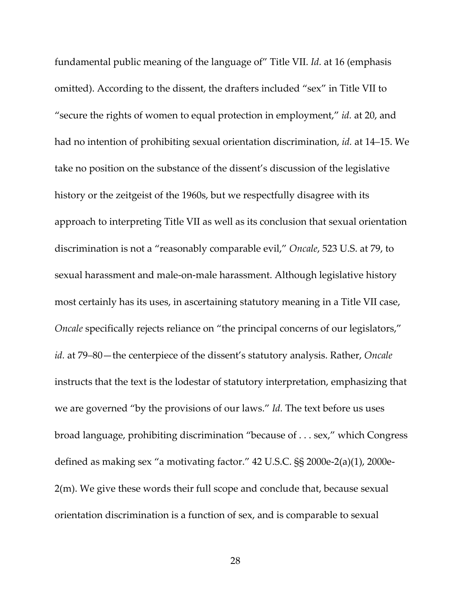fundamental public meaning of the language of" Title VII. *Id.* at 16 (emphasis omitted). According to the dissent, the drafters included "sex" in Title VII to "secure the rights of women to equal protection in employment," *id.* at 20, and had no intention of prohibiting sexual orientation discrimination, *id.* at 14–15. We take no position on the substance of the dissent's discussion of the legislative history or the zeitgeist of the 1960s, but we respectfully disagree with its approach to interpreting Title VII as well as its conclusion that sexual orientation discrimination is not a "reasonably comparable evil," *Oncale*, 523 U.S. at 79, to sexual harassment and male‐on‐male harassment. Although legislative history most certainly has its uses, in ascertaining statutory meaning in a Title VII case, *Oncale* specifically rejects reliance on "the principal concerns of our legislators," *id.* at 79–80—the centerpiece of the dissent's statutory analysis. Rather, *Oncale* instructs that the text is the lodestar of statutory interpretation, emphasizing that we are governed "by the provisions of our laws." *Id.* The text before us uses broad language, prohibiting discrimination "because of . . . sex," which Congress defined as making sex "a motivating factor." 42 U.S.C. §§ 2000e‐2(a)(1), 2000e‐ 2(m). We give these words their full scope and conclude that, because sexual orientation discrimination is a function of sex, and is comparable to sexual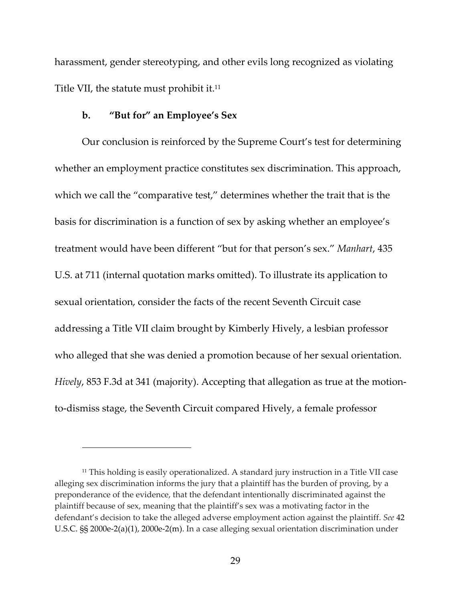harassment, gender stereotyping, and other evils long recognized as violating Title VII, the statute must prohibit it.<sup>11</sup>

## **b. "But for" an Employee's Sex**

Our conclusion is reinforced by the Supreme Court's test for determining whether an employment practice constitutes sex discrimination. This approach, which we call the "comparative test," determines whether the trait that is the basis for discrimination is a function of sex by asking whether an employee's treatment would have been different "but for that person's sex." *Manhart*, 435 U.S. at 711 (internal quotation marks omitted). To illustrate its application to sexual orientation, consider the facts of the recent Seventh Circuit case addressing a Title VII claim brought by Kimberly Hively, a lesbian professor who alleged that she was denied a promotion because of her sexual orientation. *Hively*, 853 F.3d at 341 (majority). Accepting that allegation as true at the motionto‐dismiss stage, the Seventh Circuit compared Hively, a female professor

<sup>&</sup>lt;sup>11</sup> This holding is easily operationalized. A standard jury instruction in a Title VII case alleging sex discrimination informs the jury that a plaintiff has the burden of proving, by a preponderance of the evidence, that the defendant intentionally discriminated against the plaintiff because of sex, meaning that the plaintiff's sex was a motivating factor in the defendant's decision to take the alleged adverse employment action against the plaintiff. *See* 42 U.S.C. §§ 2000e‐2(a)(1), 2000e‐2(m). In a case alleging sexual orientation discrimination under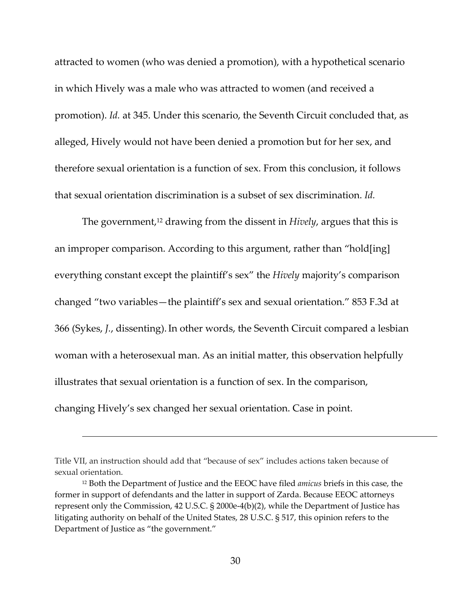attracted to women (who was denied a promotion), with a hypothetical scenario in which Hively was a male who was attracted to women (and received a promotion). *Id.* at 345. Under this scenario, the Seventh Circuit concluded that, as alleged, Hively would not have been denied a promotion but for her sex, and therefore sexual orientation is a function of sex. From this conclusion, it follows that sexual orientation discrimination is a subset of sex discrimination. *Id.*

The government,<sup>12</sup> drawing from the dissent in *Hively*, argues that this is an improper comparison. According to this argument, rather than "hold[ing] everything constant except the plaintiff's sex" the *Hively* majority's comparison changed "two variables—the plaintiff's sex and sexual orientation." 853 F.3d at 366 (Sykes, *J.*, dissenting).In other words, the Seventh Circuit compared a lesbian woman with a heterosexual man. As an initial matter, this observation helpfully illustrates that sexual orientation is a function of sex. In the comparison, changing Hively's sex changed her sexual orientation. Case in point.

<u> Andreas Andreas Andreas Andreas Andreas Andreas Andreas Andreas Andreas Andreas Andreas Andreas Andreas Andr</u>

Title VII, an instruction should add that "because of sex" includes actions taken because of sexual orientation.

<sup>12</sup> Both the Department of Justice and the EEOC have filed *amicus* briefs in this case, the former in support of defendants and the latter in support of Zarda. Because EEOC attorneys represent only the Commission, 42 U.S.C. § 2000e-4(b)(2), while the Department of Justice has litigating authority on behalf of the United States, 28 U.S.C. § 517, this opinion refers to the Department of Justice as "the government."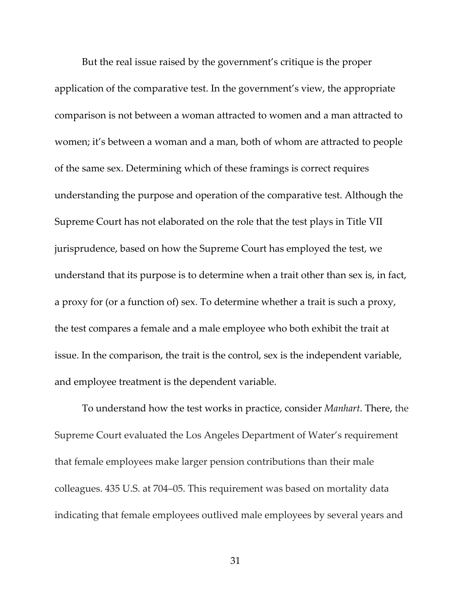But the real issue raised by the government's critique is the proper application of the comparative test. In the government's view, the appropriate comparison is not between a woman attracted to women and a man attracted to women; it's between a woman and a man, both of whom are attracted to people of the same sex. Determining which of these framings is correct requires understanding the purpose and operation of the comparative test. Although the Supreme Court has not elaborated on the role that the test plays in Title VII jurisprudence, based on how the Supreme Court has employed the test, we understand that its purpose is to determine when a trait other than sex is, in fact, a proxy for (or a function of) sex. To determine whether a trait is such a proxy, the test compares a female and a male employee who both exhibit the trait at issue. In the comparison, the trait is the control, sex is the independent variable, and employee treatment is the dependent variable.

To understand how the test works in practice, consider *Manhart*. There, the Supreme Court evaluated the Los Angeles Department of Water's requirement that female employees make larger pension contributions than their male colleagues. 435 U.S. at 704–05. This requirement was based on mortality data indicating that female employees outlived male employees by several years and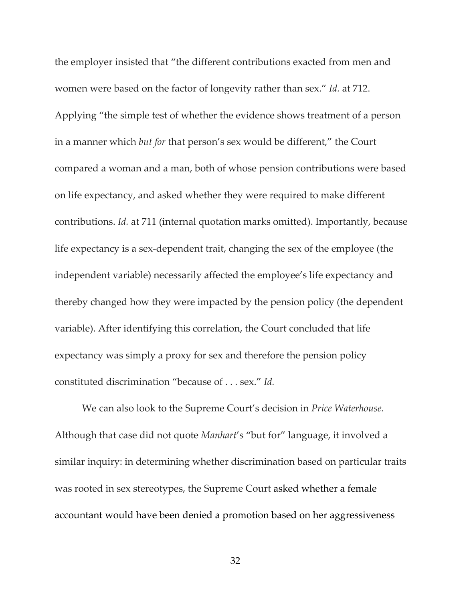the employer insisted that "the different contributions exacted from men and women were based on the factor of longevity rather than sex." *Id.* at 712. Applying "the simple test of whether the evidence shows treatment of a person in a manner which *but for* that person's sex would be different," the Court compared a woman and a man, both of whose pension contributions were based on life expectancy, and asked whether they were required to make different contributions. *Id.* at 711 (internal quotation marks omitted). Importantly, because life expectancy is a sex‐dependent trait, changing the sex of the employee (the independent variable) necessarily affected the employee's life expectancy and thereby changed how they were impacted by the pension policy (the dependent variable). After identifying this correlation, the Court concluded that life expectancy was simply a proxy for sex and therefore the pension policy constituted discrimination "because of . . . sex." *Id.*

We can also look to the Supreme Court's decision in *Price Waterhouse.* Although that case did not quote *Manhart*'s "but for" language, it involved a similar inquiry: in determining whether discrimination based on particular traits was rooted in sex stereotypes, the Supreme Court asked whether a female accountant would have been denied a promotion based on her aggressiveness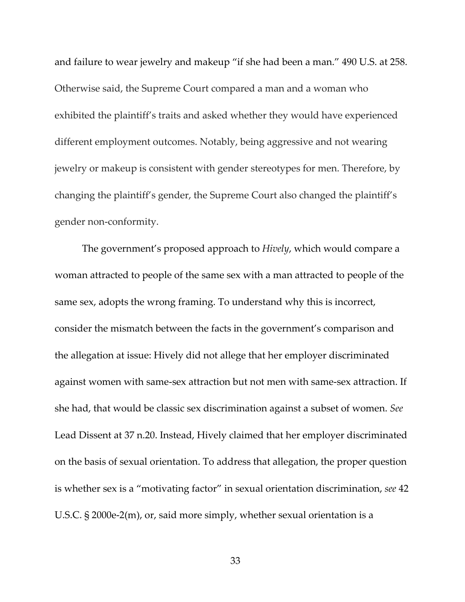and failure to wear jewelry and makeup "if she had been a man." 490 U.S. at 258. Otherwise said, the Supreme Court compared a man and a woman who exhibited the plaintiff's traits and asked whether they would have experienced different employment outcomes. Notably, being aggressive and not wearing jewelry or makeup is consistent with gender stereotypes for men. Therefore, by changing the plaintiff's gender, the Supreme Court also changed the plaintiff's gender non‐conformity.

The government's proposed approach to *Hively*, which would compare a woman attracted to people of the same sex with a man attracted to people of the same sex, adopts the wrong framing. To understand why this is incorrect, consider the mismatch between the facts in the government's comparison and the allegation at issue: Hively did not allege that her employer discriminated against women with same‐sex attraction but not men with same‐sex attraction. If she had, that would be classic sex discrimination against a subset of women. *See* Lead Dissent at 37 n.20. Instead, Hively claimed that her employer discriminated on the basis of sexual orientation. To address that allegation, the proper question is whether sex is a "motivating factor" in sexual orientation discrimination, *see* 42 U.S.C. § 2000e‐2(m), or, said more simply, whether sexual orientation is a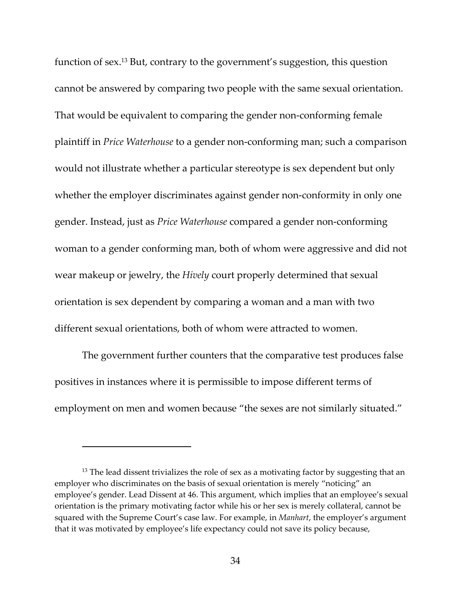function of sex.13 But, contrary to the government's suggestion, this question cannot be answered by comparing two people with the same sexual orientation. That would be equivalent to comparing the gender non‐conforming female plaintiff in *Price Waterhouse* to a gender non‐conforming man; such a comparison would not illustrate whether a particular stereotype is sex dependent but only whether the employer discriminates against gender non-conformity in only one gender. Instead, just as *Price Waterhouse* compared a gender non‐conforming woman to a gender conforming man, both of whom were aggressive and did not wear makeup or jewelry, the *Hively* court properly determined that sexual orientation is sex dependent by comparing a woman and a man with two different sexual orientations, both of whom were attracted to women.

The government further counters that the comparative test produces false positives in instances where it is permissible to impose different terms of employment on men and women because "the sexes are not similarly situated."

 $13$  The lead dissent trivializes the role of sex as a motivating factor by suggesting that an employer who discriminates on the basis of sexual orientation is merely "noticing" an employee's gender. Lead Dissent at 46. This argument, which implies that an employee's sexual orientation is the primary motivating factor while his or her sex is merely collateral, cannot be squared with the Supreme Court's case law. For example, in *Manhart*, the employer's argument that it was motivated by employee's life expectancy could not save its policy because,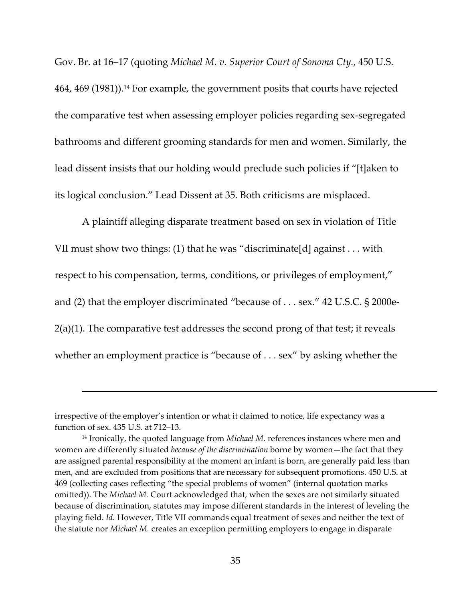Gov. Br. at 16–17 (quoting *Michael M. v. Superior Court of Sonoma Cty.*, 450 U.S. 464, 469 (1981)).14 For example, the government posits that courts have rejected the comparative test when assessing employer policies regarding sex‐segregated bathrooms and different grooming standards for men and women. Similarly, the lead dissent insists that our holding would preclude such policies if "[t]aken to its logical conclusion." Lead Dissent at 35. Both criticisms are misplaced.

A plaintiff alleging disparate treatment based on sex in violation of Title VII must show two things: (1) that he was "discriminate[d] against . . . with respect to his compensation, terms, conditions, or privileges of employment," and (2) that the employer discriminated "because of . . . sex." 42 U.S.C. § 2000e‐ 2(a)(1). The comparative test addresses the second prong of that test; it reveals whether an employment practice is "because of . . . sex" by asking whether the

<u> Andreas Andreas Andreas Andreas Andreas Andreas Andreas Andreas Andreas Andreas Andreas Andreas Andreas Andr</u>

irrespective of the employer's intention or what it claimed to notice, life expectancy was a function of sex. 435 U.S. at 712–13.

<sup>14</sup> Ironically, the quoted language from *Michael M.* references instances where men and women are differently situated *because of the discrimination* borne by women—the fact that they are assigned parental responsibility at the moment an infant is born, are generally paid less than men, and are excluded from positions that are necessary for subsequent promotions. 450 U.S. at 469 (collecting cases reflecting "the special problems of women" (internal quotation marks omitted)). The *Michael M.* Court acknowledged that, when the sexes are not similarly situated because of discrimination, statutes may impose different standards in the interest of leveling the playing field. *Id.* However, Title VII commands equal treatment of sexes and neither the text of the statute nor *Michael M.* creates an exception permitting employers to engage in disparate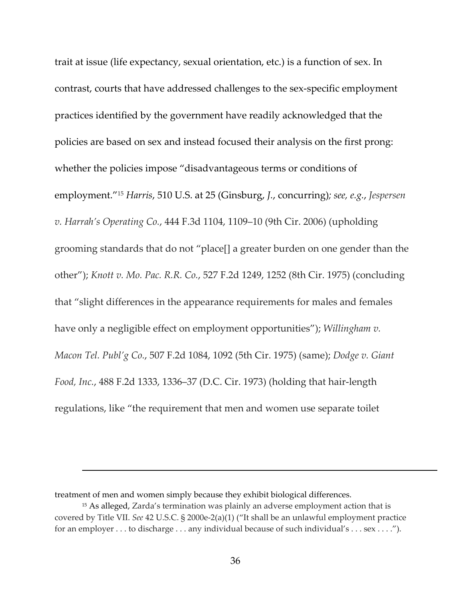trait at issue (life expectancy, sexual orientation, etc.) is a function of sex. In contrast, courts that have addressed challenges to the sex‐specific employment practices identified by the government have readily acknowledged that the policies are based on sex and instead focused their analysis on the first prong: whether the policies impose "disadvantageous terms or conditions of employment."15 *Harris*, 510 U.S. at 25 (Ginsburg, *J.*, concurring)*; see, e.g.*, *Jespersen v. Harrah's Operating Co.*, 444 F.3d 1104, 1109–10 (9th Cir. 2006) (upholding grooming standards that do not "place[] a greater burden on one gender than the other"); *Knott v. Mo. Pac. R.R. Co.*, 527 F.2d 1249, 1252 (8th Cir. 1975) (concluding that "slight differences in the appearance requirements for males and females have only a negligible effect on employment opportunities"); *Willingham v. Macon Tel. Publ'g Co.*, 507 F.2d 1084, 1092 (5th Cir. 1975) (same); *Dodge v. Giant Food, Inc.*, 488 F.2d 1333, 1336–37 (D.C. Cir. 1973) (holding that hair‐length regulations, like "the requirement that men and women use separate toilet

<u> Andreas Andreas Andreas Andreas Andreas Andreas Andreas Andreas Andreas Andreas Andreas Andreas Andreas Andr</u>

treatment of men and women simply because they exhibit biological differences.

<sup>15</sup> As alleged, Zarda's termination was plainly an adverse employment action that is covered by Title VII. *See* 42 U.S.C. § 2000e‐2(a)(1) ("It shall be an unlawful employment practice for an employer . . . to discharge . . . any individual because of such individual's . . . sex . . . .").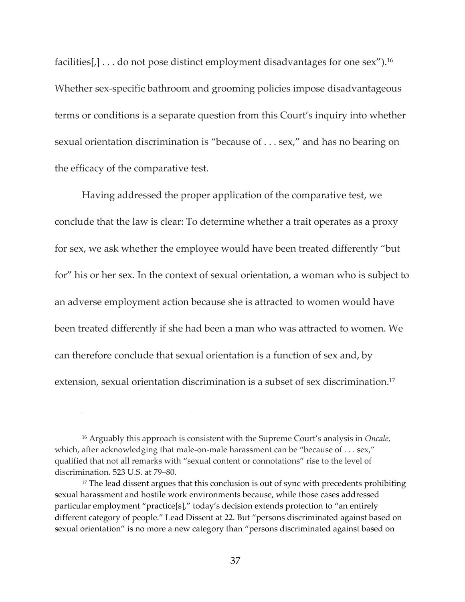facilities[,] . . . do not pose distinct employment disadvantages for one sex").<sup>16</sup> Whether sex-specific bathroom and grooming policies impose disadvantageous terms or conditions is a separate question from this Court's inquiry into whether sexual orientation discrimination is "because of . . . sex," and has no bearing on the efficacy of the comparative test.

Having addressed the proper application of the comparative test, we conclude that the law is clear: To determine whether a trait operates as a proxy for sex, we ask whether the employee would have been treated differently "but for" his or her sex. In the context of sexual orientation, a woman who is subject to an adverse employment action because she is attracted to women would have been treated differently if she had been a man who was attracted to women. We can therefore conclude that sexual orientation is a function of sex and, by extension, sexual orientation discrimination is a subset of sex discrimination.<sup>17</sup>

<sup>16</sup> Arguably this approach is consistent with the Supreme Court's analysis in *Oncale*, which, after acknowledging that male-on-male harassment can be "because of . . . sex," qualified that not all remarks with "sexual content or connotations" rise to the level of discrimination. 523 U.S. at 79–80.

<sup>&</sup>lt;sup>17</sup> The lead dissent argues that this conclusion is out of sync with precedents prohibiting sexual harassment and hostile work environments because, while those cases addressed particular employment "practice[s]," today's decision extends protection to "an entirely different category of people." Lead Dissent at 22. But "persons discriminated against based on sexual orientation" is no more a new category than "persons discriminated against based on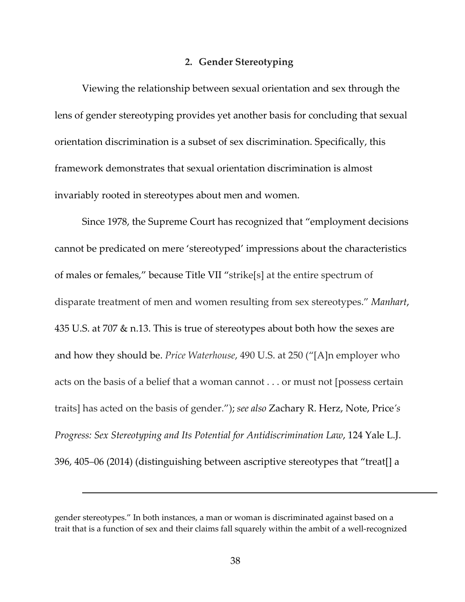# **2. Gender Stereotyping**

Viewing the relationship between sexual orientation and sex through the lens of gender stereotyping provides yet another basis for concluding that sexual orientation discrimination is a subset of sex discrimination. Specifically, this framework demonstrates that sexual orientation discrimination is almost invariably rooted in stereotypes about men and women.

Since 1978, the Supreme Court has recognized that "employment decisions cannot be predicated on mere 'stereotyped' impressions about the characteristics of males or females," because Title VII "strike[s] at the entire spectrum of disparate treatment of men and women resulting from sex stereotypes." *Manhart*, 435 U.S. at 707 & n.13. This is true of stereotypes about both how the sexes are and how they should be. *Price Waterhouse*, 490 U.S. at 250 ("[A]n employer who acts on the basis of a belief that a woman cannot . . . or must not [possess certain traits] has acted on the basis of gender."); *see also* Zachary R. Herz, Note, Price*'s Progress: Sex Stereotyping and Its Potential for Antidiscrimination Law*, 124 Yale L.J. 396, 405–06 (2014) (distinguishing between ascriptive stereotypes that "treat[] a

gender stereotypes." In both instances, a man or woman is discriminated against based on a trait that is a function of sex and their claims fall squarely within the ambit of a well‐recognized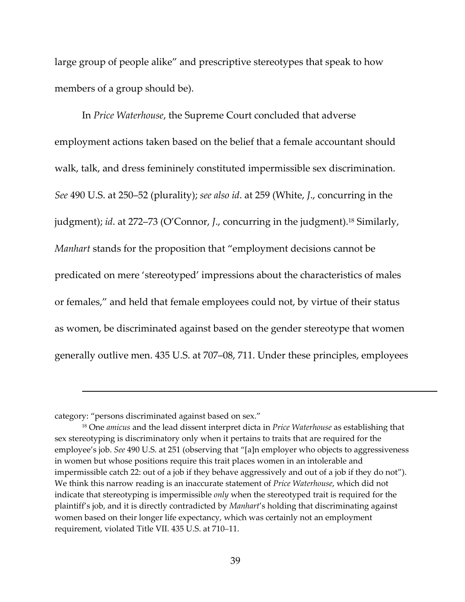large group of people alike" and prescriptive stereotypes that speak to how members of a group should be).

In *Price Waterhouse*, the Supreme Court concluded that adverse employment actions taken based on the belief that a female accountant should walk, talk, and dress femininely constituted impermissible sex discrimination. *See* 490 U.S. at 250–52 (plurality); *see also id*. at 259 (White, *J*., concurring in the judgment); *id*. at 272–73 (O'Connor, *J*., concurring in the judgment).18 Similarly, *Manhart* stands for the proposition that "employment decisions cannot be predicated on mere 'stereotyped' impressions about the characteristics of males or females," and held that female employees could not, by virtue of their status as women, be discriminated against based on the gender stereotype that women generally outlive men. 435 U.S. at 707–08, 711. Under these principles, employees

category: "persons discriminated against based on sex."

<sup>18</sup> One *amicus* and the lead dissent interpret dicta in *Price Waterhouse* as establishing that sex stereotyping is discriminatory only when it pertains to traits that are required for the employee's job. *See* 490 U.S. at 251 (observing that "[a]n employer who objects to aggressiveness in women but whose positions require this trait places women in an intolerable and impermissible catch 22: out of a job if they behave aggressively and out of a job if they do not"). We think this narrow reading is an inaccurate statement of *Price Waterhouse*, which did not indicate that stereotyping is impermissible *only* when the stereotyped trait is required for the plaintiff's job, and it is directly contradicted by *Manhart*'s holding that discriminating against women based on their longer life expectancy, which was certainly not an employment requirement, violated Title VII. 435 U.S. at 710–11.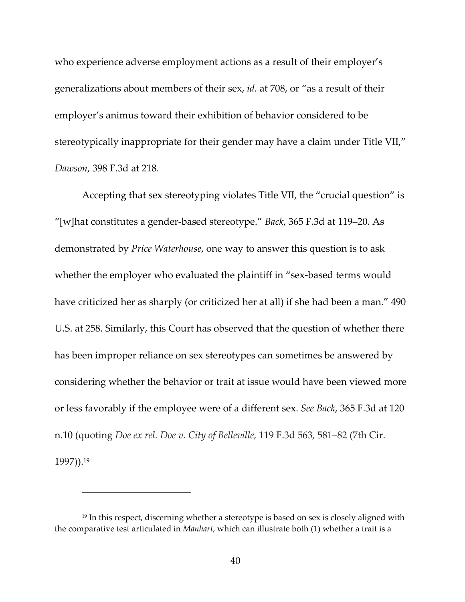who experience adverse employment actions as a result of their employer's generalizations about members of their sex, *id.* at 708, or "as a result of their employer's animus toward their exhibition of behavior considered to be stereotypically inappropriate for their gender may have a claim under Title VII," *Dawson*, 398 F.3d at 218.

Accepting that sex stereotyping violates Title VII, the "crucial question" is "[w]hat constitutes a gender‐based stereotype." *Back*, 365 F.3d at 119–20. As demonstrated by *Price Waterhouse*, one way to answer this question is to ask whether the employer who evaluated the plaintiff in "sex-based terms would have criticized her as sharply (or criticized her at all) if she had been a man." 490 U.S. at 258. Similarly, this Court has observed that the question of whether there has been improper reliance on sex stereotypes can sometimes be answered by considering whether the behavior or trait at issue would have been viewed more or less favorably if the employee were of a different sex. *See Back*, 365 F.3d at 120 n.10 (quoting *Doe ex rel. Doe v. City of Belleville,* 119 F.3d 563, 581–82 (7th Cir. 1997)).19

<sup>&</sup>lt;sup>19</sup> In this respect, discerning whether a stereotype is based on sex is closely aligned with the comparative test articulated in *Manhart*, which can illustrate both (1) whether a trait is a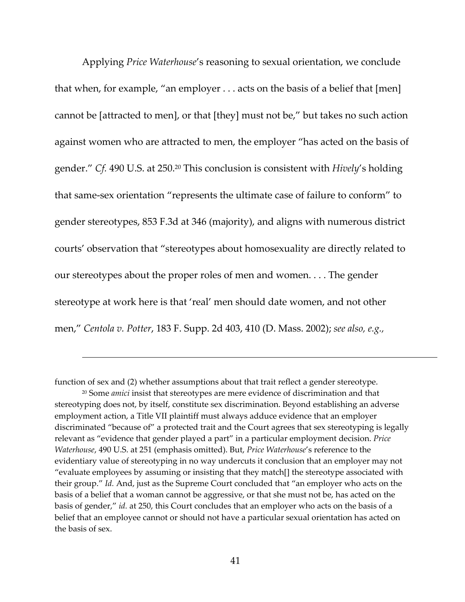Applying *Price Waterhouse*'s reasoning to sexual orientation, we conclude that when, for example, "an employer . . . acts on the basis of a belief that [men] cannot be [attracted to men], or that [they] must not be," but takes no such action against women who are attracted to men, the employer "has acted on the basis of gender." *Cf.* 490 U.S. at 250.20 This conclusion is consistent with *Hively*'s holding that same‐sex orientation "represents the ultimate case of failure to conform" to gender stereotypes, 853 F.3d at 346 (majority), and aligns with numerous district courts' observation that "stereotypes about homosexuality are directly related to our stereotypes about the proper roles of men and women. . . . The gender stereotype at work here is that 'real' men should date women, and not other men," *Centola v. Potter*, 183 F. Supp. 2d 403, 410 (D. Mass. 2002); *see also, e.g.,*

function of sex and (2) whether assumptions about that trait reflect a gender stereotype.

<sup>20</sup> Some *amici* insist that stereotypes are mere evidence of discrimination and that stereotyping does not, by itself, constitute sex discrimination. Beyond establishing an adverse employment action, a Title VII plaintiff must always adduce evidence that an employer discriminated "because of" a protected trait and the Court agrees that sex stereotyping is legally relevant as "evidence that gender played a part" in a particular employment decision. *Price Waterhouse*, 490 U.S. at 251 (emphasis omitted). But, *Price Waterhouse*'s reference to the evidentiary value of stereotyping in no way undercuts it conclusion that an employer may not "evaluate employees by assuming or insisting that they match[] the stereotype associated with their group." *Id.* And, just as the Supreme Court concluded that "an employer who acts on the basis of a belief that a woman cannot be aggressive, or that she must not be, has acted on the basis of gender," *id.* at 250, this Court concludes that an employer who acts on the basis of a belief that an employee cannot or should not have a particular sexual orientation has acted on the basis of sex.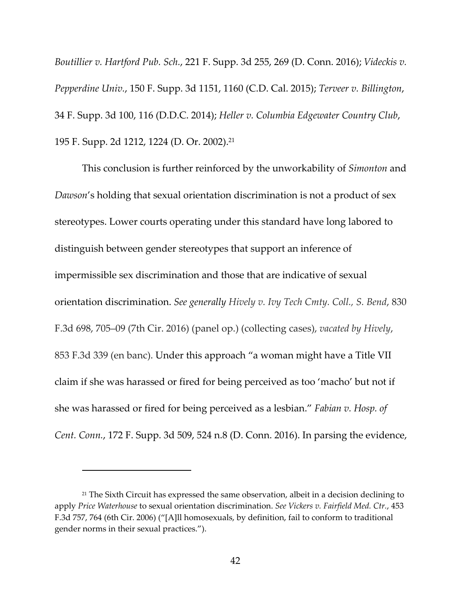*Boutillier v. Hartford Pub. Sch.*, 221 F. Supp. 3d 255, 269 (D. Conn. 2016); *Videckis v. Pepperdine Univ.*, 150 F. Supp. 3d 1151, 1160 (C.D. Cal. 2015); *Terveer v. Billington*, 34 F. Supp. 3d 100, 116 (D.D.C. 2014); *Heller v. Columbia Edgewater Country Club*, 195 F. Supp. 2d 1212, 1224 (D. Or. 2002).21

This conclusion is further reinforced by the unworkability of *Simonton* and *Dawson*'s holding that sexual orientation discrimination is not a product of sex stereotypes. Lower courts operating under this standard have long labored to distinguish between gender stereotypes that support an inference of impermissible sex discrimination and those that are indicative of sexual orientation discrimination. *See generally Hively v. Ivy Tech Cmty. Coll., S. Bend*, 830 F.3d 698, 705–09 (7th Cir. 2016) (panel op.) (collecting cases), *vacated by Hively*, 853 F.3d 339 (en banc). Under this approach "a woman might have a Title VII claim if she was harassed or fired for being perceived as too 'macho' but not if she was harassed or fired for being perceived as a lesbian." *Fabian v. Hosp. of Cent. Conn.*, 172 F. Supp. 3d 509, 524 n.8 (D. Conn. 2016). In parsing the evidence,

 $21$  The Sixth Circuit has expressed the same observation, albeit in a decision declining to apply *Price Waterhouse* to sexual orientation discrimination. *See Vickers v. Fairfield Med. Ctr.*, 453 F.3d 757, 764 (6th Cir. 2006) ("[A]ll homosexuals, by definition, fail to conform to traditional gender norms in their sexual practices.").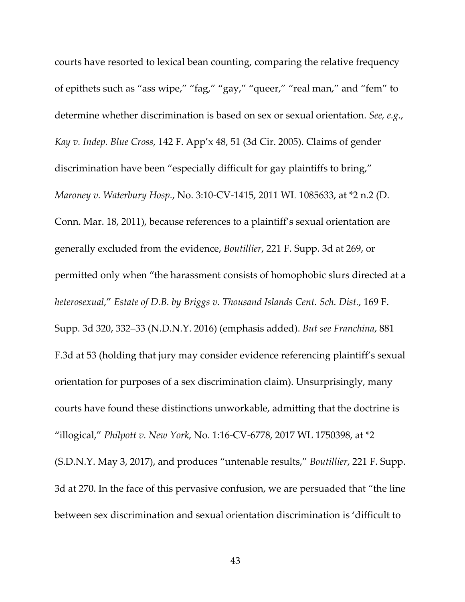courts have resorted to lexical bean counting, comparing the relative frequency of epithets such as "ass wipe," "fag," "gay," "queer," "real man," and "fem" to determine whether discrimination is based on sex or sexual orientation. *See, e.g.*, *Kay v. Indep. Blue Cross*, 142 F. App'x 48, 51 (3d Cir. 2005). Claims of gender discrimination have been "especially difficult for gay plaintiffs to bring," *Maroney v. Waterbury Hosp.*, No. 3:10‐CV‐1415, 2011 WL 1085633, at \*2 n.2 (D. Conn. Mar. 18, 2011), because references to a plaintiff's sexual orientation are generally excluded from the evidence, *Boutillier*, 221 F. Supp. 3d at 269, or permitted only when "the harassment consists of homophobic slurs directed at a *heterosexual*," *Estate of D.B. by Briggs v. Thousand Islands Cent. Sch. Dist.*, 169 F. Supp. 3d 320, 332–33 (N.D.N.Y. 2016) (emphasis added). *But see Franchina*, 881 F.3d at 53 (holding that jury may consider evidence referencing plaintiff's sexual orientation for purposes of a sex discrimination claim). Unsurprisingly, many courts have found these distinctions unworkable, admitting that the doctrine is "illogical," *Philpott v. New York*, No. 1:16‐CV‐6778, 2017 WL 1750398, at \*2 (S.D.N.Y. May 3, 2017), and produces "untenable results," *Boutillier*, 221 F. Supp. 3d at 270. In the face of this pervasive confusion, we are persuaded that "the line between sex discrimination and sexual orientation discrimination is 'difficult to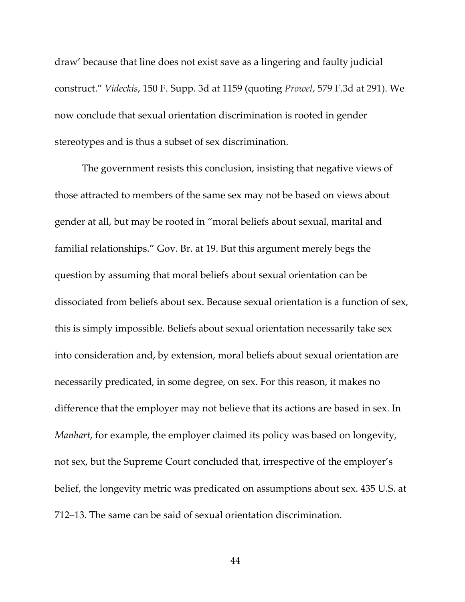draw' because that line does not exist save as a lingering and faulty judicial construct." *Videckis*, 150 F. Supp. 3d at 1159 (quoting *Prowel*, 579 F.3d at 291). We now conclude that sexual orientation discrimination is rooted in gender stereotypes and is thus a subset of sex discrimination.

The government resists this conclusion, insisting that negative views of those attracted to members of the same sex may not be based on views about gender at all, but may be rooted in "moral beliefs about sexual, marital and familial relationships." Gov. Br. at 19. But this argument merely begs the question by assuming that moral beliefs about sexual orientation can be dissociated from beliefs about sex. Because sexual orientation is a function of sex, this is simply impossible. Beliefs about sexual orientation necessarily take sex into consideration and, by extension, moral beliefs about sexual orientation are necessarily predicated, in some degree, on sex. For this reason, it makes no difference that the employer may not believe that its actions are based in sex. In *Manhart*, for example, the employer claimed its policy was based on longevity, not sex, but the Supreme Court concluded that, irrespective of the employer's belief, the longevity metric was predicated on assumptions about sex. 435 U.S. at 712–13. The same can be said of sexual orientation discrimination.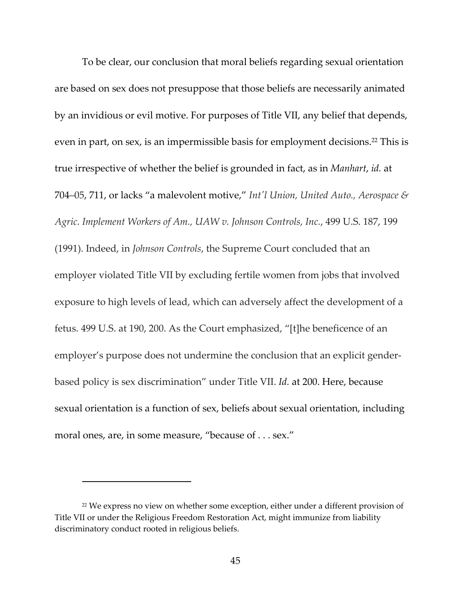To be clear, our conclusion that moral beliefs regarding sexual orientation are based on sex does not presuppose that those beliefs are necessarily animated by an invidious or evil motive. For purposes of Title VII, any belief that depends, even in part, on sex, is an impermissible basis for employment decisions.22 This is true irrespective of whether the belief is grounded in fact, as in *Manhart*, *id.* at 704–05, 711, or lacks "a malevolent motive," *Intʹl Union, United Auto., Aerospace & Agric. Implement Workers of Am., UAW v. Johnson Controls, Inc.*, 499 U.S. 187, 199 (1991). Indeed, in *Johnson Controls*, the Supreme Court concluded that an employer violated Title VII by excluding fertile women from jobs that involved exposure to high levels of lead, which can adversely affect the development of a fetus. 499 U.S. at 190, 200. As the Court emphasized, "[t]he beneficence of an employer's purpose does not undermine the conclusion that an explicit gender‐ based policy is sex discrimination" under Title VII. *Id.* at 200. Here, because sexual orientation is a function of sex, beliefs about sexual orientation, including moral ones, are, in some measure, "because of . . . sex."

<sup>&</sup>lt;sup>22</sup> We express no view on whether some exception, either under a different provision of Title VII or under the Religious Freedom Restoration Act, might immunize from liability discriminatory conduct rooted in religious beliefs.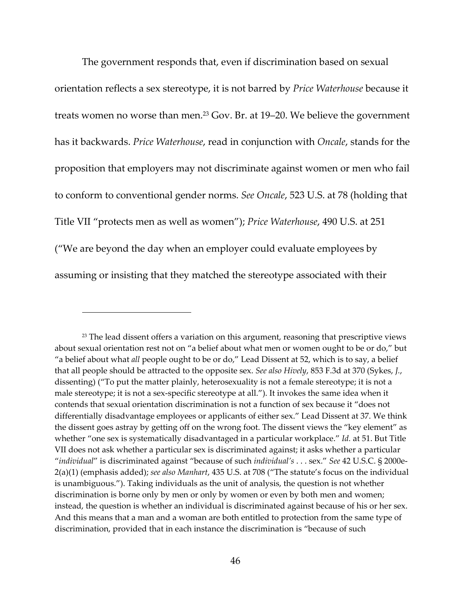The government responds that, even if discrimination based on sexual orientation reflects a sex stereotype, it is not barred by *Price Waterhouse* because it treats women no worse than men.<sup>23</sup> Gov. Br. at 19–20. We believe the government has it backwards. *Price Waterhouse*, read in conjunction with *Oncale*, stands for the proposition that employers may not discriminate against women or men who fail to conform to conventional gender norms. *See Oncale*, 523 U.S. at 78 (holding that Title VII "protects men as well as women"); *Price Waterhouse*, 490 U.S. at 251 ("We are beyond the day when an employer could evaluate employees by assuming or insisting that they matched the stereotype associated with their

 $23$  The lead dissent offers a variation on this argument, reasoning that prescriptive views about sexual orientation rest not on "a belief about what men or women ought to be or do," but "a belief about what *all* people ought to be or do," Lead Dissent at 52, which is to say, a belief that all people should be attracted to the opposite sex. *See also Hively*, 853 F.3d at 370 (Sykes, *J.*, dissenting) ("To put the matter plainly, heterosexuality is not a female stereotype; it is not a male stereotype; it is not a sex-specific stereotype at all."). It invokes the same idea when it contends that sexual orientation discrimination is not a function of sex because it "does not differentially disadvantage employees or applicants of either sex." Lead Dissent at 37. We think the dissent goes astray by getting off on the wrong foot. The dissent views the "key element" as whether "one sex is systematically disadvantaged in a particular workplace." *Id.* at 51. But Title VII does not ask whether a particular sex is discriminated against; it asks whether a particular "*individual*" is discriminated against "because of such *individual's* . . . sex." *See* 42 U.S.C. § 2000e‐ 2(a)(1) (emphasis added); *see also Manhart*, 435 U.S. at 708 ("The statute's focus on the individual is unambiguous."). Taking individuals as the unit of analysis, the question is not whether discrimination is borne only by men or only by women or even by both men and women; instead, the question is whether an individual is discriminated against because of his or her sex. And this means that a man and a woman are both entitled to protection from the same type of discrimination, provided that in each instance the discrimination is "because of such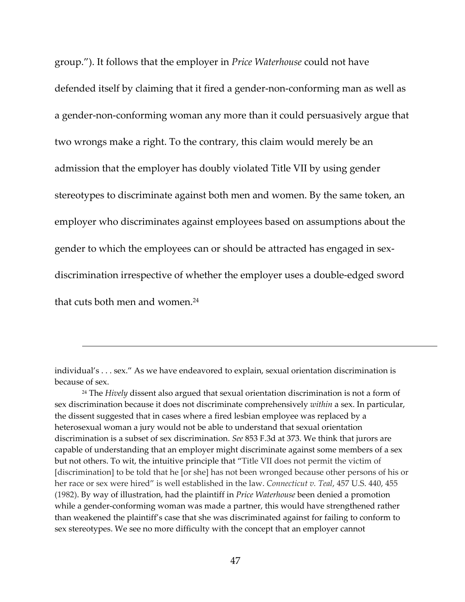group."). It follows that the employer in *Price Waterhouse* could not have defended itself by claiming that it fired a gender‐non‐conforming man as well as a gender‐non‐conforming woman any more than it could persuasively argue that two wrongs make a right. To the contrary, this claim would merely be an admission that the employer has doubly violated Title VII by using gender stereotypes to discriminate against both men and women. By the same token, an employer who discriminates against employees based on assumptions about the gender to which the employees can or should be attracted has engaged in sex‐ discrimination irrespective of whether the employer uses a double‐edged sword that cuts both men and women.24

individual's . . . sex." As we have endeavored to explain, sexual orientation discrimination is because of sex.

<sup>24</sup> The *Hively* dissent also argued that sexual orientation discrimination is not a form of sex discrimination because it does not discriminate comprehensively *within* a sex. In particular, the dissent suggested that in cases where a fired lesbian employee was replaced by a heterosexual woman a jury would not be able to understand that sexual orientation discrimination is a subset of sex discrimination. *See* 853 F.3d at 373. We think that jurors are capable of understanding that an employer might discriminate against some members of a sex but not others. To wit, the intuitive principle that "Title VII does not permit the victim of [discrimination] to be told that he [or she] has not been wronged because other persons of his or her race or sex were hired" is well established in the law. *Connecticut v. Teal*, 457 U.S. 440, 455 (1982). By way of illustration, had the plaintiff in *Price Waterhouse* been denied a promotion while a gender-conforming woman was made a partner, this would have strengthened rather than weakened the plaintiff's case that she was discriminated against for failing to conform to sex stereotypes. We see no more difficulty with the concept that an employer cannot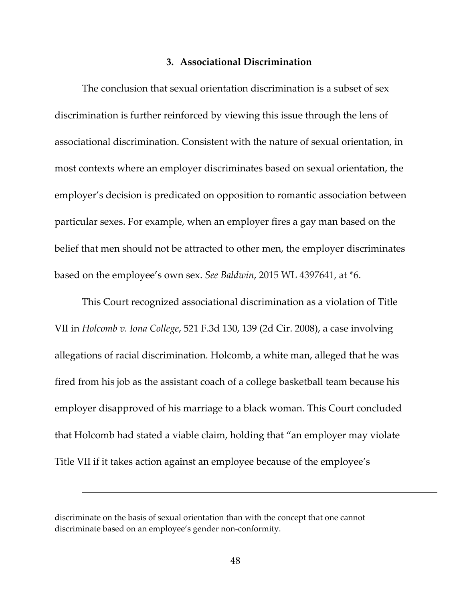### **3. Associational Discrimination**

The conclusion that sexual orientation discrimination is a subset of sex discrimination is further reinforced by viewing this issue through the lens of associational discrimination. Consistent with the nature of sexual orientation, in most contexts where an employer discriminates based on sexual orientation, the employer's decision is predicated on opposition to romantic association between particular sexes. For example, when an employer fires a gay man based on the belief that men should not be attracted to other men, the employer discriminates based on the employee's own sex. *See Baldwin*, 2015 WL 4397641, at \*6.

This Court recognized associational discrimination as a violation of Title VII in *Holcomb v. Iona College*, 521 F.3d 130, 139 (2d Cir. 2008), a case involving allegations of racial discrimination. Holcomb, a white man, alleged that he was fired from his job as the assistant coach of a college basketball team because his employer disapproved of his marriage to a black woman. This Court concluded that Holcomb had stated a viable claim, holding that "an employer may violate Title VII if it takes action against an employee because of the employee's

discriminate on the basis of sexual orientation than with the concept that one cannot discriminate based on an employee's gender non‐conformity.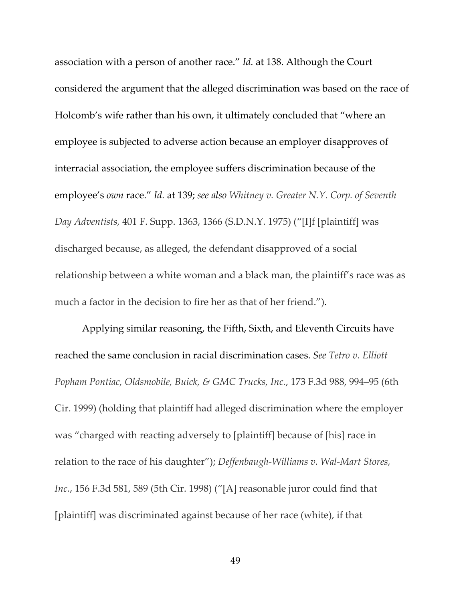association with a person of another race." *Id.* at 138. Although the Court considered the argument that the alleged discrimination was based on the race of Holcomb's wife rather than his own, it ultimately concluded that "where an employee is subjected to adverse action because an employer disapproves of interracial association, the employee suffers discrimination because of the employee's *own* race." *Id.* at 139; *see also Whitney v. Greater N.Y. Corp. of Seventh Day Adventists,* 401 F. Supp. 1363, 1366 (S.D.N.Y. 1975) ("[I]f [plaintiff] was discharged because, as alleged, the defendant disapproved of a social relationship between a white woman and a black man, the plaintiff's race was as much a factor in the decision to fire her as that of her friend.").

Applying similar reasoning, the Fifth, Sixth, and Eleventh Circuits have reached the same conclusion in racial discrimination cases. *See Tetro v. Elliott Popham Pontiac, Oldsmobile, Buick, & GMC Trucks, Inc.*, 173 F.3d 988, 994–95 (6th Cir. 1999) (holding that plaintiff had alleged discrimination where the employer was "charged with reacting adversely to [plaintiff] because of [his] race in relation to the race of his daughter"); *Deffenbaugh‐Williams v. Wal‐Mart Stores, Inc.*, 156 F.3d 581, 589 (5th Cir. 1998) ("[A] reasonable juror could find that [plaintiff] was discriminated against because of her race (white), if that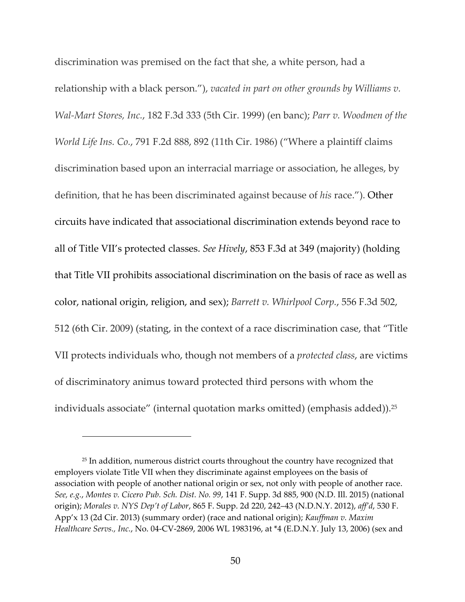discrimination was premised on the fact that she, a white person, had a relationship with a black person."), *vacated in part on other grounds by Williams v. Wal‐Mart Stores, Inc.*, 182 F.3d 333 (5th Cir. 1999) (en banc); *Parr v. Woodmen of the World Life Ins. Co.*, 791 F.2d 888, 892 (11th Cir. 1986) ("Where a plaintiff claims discrimination based upon an interracial marriage or association, he alleges, by definition, that he has been discriminated against because of *his* race."). Other circuits have indicated that associational discrimination extends beyond race to all of Title VII's protected classes. *See Hively*, 853 F.3d at 349 (majority) (holding that Title VII prohibits associational discrimination on the basis of race as well as color, national origin, religion, and sex); *Barrett v. Whirlpool Corp.*, 556 F.3d 502, 512 (6th Cir. 2009) (stating, in the context of a race discrimination case, that "Title VII protects individuals who, though not members of a *protected class*, are victims of discriminatory animus toward protected third persons with whom the individuals associate" (internal quotation marks omitted) (emphasis added)).<sup>25</sup>

<sup>&</sup>lt;sup>25</sup> In addition, numerous district courts throughout the country have recognized that employers violate Title VII when they discriminate against employees on the basis of association with people of another national origin or sex, not only with people of another race. *See, e.g.*, *Montes v. Cicero Pub. Sch. Dist. No. 99*, 141 F. Supp. 3d 885, 900 (N.D. Ill. 2015) (national origin); *Morales v. NYS Dep't of Labor*, 865 F. Supp. 2d 220, 242–43 (N.D.N.Y. 2012), *aff'd*, 530 F. App'x 13 (2d Cir. 2013) (summary order) (race and national origin); *Kauffman v. Maxim Healthcare Servs., Inc.*, No. 04‐CV‐2869, 2006 WL 1983196, at \*4 (E.D.N.Y. July 13, 2006) (sex and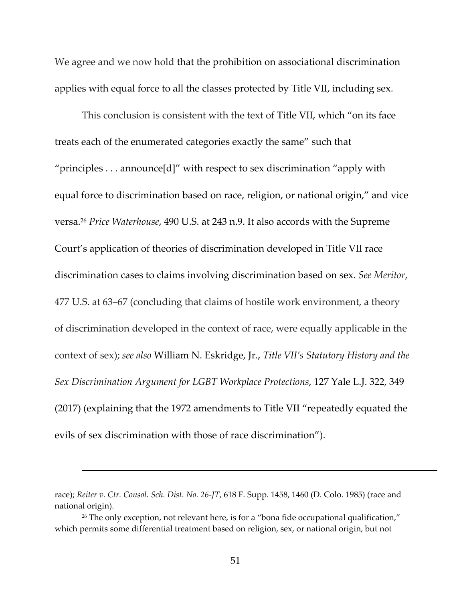We agree and we now hold that the prohibition on associational discrimination applies with equal force to all the classes protected by Title VII, including sex.

This conclusion is consistent with the text of Title VII, which "on its face treats each of the enumerated categories exactly the same" such that "principles . . . announce[d]" with respect to sex discrimination "apply with equal force to discrimination based on race, religion, or national origin," and vice versa.26 *Price Waterhouse*, 490 U.S. at 243 n.9. It also accords with the Supreme Court's application of theories of discrimination developed in Title VII race discrimination cases to claims involving discrimination based on sex. *See Meritor*, 477 U.S. at 63–67 (concluding that claims of hostile work environment, a theory of discrimination developed in the context of race, were equally applicable in the context of sex); *see also* William N. Eskridge, Jr., *Title VII's Statutory History and the Sex Discrimination Argument for LGBT Workplace Protections*, 127 Yale L.J. 322, 349 (2017) (explaining that the 1972 amendments to Title VII "repeatedly equated the evils of sex discrimination with those of race discrimination").

race); *Reiter v. Ctr. Consol. Sch. Dist. No. 26‐JT*, 618 F. Supp. 1458, 1460 (D. Colo. 1985) (race and national origin).

<sup>&</sup>lt;sup>26</sup> The only exception, not relevant here, is for a "bona fide occupational qualification," which permits some differential treatment based on religion, sex, or national origin, but not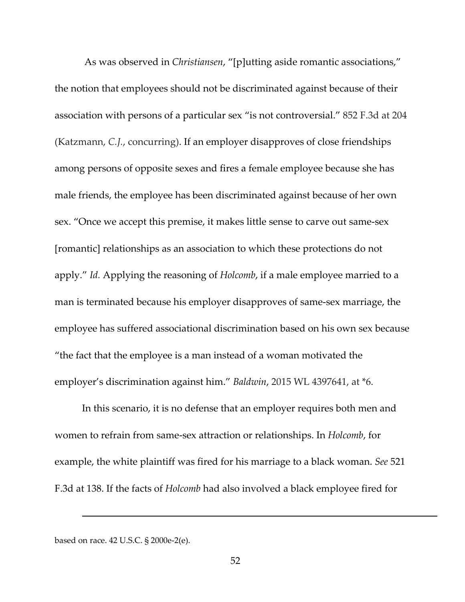As was observed in *Christiansen*, "[p]utting aside romantic associations," the notion that employees should not be discriminated against because of their association with persons of a particular sex "is not controversial." 852 F.3d at 204 (Katzmann, *C.J.*, concurring). If an employer disapproves of close friendships among persons of opposite sexes and fires a female employee because she has male friends, the employee has been discriminated against because of her own sex. "Once we accept this premise, it makes little sense to carve out same‐sex [romantic] relationships as an association to which these protections do not apply." *Id.* Applying the reasoning of *Holcomb*, if a male employee married to a man is terminated because his employer disapproves of same‐sex marriage, the employee has suffered associational discrimination based on his own sex because "the fact that the employee is a man instead of a woman motivated the employer's discrimination against him." *Baldwin*, 2015 WL 4397641, at \*6.

In this scenario, it is no defense that an employer requires both men and women to refrain from same‐sex attraction or relationships. In *Holcomb*, for example, the white plaintiff was fired for his marriage to a black woman. *See* 521 F.3d at 138. If the facts of *Holcomb* had also involved a black employee fired for

based on race. 42 U.S.C. § 2000e‐2(e).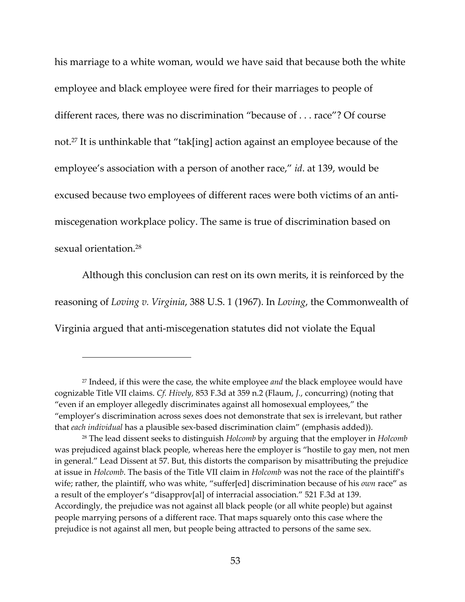his marriage to a white woman, would we have said that because both the white employee and black employee were fired for their marriages to people of different races, there was no discrimination "because of . . . race"? Of course not.<sup>27</sup> It is unthinkable that "tak[ing] action against an employee because of the employee's association with a person of another race," *id*. at 139, would be excused because two employees of different races were both victims of an anti‐ miscegenation workplace policy. The same is true of discrimination based on sexual orientation.28

Although this conclusion can rest on its own merits, it is reinforced by the reasoning of *Loving v. Virginia*, 388 U.S. 1 (1967). In *Loving*, the Commonwealth of Virginia argued that anti‐miscegenation statutes did not violate the Equal

<sup>27</sup> Indeed, if this were the case, the white employee *and* the black employee would have cognizable Title VII claims. *Cf. Hively*, 853 F.3d at 359 n.2 (Flaum, *J.*, concurring) (noting that "even if an employer allegedly discriminates against all homosexual employees," the "employer's discrimination across sexes does not demonstrate that sex is irrelevant, but rather that *each individual* has a plausible sex‐based discrimination claim" (emphasis added)).

<sup>28</sup> The lead dissent seeks to distinguish *Holcomb* by arguing that the employer in *Holcomb* was prejudiced against black people, whereas here the employer is "hostile to gay men, not men in general." Lead Dissent at 57. But, this distorts the comparison by misattributing the prejudice at issue in *Holcomb*. The basis of the Title VII claim in *Holcomb* was not the race of the plaintiff's wife; rather, the plaintiff, who was white, "suffer[ed] discrimination because of his *own* race" as a result of the employer's "disapprov[al] of interracial association." 521 F.3d at 139. Accordingly, the prejudice was not against all black people (or all white people) but against people marrying persons of a different race. That maps squarely onto this case where the prejudice is not against all men, but people being attracted to persons of the same sex.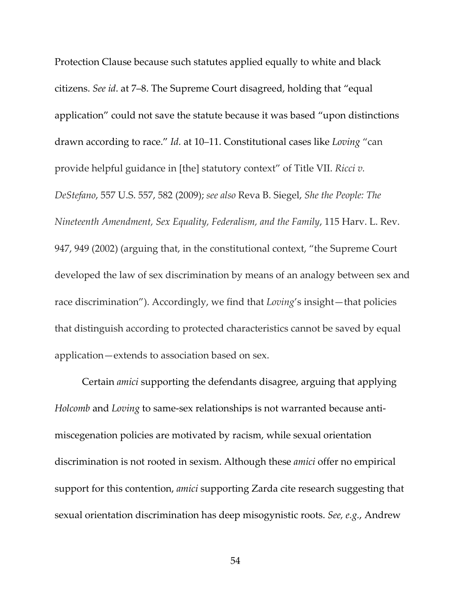Protection Clause because such statutes applied equally to white and black citizens. *See id*. at 7–8. The Supreme Court disagreed, holding that "equal application" could not save the statute because it was based "upon distinctions drawn according to race." *Id.* at 10–11. Constitutional cases like *Loving* "can provide helpful guidance in [the] statutory context" of Title VII. *Ricci v. DeStefano*, 557 U.S. 557, 582 (2009); *see also* Reva B. Siegel, *She the People: The Nineteenth Amendment, Sex Equality, Federalism, and the Family*, 115 Harv. L. Rev. 947, 949 (2002) (arguing that, in the constitutional context, "the Supreme Court developed the law of sex discrimination by means of an analogy between sex and race discrimination"). Accordingly, we find that *Loving*'s insight—that policies that distinguish according to protected characteristics cannot be saved by equal application—extends to association based on sex.

Certain *amici* supporting the defendants disagree, arguing that applying *Holcomb* and *Loving* to same‐sex relationships is not warranted because anti‐ miscegenation policies are motivated by racism, while sexual orientation discrimination is not rooted in sexism. Although these *amici* offer no empirical support for this contention, *amici* supporting Zarda cite research suggesting that sexual orientation discrimination has deep misogynistic roots. *See, e.g.*, Andrew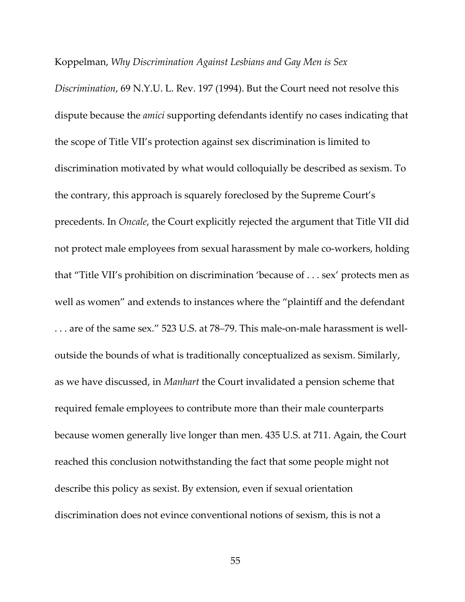### Koppelman, *Why Discrimination Against Lesbians and Gay Men is Sex*

*Discrimination*, 69 N.Y.U. L. Rev. 197 (1994). But the Court need not resolve this dispute because the *amici* supporting defendants identify no cases indicating that the scope of Title VII's protection against sex discrimination is limited to discrimination motivated by what would colloquially be described as sexism. To the contrary, this approach is squarely foreclosed by the Supreme Court's precedents. In *Oncale*, the Court explicitly rejected the argument that Title VII did not protect male employees from sexual harassment by male co-workers, holding that "Title VII's prohibition on discrimination 'because of . . . sex' protects men as well as women" and extends to instances where the "plaintiff and the defendant . . . are of the same sex." 523 U.S. at 78–79. This male‐on‐male harassment is well‐ outside the bounds of what is traditionally conceptualized as sexism. Similarly, as we have discussed, in *Manhart* the Court invalidated a pension scheme that required female employees to contribute more than their male counterparts because women generally live longer than men. 435 U.S. at 711. Again, the Court reached this conclusion notwithstanding the fact that some people might not describe this policy as sexist. By extension, even if sexual orientation discrimination does not evince conventional notions of sexism, this is not a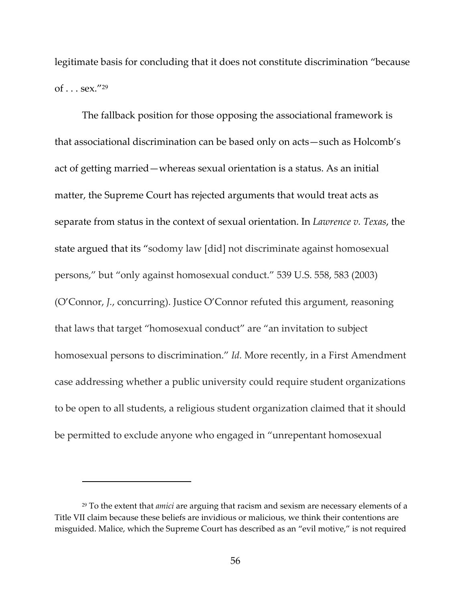legitimate basis for concluding that it does not constitute discrimination "because of  $\ldots$  sex."<sup>29</sup>

The fallback position for those opposing the associational framework is that associational discrimination can be based only on acts—such as Holcomb's act of getting married—whereas sexual orientation is a status. As an initial matter, the Supreme Court has rejected arguments that would treat acts as separate from status in the context of sexual orientation. In *Lawrence v. Texas*, the state argued that its "sodomy law [did] not discriminate against homosexual persons," but "only against homosexual conduct." 539 U.S. 558, 583 (2003) (O'Connor, *J.*, concurring). Justice O'Connor refuted this argument, reasoning that laws that target "homosexual conduct" are "an invitation to subject homosexual persons to discrimination." *Id.* More recently, in a First Amendment case addressing whether a public university could require student organizations to be open to all students, a religious student organization claimed that it should be permitted to exclude anyone who engaged in "unrepentant homosexual

<sup>29</sup> To the extent that *amici* are arguing that racism and sexism are necessary elements of a Title VII claim because these beliefs are invidious or malicious, we think their contentions are misguided. Malice, which the Supreme Court has described as an "evil motive," is not required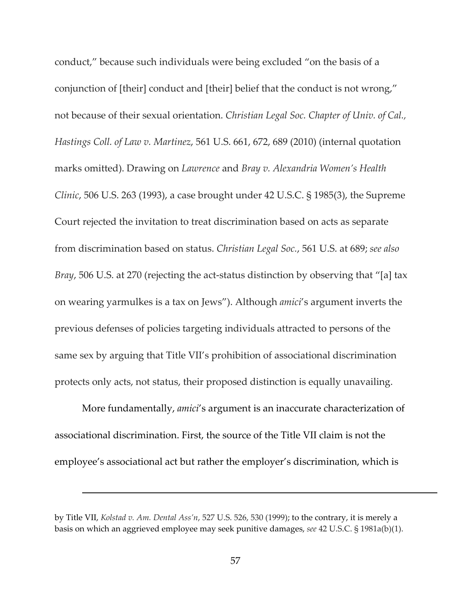conduct," because such individuals were being excluded "on the basis of a conjunction of [their] conduct and [their] belief that the conduct is not wrong," not because of their sexual orientation. *Christian Legal Soc. Chapter of Univ. of Cal., Hastings Coll. of Law v. Martinez*, 561 U.S. 661, 672, 689 (2010) (internal quotation marks omitted). Drawing on *Lawrence* and *Bray v. Alexandria Women's Health Clinic*, 506 U.S. 263 (1993), a case brought under 42 U.S.C. § 1985(3), the Supreme Court rejected the invitation to treat discrimination based on acts as separate from discrimination based on status. *Christian Legal Soc.*, 561 U.S. at 689; *see also Bray*, 506 U.S. at 270 (rejecting the act-status distinction by observing that "[a] tax on wearing yarmulkes is a tax on Jews"). Although *amici*'s argument inverts the previous defenses of policies targeting individuals attracted to persons of the same sex by arguing that Title VII's prohibition of associational discrimination protects only acts, not status, their proposed distinction is equally unavailing.

More fundamentally, *amici*'s argument is an inaccurate characterization of associational discrimination. First, the source of the Title VII claim is not the employee's associational act but rather the employer's discrimination, which is

<u> 1989 - Andrea Santa Andrea Andrea Andrea Andrea Andrea Andrea Andrea Andrea Andrea Andrea Andrea Andrea Andr</u>

by Title VII, *Kolstad v. Am. Dental Ass'n*, 527 U.S. 526, 530 (1999); to the contrary, it is merely a basis on which an aggrieved employee may seek punitive damages, *see* 42 U.S.C. § 1981a(b)(1).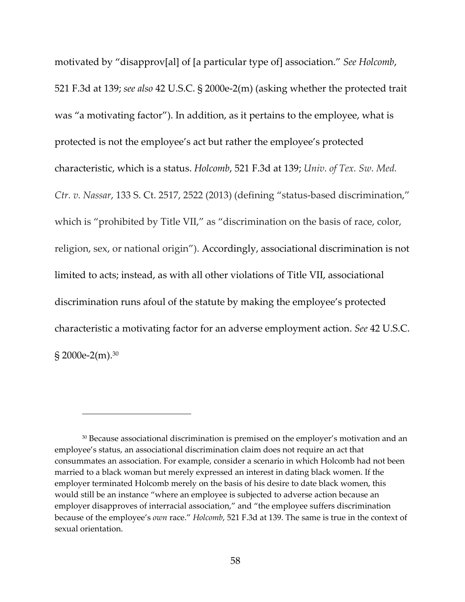motivated by "disapprov[al] of [a particular type of] association." *See Holcomb*, 521 F.3d at 139; *see also* 42 U.S.C. § 2000e‐2(m) (asking whether the protected trait was "a motivating factor"). In addition, as it pertains to the employee, what is protected is not the employee's act but rather the employee's protected characteristic, which is a status. *Holcomb*, 521 F.3d at 139; *Univ. of Tex. Sw. Med. Ctr. v. Nassar*, 133 S. Ct. 2517, 2522 (2013) (defining "status‐based discrimination," which is "prohibited by Title VII," as "discrimination on the basis of race, color, religion, sex, or national origin"). Accordingly, associational discrimination is not limited to acts; instead, as with all other violations of Title VII, associational discrimination runs afoul of the statute by making the employee's protected characteristic a motivating factor for an adverse employment action. *See* 42 U.S.C. § 2000e-2(m).<sup>30</sup>

<sup>&</sup>lt;sup>30</sup> Because associational discrimination is premised on the employer's motivation and an employee's status, an associational discrimination claim does not require an act that consummates an association. For example, consider a scenario in which Holcomb had not been married to a black woman but merely expressed an interest in dating black women. If the employer terminated Holcomb merely on the basis of his desire to date black women, this would still be an instance "where an employee is subjected to adverse action because an employer disapproves of interracial association," and "the employee suffers discrimination because of the employee's *own* race." *Holcomb*, 521 F.3d at 139. The same is true in the context of sexual orientation.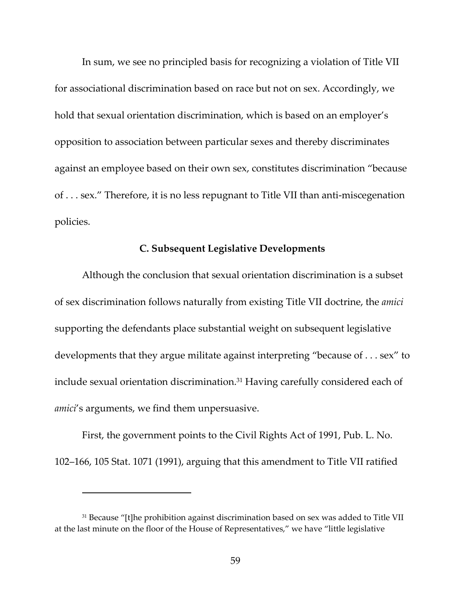In sum, we see no principled basis for recognizing a violation of Title VII for associational discrimination based on race but not on sex. Accordingly, we hold that sexual orientation discrimination, which is based on an employer's opposition to association between particular sexes and thereby discriminates against an employee based on their own sex, constitutes discrimination "because of . . . sex." Therefore, it is no less repugnant to Title VII than anti‐miscegenation policies.

### **C. Subsequent Legislative Developments**

Although the conclusion that sexual orientation discrimination is a subset of sex discrimination follows naturally from existing Title VII doctrine, the *amici* supporting the defendants place substantial weight on subsequent legislative developments that they argue militate against interpreting "because of . . . sex" to include sexual orientation discrimination.<sup>31</sup> Having carefully considered each of *amici*'s arguments, we find them unpersuasive.

First, the government points to the Civil Rights Act of 1991, Pub. L. No. 102–166, 105 Stat. 1071 (1991), arguing that this amendment to Title VII ratified

<sup>&</sup>lt;sup>31</sup> Because "[t]he prohibition against discrimination based on sex was added to Title VII at the last minute on the floor of the House of Representatives," we have "little legislative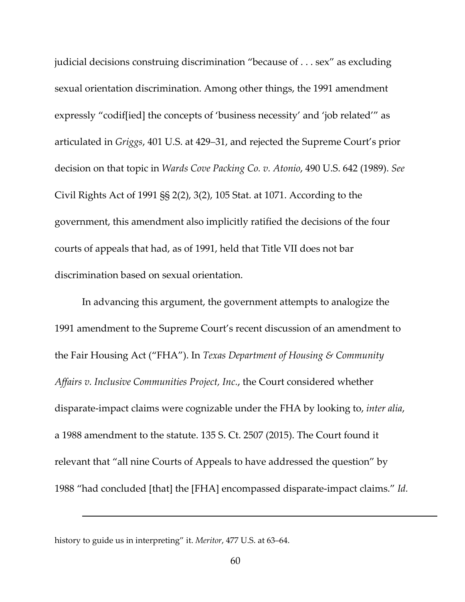judicial decisions construing discrimination "because of . . . sex" as excluding sexual orientation discrimination. Among other things, the 1991 amendment expressly "codif[ied] the concepts of 'business necessity' and 'job related'" as articulated in *Griggs*, 401 U.S. at 429–31, and rejected the Supreme Court's prior decision on that topic in *Wards Cove Packing Co. v. Atonio*, 490 U.S. 642 (1989). *See* Civil Rights Act of 1991 §§ 2(2), 3(2), 105 Stat. at 1071. According to the government, this amendment also implicitly ratified the decisions of the four courts of appeals that had, as of 1991, held that Title VII does not bar discrimination based on sexual orientation.

In advancing this argument, the government attempts to analogize the 1991 amendment to the Supreme Court's recent discussion of an amendment to the Fair Housing Act ("FHA"). In *Texas Department of Housing & Community Affairs v. Inclusive Communities Project, Inc.*, the Court considered whether disparate‐impact claims were cognizable under the FHA by looking to, *inter alia*, a 1988 amendment to the statute. 135 S. Ct. 2507 (2015). The Court found it relevant that "all nine Courts of Appeals to have addressed the question" by 1988 "had concluded [that] the [FHA] encompassed disparate‐impact claims." *Id.*

history to guide us in interpreting" it. *Meritor*, 477 U.S. at 63–64.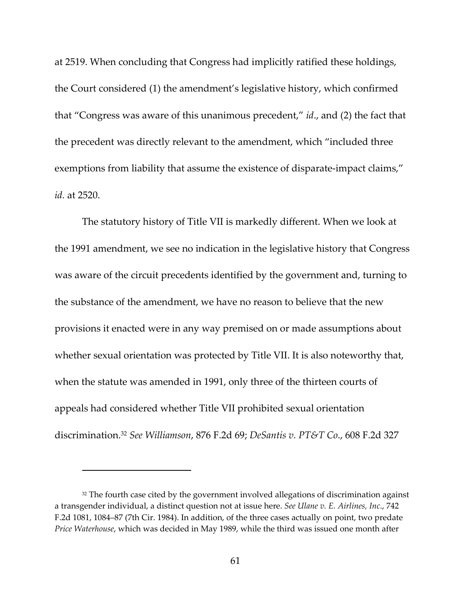at 2519. When concluding that Congress had implicitly ratified these holdings, the Court considered (1) the amendment's legislative history, which confirmed that "Congress was aware of this unanimous precedent," *id*., and (2) the fact that the precedent was directly relevant to the amendment, which "included three exemptions from liability that assume the existence of disparate-impact claims," *id.* at 2520.

The statutory history of Title VII is markedly different. When we look at the 1991 amendment, we see no indication in the legislative history that Congress was aware of the circuit precedents identified by the government and, turning to the substance of the amendment, we have no reason to believe that the new provisions it enacted were in any way premised on or made assumptions about whether sexual orientation was protected by Title VII. It is also noteworthy that, when the statute was amended in 1991, only three of the thirteen courts of appeals had considered whether Title VII prohibited sexual orientation discrimination.32 *See Williamson*, 876 F.2d 69; *DeSantis v. PT&T Co*., 608 F.2d 327

<sup>&</sup>lt;sup>32</sup> The fourth case cited by the government involved allegations of discrimination against a transgender individual, a distinct question not at issue here. *See Ulane v. E. Airlines, Inc*., 742 F.2d 1081, 1084–87 (7th Cir. 1984). In addition, of the three cases actually on point, two predate *Price Waterhouse*, which was decided in May 1989, while the third was issued one month after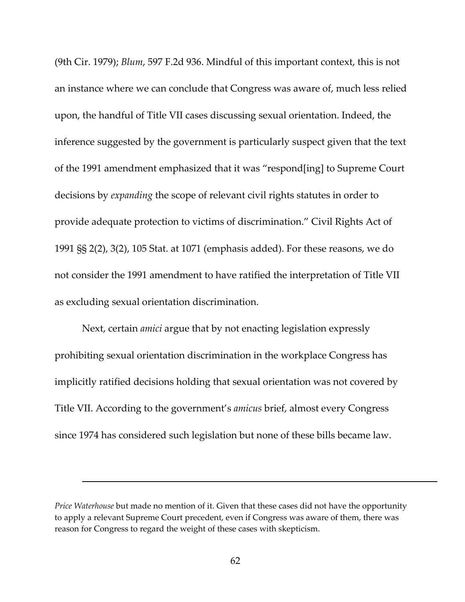(9th Cir. 1979); *Blum*, 597 F.2d 936. Mindful of this important context, this is not an instance where we can conclude that Congress was aware of, much less relied upon, the handful of Title VII cases discussing sexual orientation. Indeed, the inference suggested by the government is particularly suspect given that the text of the 1991 amendment emphasized that it was "respond[ing] to Supreme Court decisions by *expanding* the scope of relevant civil rights statutes in order to provide adequate protection to victims of discrimination." Civil Rights Act of 1991 §§ 2(2), 3(2), 105 Stat. at 1071 (emphasis added). For these reasons, we do not consider the 1991 amendment to have ratified the interpretation of Title VII as excluding sexual orientation discrimination.

Next, certain *amici* argue that by not enacting legislation expressly prohibiting sexual orientation discrimination in the workplace Congress has implicitly ratified decisions holding that sexual orientation was not covered by Title VII. According to the government's *amicus* brief, almost every Congress since 1974 has considered such legislation but none of these bills became law.

*Price Waterhouse* but made no mention of it. Given that these cases did not have the opportunity to apply a relevant Supreme Court precedent, even if Congress was aware of them, there was reason for Congress to regard the weight of these cases with skepticism.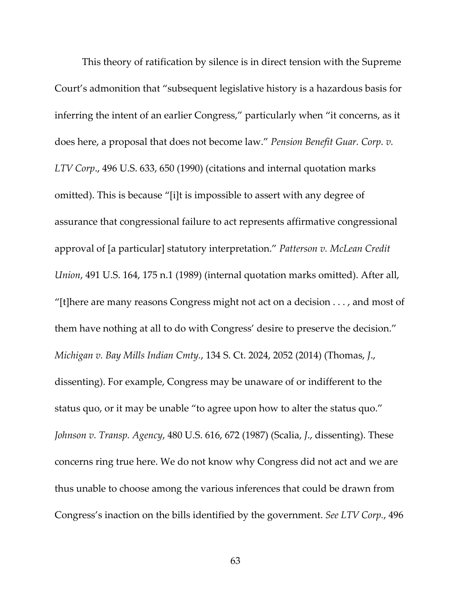This theory of ratification by silence is in direct tension with the Supreme Court's admonition that "subsequent legislative history is a hazardous basis for inferring the intent of an earlier Congress," particularly when "it concerns, as it does here, a proposal that does not become law." *Pension Benefit Guar. Corp. v. LTV Corp*., 496 U.S. 633, 650 (1990) (citations and internal quotation marks omitted). This is because "[i]t is impossible to assert with any degree of assurance that congressional failure to act represents affirmative congressional approval of [a particular] statutory interpretation." *Patterson v. McLean Credit Union*, 491 U.S. 164, 175 n.1 (1989) (internal quotation marks omitted). After all, "[t]here are many reasons Congress might not act on a decision . . . , and most of them have nothing at all to do with Congress' desire to preserve the decision." *Michigan v. Bay Mills Indian Cmty.*, 134 S. Ct. 2024, 2052 (2014) (Thomas, *J*., dissenting). For example, Congress may be unaware of or indifferent to the status quo, or it may be unable "to agree upon how to alter the status quo." *Johnson v. Transp. Agency*, 480 U.S. 616, 672 (1987) (Scalia, *J*., dissenting). These concerns ring true here. We do not know why Congress did not act and we are thus unable to choose among the various inferences that could be drawn from Congress's inaction on the bills identified by the government. *See LTV Corp.*, 496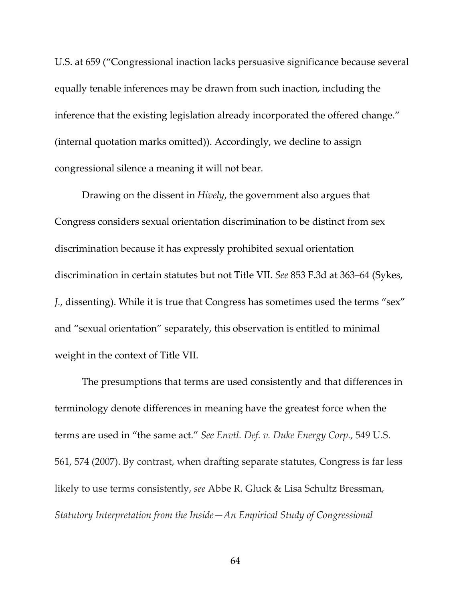U.S. at 659 ("Congressional inaction lacks persuasive significance because several equally tenable inferences may be drawn from such inaction, including the inference that the existing legislation already incorporated the offered change." (internal quotation marks omitted)). Accordingly, we decline to assign congressional silence a meaning it will not bear.

Drawing on the dissent in *Hively*, the government also argues that Congress considers sexual orientation discrimination to be distinct from sex discrimination because it has expressly prohibited sexual orientation discrimination in certain statutes but not Title VII. *See* 853 F.3d at 363–64 (Sykes, *J.*, dissenting). While it is true that Congress has sometimes used the terms "sex" and "sexual orientation" separately, this observation is entitled to minimal weight in the context of Title VII.

The presumptions that terms are used consistently and that differences in terminology denote differences in meaning have the greatest force when the terms are used in "the same act." *See Envtl. Def. v. Duke Energy Corp.*, 549 U.S. 561, 574 (2007). By contrast, when drafting separate statutes, Congress is far less likely to use terms consistently, *see* Abbe R. Gluck & Lisa Schultz Bressman, *Statutory Interpretation from the Inside—An Empirical Study of Congressional*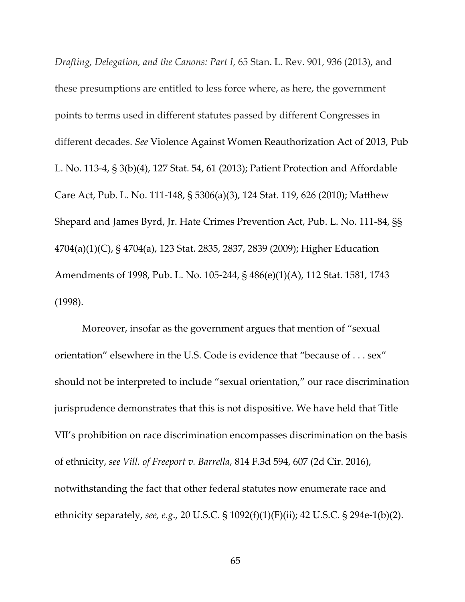*Drafting, Delegation, and the Canons: Part I*, 65 Stan. L. Rev. 901, 936 (2013), and these presumptions are entitled to less force where, as here, the government points to terms used in different statutes passed by different Congresses in different decades. *See* Violence Against Women Reauthorization Act of 2013, Pub L. No. 113‐4, § 3(b)(4), 127 Stat. 54, 61 (2013); Patient Protection and Affordable Care Act, Pub. L. No. 111‐148, § 5306(a)(3), 124 Stat. 119, 626 (2010); Matthew Shepard and James Byrd, Jr. Hate Crimes Prevention Act, Pub. L. No. 111‐84, §§ 4704(a)(1)(C), § 4704(a), 123 Stat. 2835, 2837, 2839 (2009); Higher Education Amendments of 1998, Pub. L. No. 105‐244, § 486(e)(1)(A), 112 Stat. 1581, 1743 (1998).

Moreover, insofar as the government argues that mention of "sexual orientation" elsewhere in the U.S. Code is evidence that "because of . . . sex" should not be interpreted to include "sexual orientation," our race discrimination jurisprudence demonstrates that this is not dispositive. We have held that Title VII's prohibition on race discrimination encompasses discrimination on the basis of ethnicity, *see Vill. of Freeport v. Barrella*, 814 F.3d 594, 607 (2d Cir. 2016), notwithstanding the fact that other federal statutes now enumerate race and ethnicity separately, *see, e.g*., 20 U.S.C. § 1092(f)(1)(F)(ii); 42 U.S.C. § 294e‐1(b)(2).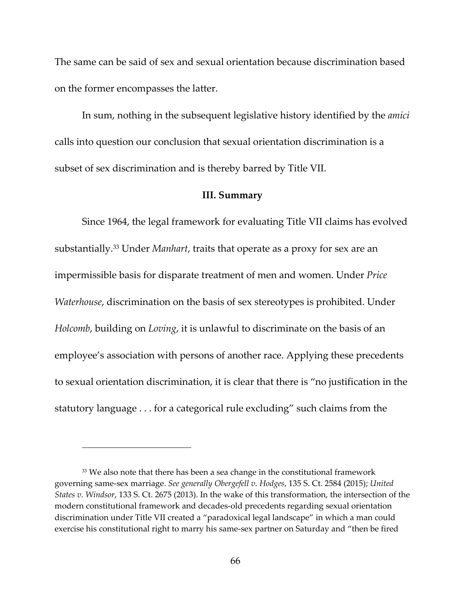The same can be said of sex and sexual orientation because discrimination based on the former encompasses the latter.

In sum, nothing in the subsequent legislative history identified by the *amici* calls into question our conclusion that sexual orientation discrimination is a subset of sex discrimination and is thereby barred by Title VII.

### **III. Summary**

Since 1964, the legal framework for evaluating Title VII claims has evolved substantially.33 Under *Manhart*, traits that operate as a proxy for sex are an impermissible basis for disparate treatment of men and women. Under *Price Waterhouse*, discrimination on the basis of sex stereotypes is prohibited. Under *Holcomb*, building on *Loving*, it is unlawful to discriminate on the basis of an employee's association with persons of another race. Applying these precedents to sexual orientation discrimination, it is clear that there is "no justification in the statutory language . . . for a categorical rule excluding" such claims from the

<sup>&</sup>lt;sup>33</sup> We also note that there has been a sea change in the constitutional framework governing same‐sex marriage. *See generally Obergefell v. Hodges*, 135 S. Ct. 2584 (2015); *United States v. Windsor*, 133 S. Ct. 2675 (2013). In the wake of this transformation, the intersection of the modern constitutional framework and decades‐old precedents regarding sexual orientation discrimination under Title VII created a "paradoxical legal landscape" in which a man could exercise his constitutional right to marry his same‐sex partner on Saturday and "then be fired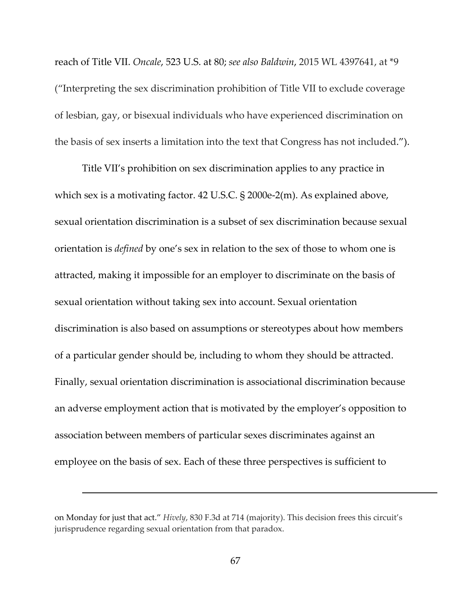reach of Title VII. *Oncale*, 523 U.S. at 80; *see also Baldwin*, 2015 WL 4397641, at \*9 ("Interpreting the sex discrimination prohibition of Title VII to exclude coverage of lesbian, gay, or bisexual individuals who have experienced discrimination on the basis of sex inserts a limitation into the text that Congress has not included.").

Title VII's prohibition on sex discrimination applies to any practice in which sex is a motivating factor. 42 U.S.C. § 2000e-2(m). As explained above, sexual orientation discrimination is a subset of sex discrimination because sexual orientation is *defined* by one's sex in relation to the sex of those to whom one is attracted, making it impossible for an employer to discriminate on the basis of sexual orientation without taking sex into account. Sexual orientation discrimination is also based on assumptions or stereotypes about how members of a particular gender should be, including to whom they should be attracted. Finally, sexual orientation discrimination is associational discrimination because an adverse employment action that is motivated by the employer's opposition to association between members of particular sexes discriminates against an employee on the basis of sex. Each of these three perspectives is sufficient to

on Monday for just that act." *Hively*, 830 F.3d at 714 (majority). This decision frees this circuit's jurisprudence regarding sexual orientation from that paradox.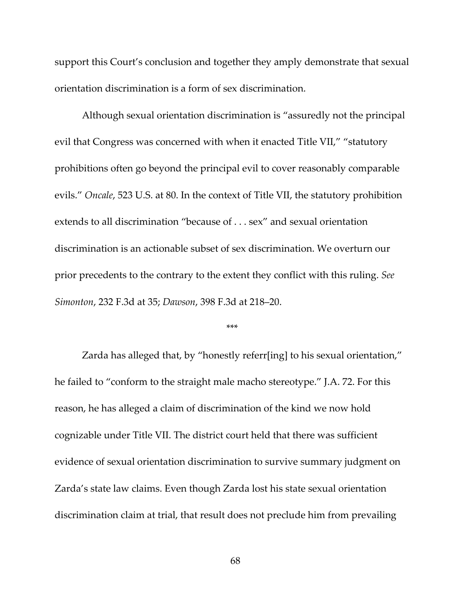support this Court's conclusion and together they amply demonstrate that sexual orientation discrimination is a form of sex discrimination.

Although sexual orientation discrimination is "assuredly not the principal evil that Congress was concerned with when it enacted Title VII," "statutory prohibitions often go beyond the principal evil to cover reasonably comparable evils." *Oncale*, 523 U.S. at 80. In the context of Title VII, the statutory prohibition extends to all discrimination "because of . . . sex" and sexual orientation discrimination is an actionable subset of sex discrimination. We overturn our prior precedents to the contrary to the extent they conflict with this ruling. *See Simonton*, 232 F.3d at 35; *Dawson*, 398 F.3d at 218–20.

#### \*\*\*

Zarda has alleged that, by "honestly referr[ing] to his sexual orientation," he failed to "conform to the straight male macho stereotype." J.A. 72. For this reason, he has alleged a claim of discrimination of the kind we now hold cognizable under Title VII. The district court held that there was sufficient evidence of sexual orientation discrimination to survive summary judgment on Zarda's state law claims. Even though Zarda lost his state sexual orientation discrimination claim at trial, that result does not preclude him from prevailing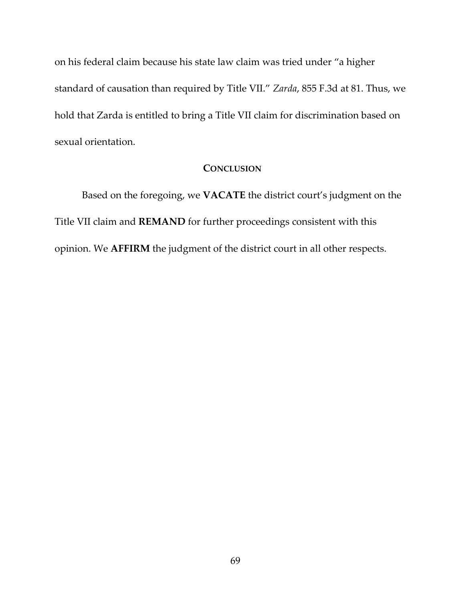on his federal claim because his state law claim was tried under "a higher standard of causation than required by Title VII." *Zarda*, 855 F.3d at 81. Thus, we hold that Zarda is entitled to bring a Title VII claim for discrimination based on sexual orientation.

# **CONCLUSION**

Based on the foregoing, we **VACATE** the district court's judgment on the Title VII claim and **REMAND** for further proceedings consistent with this opinion. We **AFFIRM** the judgment of the district court in all other respects.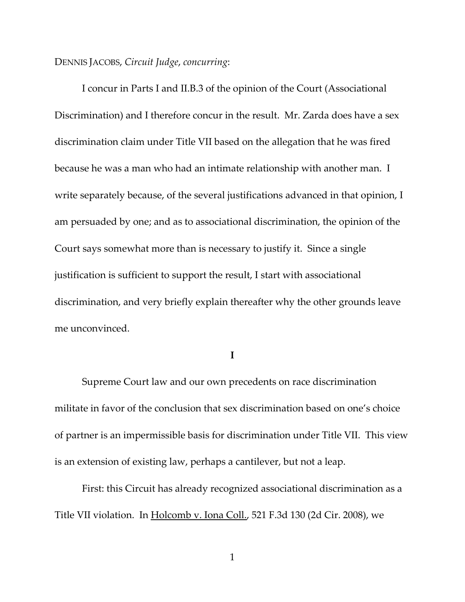# DENNIS JACOBS, *Circuit Judge*, *concurring*:

I concur in Parts I and II.B.3 of the opinion of the Court (Associational Discrimination) and I therefore concur in the result. Mr. Zarda does have a sex discrimination claim under Title VII based on the allegation that he was fired because he was a man who had an intimate relationship with another man. I write separately because, of the several justifications advanced in that opinion, I am persuaded by one; and as to associational discrimination, the opinion of the Court says somewhat more than is necessary to justify it. Since a single justification is sufficient to support the result, I start with associational discrimination, and very briefly explain thereafter why the other grounds leave me unconvinced.

**I**

Supreme Court law and our own precedents on race discrimination militate in favor of the conclusion that sex discrimination based on one's choice of partner is an impermissible basis for discrimination under Title VII. This view is an extension of existing law, perhaps a cantilever, but not a leap.

First: this Circuit has already recognized associational discrimination as a Title VII violation. In Holcomb v. Iona Coll., 521 F.3d 130 (2d Cir. 2008), we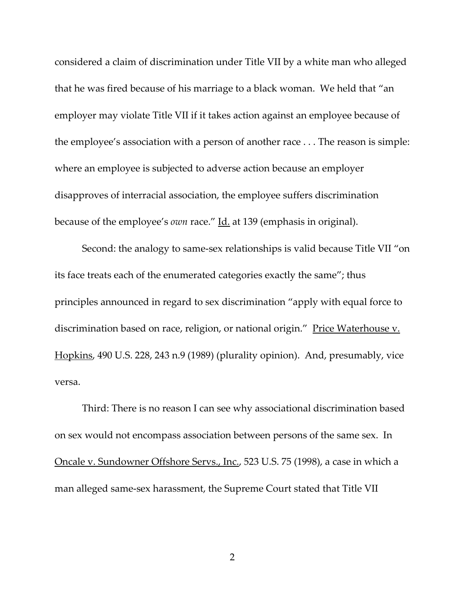considered a claim of discrimination under Title VII by a white man who alleged that he was fired because of his marriage to a black woman. We held that "an employer may violate Title VII if it takes action against an employee because of the employee's association with a person of another race . . . The reason is simple: where an employee is subjected to adverse action because an employer disapproves of interracial association, the employee suffers discrimination because of the employee's *own* race." Id. at 139 (emphasis in original).

Second: the analogy to same‐sex relationships is valid because Title VII "on its face treats each of the enumerated categories exactly the same"; thus principles announced in regard to sex discrimination "apply with equal force to discrimination based on race, religion, or national origin." Price Waterhouse v. Hopkins, 490 U.S. 228, 243 n.9 (1989) (plurality opinion). And, presumably, vice versa.

Third: There is no reason I can see why associational discrimination based on sex would not encompass association between persons of the same sex. In Oncale v. Sundowner Offshore Servs., Inc., 523 U.S. 75 (1998), a case in which a man alleged same‐sex harassment, the Supreme Court stated that Title VII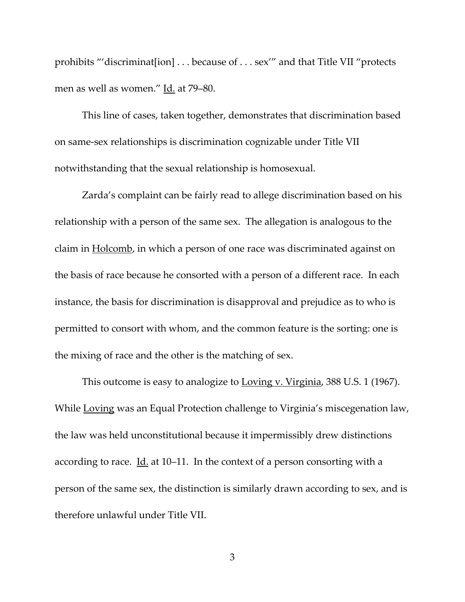prohibits "'discriminat[ion] . . . because of . . . sex'" and that Title VII "protects men as well as women." Id. at 79–80.

This line of cases, taken together, demonstrates that discrimination based on same‐sex relationships is discrimination cognizable under Title VII notwithstanding that the sexual relationship is homosexual.

Zarda's complaint can be fairly read to allege discrimination based on his relationship with a person of the same sex. The allegation is analogous to the claim in Holcomb, in which a person of one race was discriminated against on the basis of race because he consorted with a person of a different race. In each instance, the basis for discrimination is disapproval and prejudice as to who is permitted to consort with whom, and the common feature is the sorting: one is the mixing of race and the other is the matching of sex.

This outcome is easy to analogize to Loving v. Virginia, 388 U.S. 1 (1967). While Loving was an Equal Protection challenge to Virginia's miscegenation law, the law was held unconstitutional because it impermissibly drew distinctions according to race. Id. at 10–11. In the context of a person consorting with a person of the same sex, the distinction is similarly drawn according to sex, and is therefore unlawful under Title VII.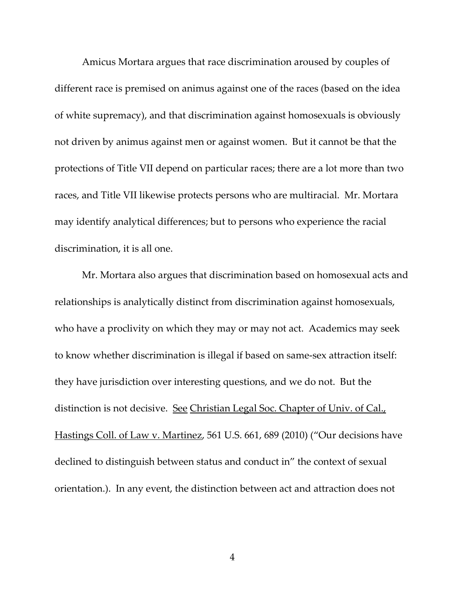Amicus Mortara argues that race discrimination aroused by couples of different race is premised on animus against one of the races (based on the idea of white supremacy), and that discrimination against homosexuals is obviously not driven by animus against men or against women. But it cannot be that the protections of Title VII depend on particular races; there are a lot more than two races, and Title VII likewise protects persons who are multiracial. Mr. Mortara may identify analytical differences; but to persons who experience the racial discrimination, it is all one.

Mr. Mortara also argues that discrimination based on homosexual acts and relationships is analytically distinct from discrimination against homosexuals, who have a proclivity on which they may or may not act. Academics may seek to know whether discrimination is illegal if based on same‐sex attraction itself: they have jurisdiction over interesting questions, and we do not. But the distinction is not decisive. See Christian Legal Soc. Chapter of Univ. of Cal. Hastings Coll. of Law v. Martinez, 561 U.S. 661, 689 (2010) ("Our decisions have declined to distinguish between status and conduct in" the context of sexual orientation.). In any event, the distinction between act and attraction does not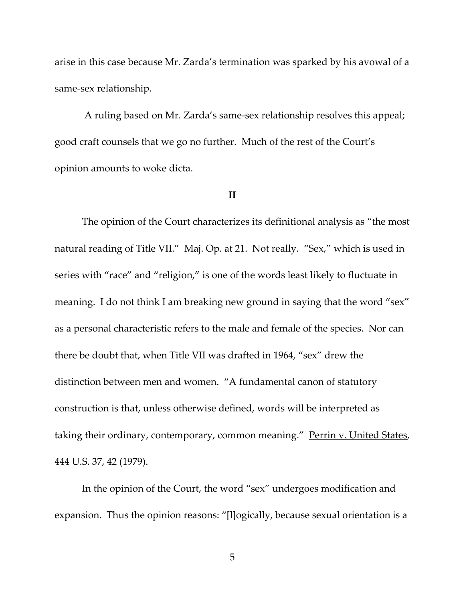arise in this case because Mr. Zarda's termination was sparked by his avowal of a same‐sex relationship.

 A ruling based on Mr. Zarda's same‐sex relationship resolves this appeal; good craft counsels that we go no further. Much of the rest of the Court's opinion amounts to woke dicta.

## **II**

The opinion of the Court characterizes its definitional analysis as "the most natural reading of Title VII." Maj. Op. at 21. Not really. "Sex," which is used in series with "race" and "religion," is one of the words least likely to fluctuate in meaning. I do not think I am breaking new ground in saying that the word "sex" as a personal characteristic refers to the male and female of the species. Nor can there be doubt that, when Title VII was drafted in 1964, "sex" drew the distinction between men and women. "A fundamental canon of statutory construction is that, unless otherwise defined, words will be interpreted as taking their ordinary, contemporary, common meaning." Perrin v. United States, 444 U.S. 37, 42 (1979).

In the opinion of the Court, the word "sex" undergoes modification and expansion. Thus the opinion reasons: "[l]ogically, because sexual orientation is a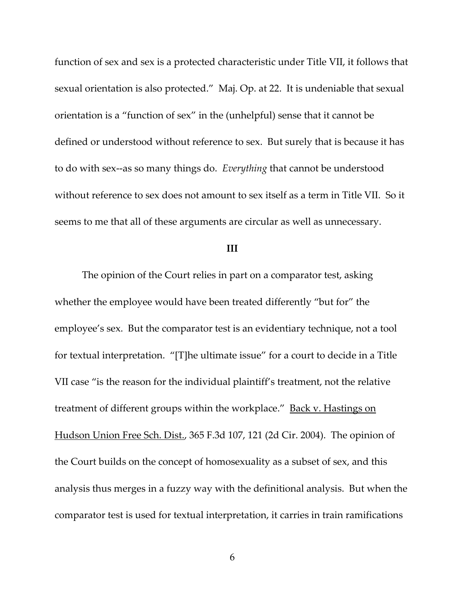function of sex and sex is a protected characteristic under Title VII, it follows that sexual orientation is also protected." Maj. Op. at 22. It is undeniable that sexual orientation is a "function of sex" in the (unhelpful) sense that it cannot be defined or understood without reference to sex. But surely that is because it has to do with sex‐‐as so many things do. *Everything* that cannot be understood without reference to sex does not amount to sex itself as a term in Title VII. So it seems to me that all of these arguments are circular as well as unnecessary.

# **III**

The opinion of the Court relies in part on a comparator test, asking whether the employee would have been treated differently "but for" the employee's sex. But the comparator test is an evidentiary technique, not a tool for textual interpretation. "[T]he ultimate issue" for a court to decide in a Title VII case "is the reason for the individual plaintiff's treatment, not the relative treatment of different groups within the workplace." <u>Back v. Hastings on</u> Hudson Union Free Sch. Dist., 365 F.3d 107, 121 (2d Cir. 2004). The opinion of the Court builds on the concept of homosexuality as a subset of sex, and this analysis thus merges in a fuzzy way with the definitional analysis. But when the comparator test is used for textual interpretation, it carries in train ramifications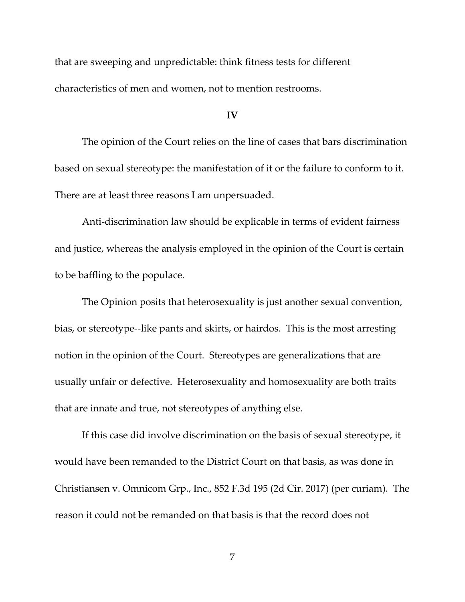that are sweeping and unpredictable: think fitness tests for different characteristics of men and women, not to mention restrooms.

#### **IV**

The opinion of the Court relies on the line of cases that bars discrimination based on sexual stereotype: the manifestation of it or the failure to conform to it. There are at least three reasons I am unpersuaded.

Anti-discrimination law should be explicable in terms of evident fairness and justice, whereas the analysis employed in the opinion of the Court is certain to be baffling to the populace.

The Opinion posits that heterosexuality is just another sexual convention, bias, or stereotype--like pants and skirts, or hairdos. This is the most arresting notion in the opinion of the Court. Stereotypes are generalizations that are usually unfair or defective. Heterosexuality and homosexuality are both traits that are innate and true, not stereotypes of anything else.

If this case did involve discrimination on the basis of sexual stereotype, it would have been remanded to the District Court on that basis, as was done in Christiansen v. Omnicom Grp., Inc., 852 F.3d 195 (2d Cir. 2017) (per curiam). The reason it could not be remanded on that basis is that the record does not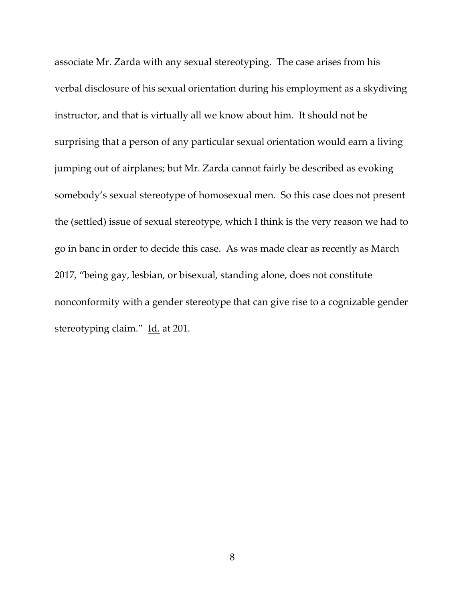associate Mr. Zarda with any sexual stereotyping. The case arises from his verbal disclosure of his sexual orientation during his employment as a skydiving instructor, and that is virtually all we know about him. It should not be surprising that a person of any particular sexual orientation would earn a living jumping out of airplanes; but Mr. Zarda cannot fairly be described as evoking somebody's sexual stereotype of homosexual men. So this case does not present the (settled) issue of sexual stereotype, which I think is the very reason we had to go in banc in order to decide this case. As was made clear as recently as March 2017, "being gay, lesbian, or bisexual, standing alone, does not constitute nonconformity with a gender stereotype that can give rise to a cognizable gender stereotyping claim." Id. at 201.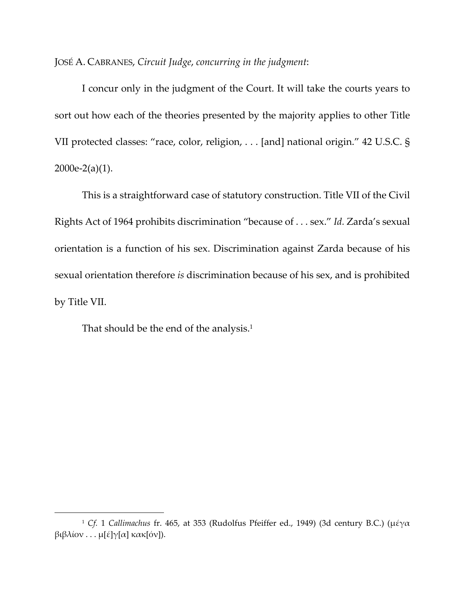JOSÉ A. CABRANES, *Circuit Judge*, *concurring in the judgment*:

I concur only in the judgment of the Court. It will take the courts years to sort out how each of the theories presented by the majority applies to other Title VII protected classes: "race, color, religion, . . . [and] national origin." 42 U.S.C. §  $2000e-2(a)(1)$ .

This is a straightforward case of statutory construction. Title VII of the Civil Rights Act of 1964 prohibits discrimination "because of . . . sex." *Id.* Zarda's sexual orientation is a function of his sex. Discrimination against Zarda because of his sexual orientation therefore *is* discrimination because of his sex, and is prohibited by Title VII.

That should be the end of the analysis.<sup>1</sup>

 $\overline{a}$ 

<sup>1</sup> *Cf.* 1 *Callimachus* fr. 465, at 353 (Rudolfus Pfeiffer ed., 1949) (3d century B.C.) (μέγα βιβλίον . . . μ[έ]γ[α] κακ[όν]).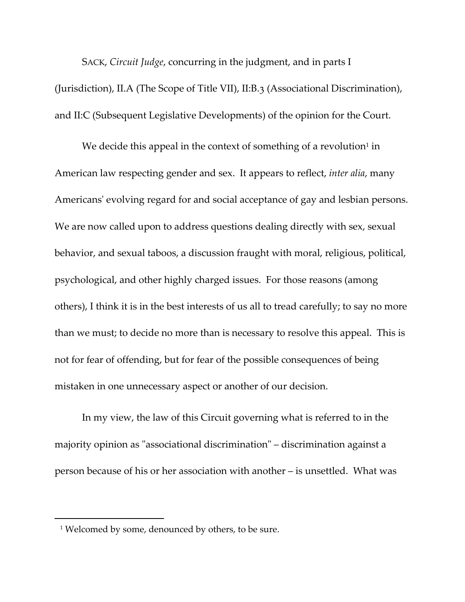SACK, *Circuit Judge*, concurring in the judgment, and in parts I (Jurisdiction), II.A (The Scope of Title VII), II:B.3 (Associational Discrimination), and II:C (Subsequent Legislative Developments) of the opinion for the Court.

We decide this appeal in the context of something of a revolution $1$  in American law respecting gender and sex. It appears to reflect, *inter alia*, many Americans' evolving regard for and social acceptance of gay and lesbian persons. We are now called upon to address questions dealing directly with sex, sexual behavior, and sexual taboos, a discussion fraught with moral, religious, political, psychological, and other highly charged issues. For those reasons (among others), I think it is in the best interests of us all to tread carefully; to say no more than we must; to decide no more than is necessary to resolve this appeal. This is not for fear of offending, but for fear of the possible consequences of being mistaken in one unnecessary aspect or another of our decision.

In my view, the law of this Circuit governing what is referred to in the majority opinion as "associational discrimination" – discrimination against a person because of his or her association with another – is unsettled. What was

<sup>&</sup>lt;sup>1</sup> Welcomed by some, denounced by others, to be sure.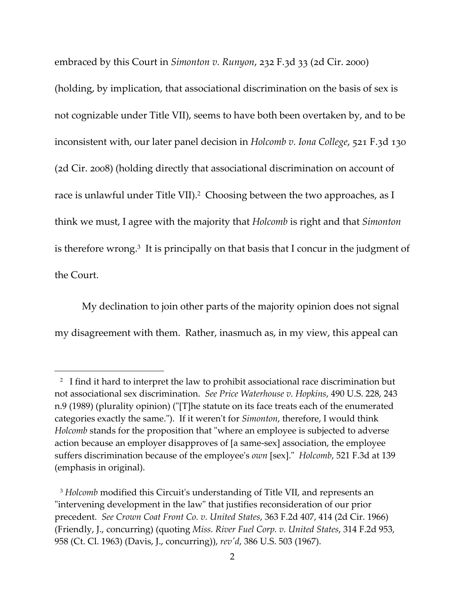embraced by this Court in *Simonton v. Runyon*, 232 F.3d 33 (2d Cir. 2000)

(holding, by implication, that associational discrimination on the basis of sex is not cognizable under Title VII), seems to have both been overtaken by, and to be inconsistent with, our later panel decision in *Holcomb v. Iona College*, 521 F.3d 130 (2d Cir. 2008) (holding directly that associational discrimination on account of race is unlawful under Title VII).<sup>2</sup> Choosing between the two approaches, as I think we must, I agree with the majority that *Holcomb* is right and that *Simonton* is therefore wrong.<sup>3</sup> It is principally on that basis that I concur in the judgment of the Court.

My declination to join other parts of the majority opinion does not signal my disagreement with them. Rather, inasmuch as, in my view, this appeal can

<sup>&</sup>lt;sup>2</sup> I find it hard to interpret the law to prohibit associational race discrimination but not associational sex discrimination. *See Price Waterhouse v. Hopkins*, 490 U.S. 228, 243 n.9 (1989) (plurality opinion) ("[T]he statute on its face treats each of the enumerated categories exactly the same."). If it weren't for *Simonton*, therefore, I would think *Holcomb* stands for the proposition that "where an employee is subjected to adverse action because an employer disapproves of [a same‐sex] association, the employee suffers discrimination because of the employee's *own* [sex]." *Holcomb*, 521 F.3d at 139 (emphasis in original).

<sup>&</sup>lt;sup>3</sup> Holcomb modified this Circuit's understanding of Title VII, and represents an "intervening development in the law" that justifies reconsideration of our prior precedent. *See Crown Coat Front Co. v. United States*, 363 F.2d 407, 414 (2d Cir. 1966) (Friendly, J., concurring) (quoting *Miss. River Fuel Corp. v. United States*, 314 F.2d 953, 958 (Ct. Cl. 1963) (Davis, J., concurring)), *revʹd*, 386 U.S. 503 (1967).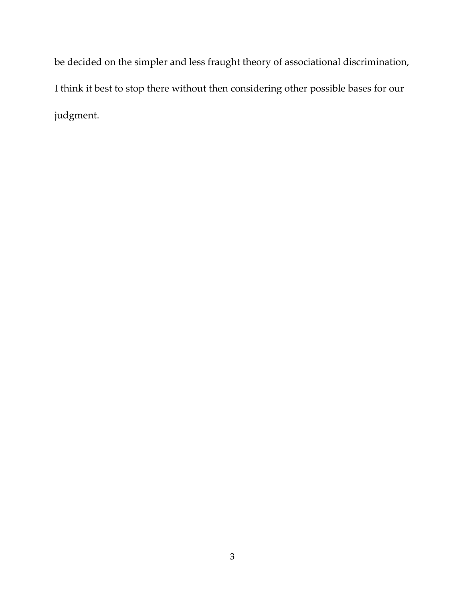be decided on the simpler and less fraught theory of associational discrimination, I think it best to stop there without then considering other possible bases for our judgment.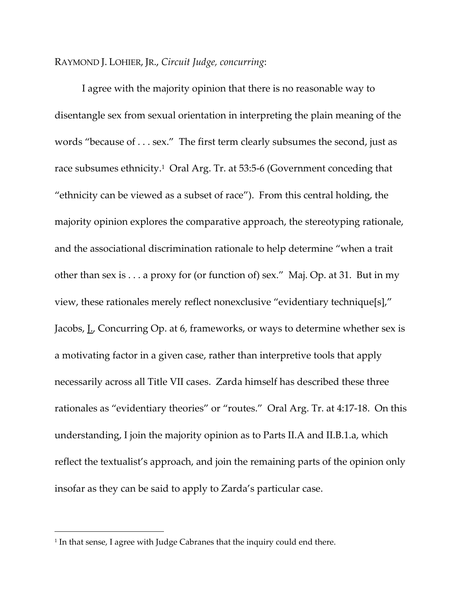# RAYMOND J. LOHIER, JR., *Circuit Judge, concurring*:

I agree with the majority opinion that there is no reasonable way to disentangle sex from sexual orientation in interpreting the plain meaning of the words "because of . . . sex." The first term clearly subsumes the second, just as race subsumes ethnicity.<sup>1</sup> Oral Arg. Tr. at 53:5-6 (Government conceding that "ethnicity can be viewed as a subset of race"). From this central holding, the majority opinion explores the comparative approach, the stereotyping rationale, and the associational discrimination rationale to help determine "when a trait other than sex is . . . a proxy for (or function of) sex." Maj. Op. at 31. But in my view, these rationales merely reflect nonexclusive "evidentiary technique[s]," Jacobs, L. Concurring Op. at 6, frameworks, or ways to determine whether sex is a motivating factor in a given case, rather than interpretive tools that apply necessarily across all Title VII cases. Zarda himself has described these three rationales as "evidentiary theories" or "routes." Oral Arg. Tr. at 4:17‐18. On this understanding, I join the majority opinion as to Parts II.A and II.B.1.a, which reflect the textualist's approach, and join the remaining parts of the opinion only insofar as they can be said to apply to Zarda's particular case.

<sup>&</sup>lt;sup>1</sup> In that sense, I agree with Judge Cabranes that the inquiry could end there.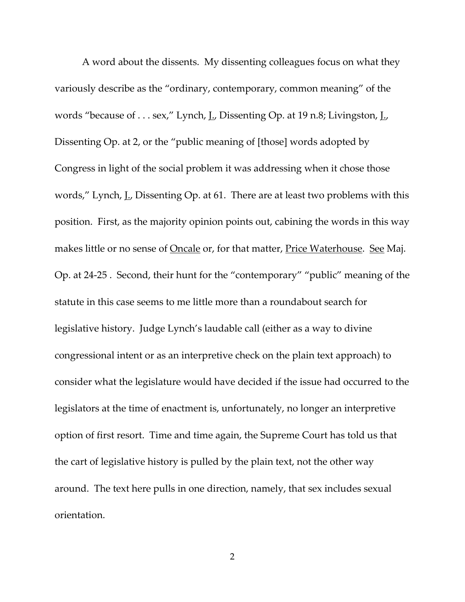A word about the dissents. My dissenting colleagues focus on what they variously describe as the "ordinary, contemporary, common meaning" of the words "because of . . . sex," Lynch, L. Dissenting Op. at 19 n.8; Livingston, L. Dissenting Op. at 2, or the "public meaning of [those] words adopted by Congress in light of the social problem it was addressing when it chose those words," Lynch, L. Dissenting Op. at 61. There are at least two problems with this position. First, as the majority opinion points out, cabining the words in this way makes little or no sense of <u>Oncale</u> or, for that matter, *Price Waterhouse*. See Maj. Op. at 24‐25 . Second, their hunt for the "contemporary" "public" meaning of the statute in this case seems to me little more than a roundabout search for legislative history. Judge Lynch's laudable call (either as a way to divine congressional intent or as an interpretive check on the plain text approach) to consider what the legislature would have decided if the issue had occurred to the legislators at the time of enactment is, unfortunately, no longer an interpretive option of first resort. Time and time again, the Supreme Court has told us that the cart of legislative history is pulled by the plain text, not the other way around. The text here pulls in one direction, namely, that sex includes sexual orientation.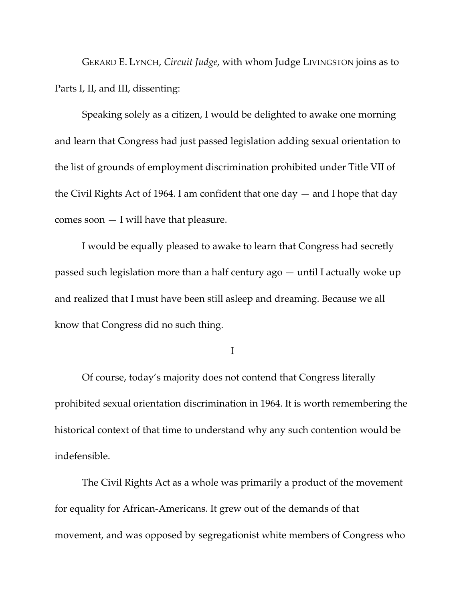GERARD E. LYNCH, *Circuit Judge*, with whom Judge LIVINGSTON joins as to Parts I, II, and III, dissenting:

Speaking solely as a citizen, I would be delighted to awake one morning and learn that Congress had just passed legislation adding sexual orientation to the list of grounds of employment discrimination prohibited under Title VII of the Civil Rights Act of 1964. I am confident that one day  $-$  and I hope that day comes soon  $-$  I will have that pleasure.

I would be equally pleased to awake to learn that Congress had secretly passed such legislation more than a half century ago — until I actually woke up and realized that I must have been still asleep and dreaming. Because we all know that Congress did no such thing.

I

Of course, today's majority does not contend that Congress literally prohibited sexual orientation discrimination in 1964. It is worth remembering the historical context of that time to understand why any such contention would be indefensible.

The Civil Rights Act as a whole was primarily a product of the movement for equality for African-Americans. It grew out of the demands of that movement, and was opposed by segregationist white members of Congress who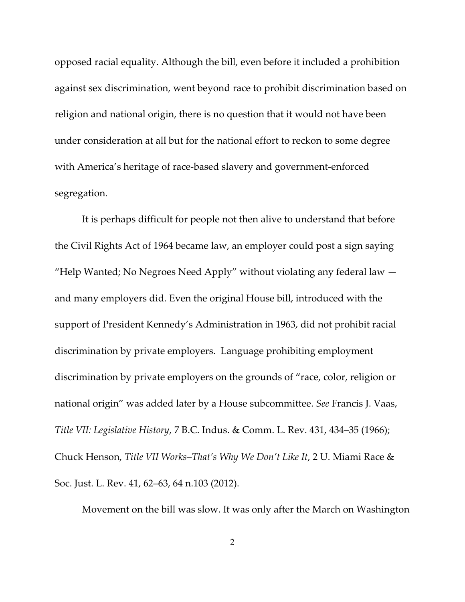opposed racial equality. Although the bill, even before it included a prohibition against sex discrimination, went beyond race to prohibit discrimination based on religion and national origin, there is no question that it would not have been under consideration at all but for the national effort to reckon to some degree with America's heritage of race-based slavery and government-enforced segregation.

It is perhaps difficult for people not then alive to understand that before the Civil Rights Act of 1964 became law, an employer could post a sign saying "Help Wanted; No Negroes Need Apply" without violating any federal law  $$ and many employers did. Even the original House bill, introduced with the support of President Kennedy's Administration in 1963, did not prohibit racial discrimination by private employers. Language prohibiting employment discrimination by private employers on the grounds of "race, color, religion or national origin" was added later by a House subcommittee. *See* Francis J. Vaas, *Title VII: Legislative History*, 7 B.C. Indus. & Comm. L. Rev. 431, 434–35 (1966); Chuck Henson, *Title VII Works–That's Why We Don't Like It*, 2 U. Miami Race & Soc. Just. L. Rev. 41, 62–63, 64 n.103 (2012).

Movement on the bill was slow. It was only after the March on Washington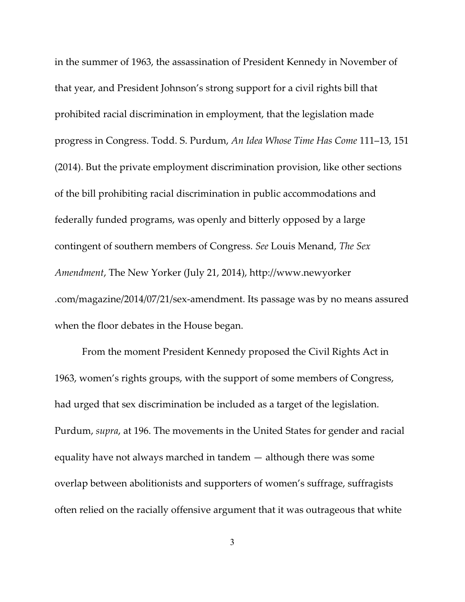in the summer of 1963, the assassination of President Kennedy in November of that year, and President Johnson's strong support for a civil rights bill that prohibited racial discrimination in employment, that the legislation made progress in Congress. Todd. S. Purdum, *An Idea Whose Time Has Come* 111–13, 151 (2014). But the private employment discrimination provision, like other sections of the bill prohibiting racial discrimination in public accommodations and federally funded programs, was openly and bitterly opposed by a large contingent of southern members of Congress. *See* Louis Menand, *The Sex Amendment*, The New Yorker (July 21, 2014), http://www.newyorker .com/magazine/2014/07/21/sex-amendment. Its passage was by no means assured when the floor debates in the House began.

From the moment President Kennedy proposed the Civil Rights Act in 1963, women's rights groups, with the support of some members of Congress, had urged that sex discrimination be included as a target of the legislation. Purdum, *supra*, at 196. The movements in the United States for gender and racial equality have not always marched in tandem — although there was some overlap between abolitionists and supporters of women's suffrage, suffragists often relied on the racially offensive argument that it was outrageous that white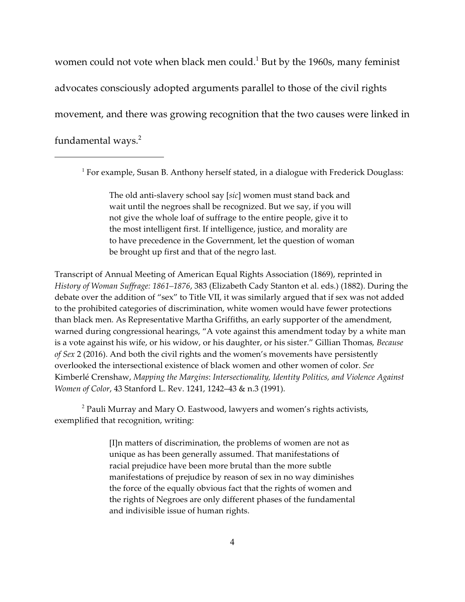women could not vote when black men could. $<sup>1</sup>$  But by the 1960s, many feminist</sup> advocates consciously adopted arguments parallel to those of the civil rights movement, and there was growing recognition that the two causes were linked in fundamental ways. $2$ 

 $<sup>1</sup>$  For example, Susan B. Anthony herself stated, in a dialogue with Frederick Douglass:</sup>

The old anti-slavery school say [*sic*] women must stand back and wait until the negroes shall be recognized. But we say, if you will not give the whole loaf of suffrage to the entire people, give it to the most intelligent first. If intelligence, justice, and morality are to have precedence in the Government, let the question of woman be brought up first and that of the negro last.

Transcript of Annual Meeting of American Equal Rights Association (1869), reprinted in *History of Woman Suffrage: 1861–1876*, 383 (Elizabeth Cady Stanton et al. eds.) (1882). During the debate over the addition of "sex" to Title VII, it was similarly argued that if sex was not added to the prohibited categories of discrimination, white women would have fewer protections than black men. As Representative Martha Griffiths, an early supporter of the amendment, warned during congressional hearings, "A vote against this amendment today by a white man is a vote against his wife, or his widow, or his daughter, or his sister." Gillian Thomas*, Because of Sex* 2 (2016). And both the civil rights and the women's movements have persistently overlooked the intersectional existence of black women and other women of color. *See* Kimberlé Crenshaw, *Mapping the Margins*: *Intersectionality, Identity Politics, and Violence Against Women of Color*, 43 Stanford L. Rev. 1241, 1242–43 & n.3 (1991).

 $^2$  Pauli Murray and Mary O. Eastwood, lawyers and women's rights activists, exemplified that recognition, writing:

> [I]n matters of discrimination, the problems of women are not as unique as has been generally assumed. That manifestations of racial prejudice have been more brutal than the more subtle manifestations of prejudice by reason of sex in no way diminishes the force of the equally obvious fact that the rights of women and the rights of Negroes are only different phases of the fundamental and indivisible issue of human rights.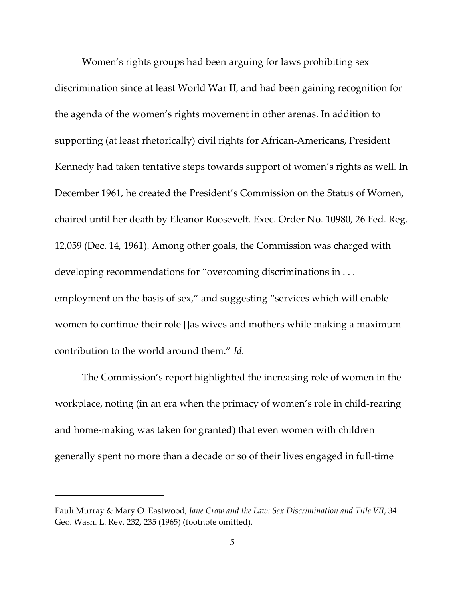Women's rights groups had been arguing for laws prohibiting sex discrimination since at least World War II, and had been gaining recognition for the agenda of the women's rights movement in other arenas. In addition to supporting (at least rhetorically) civil rights for African-Americans, President Kennedy had taken tentative steps towards support of women's rights as well. In December 1961, he created the President's Commission on the Status of Women, chaired until her death by Eleanor Roosevelt. Exec. Order No. 10980, 26 Fed. Reg. 12,059 (Dec. 14, 1961). Among other goals, the Commission was charged with developing recommendations for "overcoming discriminations in . . . employment on the basis of sex," and suggesting "services which will enable women to continue their role []as wives and mothers while making a maximum contribution to the world around them." *Id.*

The Commission's report highlighted the increasing role of women in the workplace, noting (in an era when the primacy of women's role in child-rearing and home-making was taken for granted) that even women with children generally spent no more than a decade or so of their lives engaged in full-time

Pauli Murray & Mary O. Eastwood*, Jane Crow and the Law: Sex Discrimination and Title VII*, 34 Geo. Wash. L. Rev. 232, 235 (1965) (footnote omitted).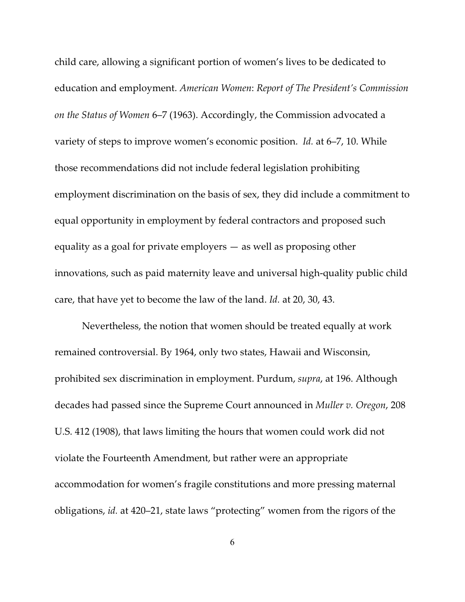child care, allowing a significant portion of women's lives to be dedicated to education and employment. *American Women*: *Report of The President's Commission on the Status of Women* 6–7 (1963). Accordingly, the Commission advocated a variety of steps to improve women's economic position. *Id.* at 6–7, 10. While those recommendations did not include federal legislation prohibiting employment discrimination on the basis of sex, they did include a commitment to equal opportunity in employment by federal contractors and proposed such equality as a goal for private employers — as well as proposing other innovations, such as paid maternity leave and universal high-quality public child care, that have yet to become the law of the land. *Id.* at 20, 30, 43.

Nevertheless, the notion that women should be treated equally at work remained controversial. By 1964, only two states, Hawaii and Wisconsin, prohibited sex discrimination in employment. Purdum, *supra*, at 196. Although decades had passed since the Supreme Court announced in *Muller v. Oregon*, 208 U.S. 412 (1908), that laws limiting the hours that women could work did not violate the Fourteenth Amendment, but rather were an appropriate accommodation for women's fragile constitutions and more pressing maternal obligations, *id.* at 420–21, state laws "protecting" women from the rigors of the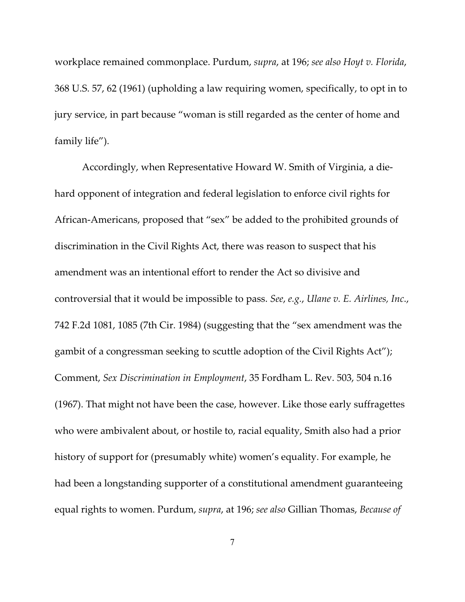workplace remained commonplace. Purdum, *supra*, at 196; *see also Hoyt v. Florida*, 368 U.S. 57, 62 (1961) (upholding a law requiring women, specifically, to opt in to jury service, in part because "woman is still regarded as the center of home and family life").

Accordingly, when Representative Howard W. Smith of Virginia, a diehard opponent of integration and federal legislation to enforce civil rights for African-Americans, proposed that "sex" be added to the prohibited grounds of discrimination in the Civil Rights Act, there was reason to suspect that his amendment was an intentional effort to render the Act so divisive and controversial that it would be impossible to pass. *See*, *e.g.*, *Ulane v. E. Airlines, Inc*., 742 F.2d 1081, 1085 (7th Cir. 1984) (suggesting that the "sex amendment was the gambit of a congressman seeking to scuttle adoption of the Civil Rights Act"); Comment, *Sex Discrimination in Employment*, 35 Fordham L. Rev. 503, 504 n.16 (1967). That might not have been the case, however. Like those early suffragettes who were ambivalent about, or hostile to, racial equality, Smith also had a prior history of support for (presumably white) women's equality. For example, he had been a longstanding supporter of a constitutional amendment guaranteeing equal rights to women. Purdum, *supra*, at 196; *see also* Gillian Thomas, *Because of*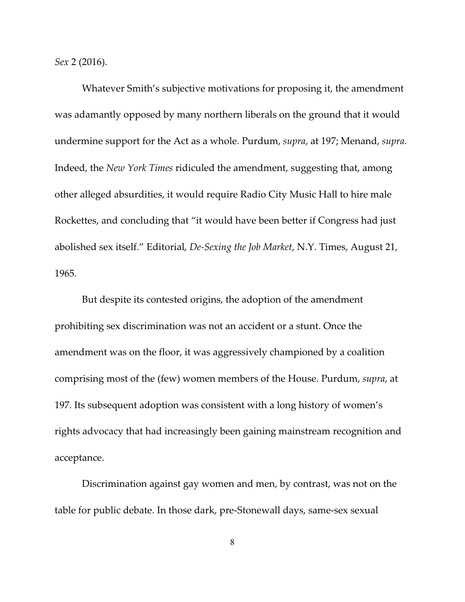*Sex* 2 (2016).

Whatever Smith's subjective motivations for proposing it, the amendment was adamantly opposed by many northern liberals on the ground that it would undermine support for the Act as a whole. Purdum, *supra*, at 197; Menand, *supra*. Indeed, the *New York Times* ridiculed the amendment, suggesting that, among other alleged absurdities, it would require Radio City Music Hall to hire male Rockettes, and concluding that "it would have been better if Congress had just abolished sex itself." Editorial, *De-Sexing the Job Market*, N.Y. Times, August 21, 1965.

But despite its contested origins, the adoption of the amendment prohibiting sex discrimination was not an accident or a stunt. Once the amendment was on the floor, it was aggressively championed by a coalition comprising most of the (few) women members of the House. Purdum, *supra*, at 197. Its subsequent adoption was consistent with a long history of women's rights advocacy that had increasingly been gaining mainstream recognition and acceptance.

Discrimination against gay women and men, by contrast, was not on the table for public debate. In those dark, pre-Stonewall days, same-sex sexual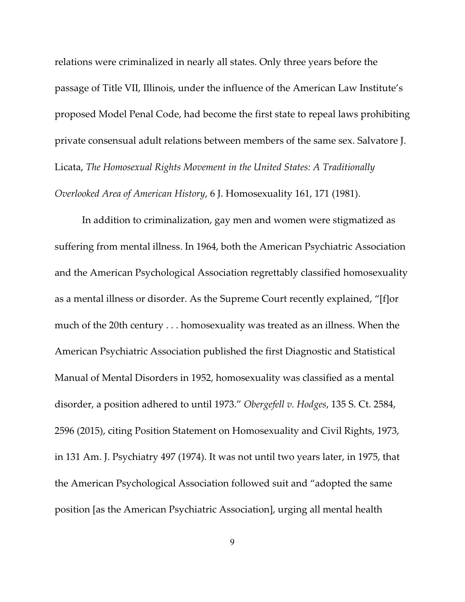relations were criminalized in nearly all states. Only three years before the passage of Title VII, Illinois, under the influence of the American Law Institute's proposed Model Penal Code, had become the first state to repeal laws prohibiting private consensual adult relations between members of the same sex. Salvatore J. Licata, *The Homosexual Rights Movement in the United States: A Traditionally Overlooked Area of American History*, 6 J. Homosexuality 161, 171 (1981).

In addition to criminalization, gay men and women were stigmatized as suffering from mental illness. In 1964, both the American Psychiatric Association and the American Psychological Association regrettably classified homosexuality as a mental illness or disorder. As the Supreme Court recently explained, "[f]or much of the 20th century . . . homosexuality was treated as an illness. When the American Psychiatric Association published the first Diagnostic and Statistical Manual of Mental Disorders in 1952, homosexuality was classified as a mental disorder, a position adhered to until 1973." *Obergefell v. Hodges*, 135 S. Ct. 2584, 2596 (2015), citing Position Statement on Homosexuality and Civil Rights, 1973, in 131 Am. J. Psychiatry 497 (1974). It was not until two years later, in 1975, that the American Psychological Association followed suit and "adopted the same position [as the American Psychiatric Association], urging all mental health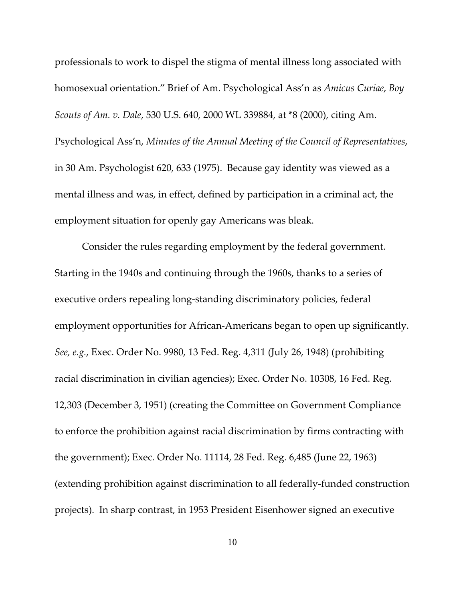professionals to work to dispel the stigma of mental illness long associated with homosexual orientation." Brief of Am. Psychological Ass'n as *Amicus Curiae*, *Boy Scouts of Am. v. Dale*, 530 U.S. 640, 2000 WL 339884, at \*8 (2000), citing Am. Psychological Ass'n, *Minutes of the Annual Meeting of the Council of Representatives*, in 30 Am. Psychologist 620, 633 (1975). Because gay identity was viewed as a mental illness and was, in effect, defined by participation in a criminal act, the employment situation for openly gay Americans was bleak.

Consider the rules regarding employment by the federal government. Starting in the 1940s and continuing through the 1960s, thanks to a series of executive orders repealing long-standing discriminatory policies, federal employment opportunities for African-Americans began to open up significantly. *See, e.g.*, Exec. Order No. 9980, 13 Fed. Reg. 4,311 (July 26, 1948) (prohibiting racial discrimination in civilian agencies); Exec. Order No. 10308, 16 Fed. Reg. 12,303 (December 3, 1951) (creating the Committee on Government Compliance to enforce the prohibition against racial discrimination by firms contracting with the government); Exec. Order No. 11114, 28 Fed. Reg. 6,485 (June 22, 1963) (extending prohibition against discrimination to all federally-funded construction projects). In sharp contrast, in 1953 President Eisenhower signed an executive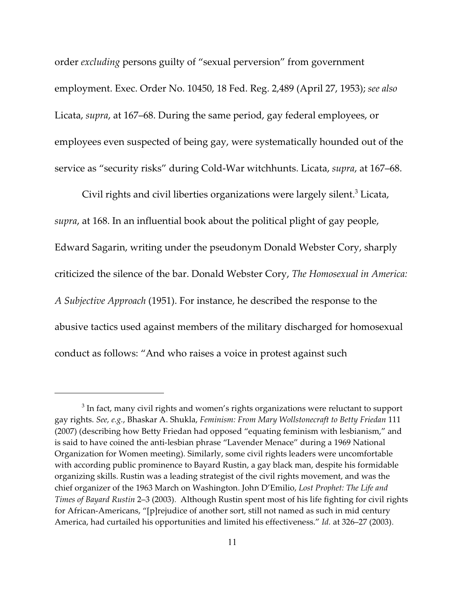order *excluding* persons guilty of "sexual perversion" from government employment. Exec. Order No. 10450, 18 Fed. Reg. 2,489 (April 27, 1953); *see also* Licata, *supra*, at 167–68. During the same period, gay federal employees, or employees even suspected of being gay, were systematically hounded out of the service as "security risks" during Cold-War witchhunts. Licata, *supra*, at 167–68.

Civil rights and civil liberties organizations were largely silent.<sup>3</sup> Licata, *supra*, at 168. In an influential book about the political plight of gay people, Edward Sagarin, writing under the pseudonym Donald Webster Cory, sharply criticized the silence of the bar. Donald Webster Cory, *The Homosexual in America: A Subjective Approach* (1951). For instance, he described the response to the abusive tactics used against members of the military discharged for homosexual conduct as follows: "And who raises a voice in protest against such

 $^3$  In fact, many civil rights and women's rights organizations were reluctant to support gay rights. *See, e.g.*, Bhaskar A. Shukla, *Feminism: From Mary Wollstonecraft to Betty Friedan* 111 (2007) (describing how Betty Friedan had opposed "equating feminism with lesbianism," and is said to have coined the anti-lesbian phrase "Lavender Menace" during a 1969 National Organization for Women meeting). Similarly, some civil rights leaders were uncomfortable with according public prominence to Bayard Rustin, a gay black man, despite his formidable organizing skills. Rustin was a leading strategist of the civil rights movement, and was the chief organizer of the 1963 March on Washington. John D'Emilio, *Lost Prophet: The Life and Times of Bayard Rustin* 2–3 (2003). Although Rustin spent most of his life fighting for civil rights for African-Americans, "[p]rejudice of another sort, still not named as such in mid century America, had curtailed his opportunities and limited his effectiveness." *Id.* at 326–27 (2003).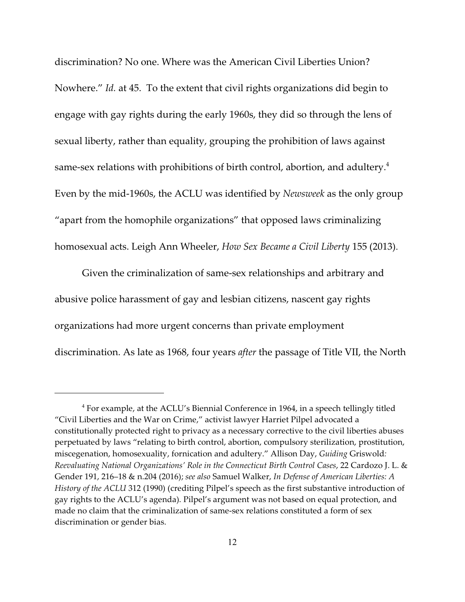discrimination? No one. Where was the American Civil Liberties Union? Nowhere." *Id.* at 45. To the extent that civil rights organizations did begin to engage with gay rights during the early 1960s, they did so through the lens of sexual liberty, rather than equality, grouping the prohibition of laws against same-sex relations with prohibitions of birth control, abortion, and adultery.<sup>4</sup> Even by the mid-1960s, the ACLU was identified by *Newsweek* as the only group "apart from the homophile organizations" that opposed laws criminalizing homosexual acts. Leigh Ann Wheeler, *How Sex Became a Civil Liberty* 155 (2013).

Given the criminalization of same-sex relationships and arbitrary and abusive police harassment of gay and lesbian citizens, nascent gay rights organizations had more urgent concerns than private employment discrimination. As late as 1968, four years *after* the passage of Title VII, the North

 $4$  For example, at the ACLU's Biennial Conference in 1964, in a speech tellingly titled "Civil Liberties and the War on Crime," activist lawyer Harriet Pilpel advocated a constitutionally protected right to privacy as a necessary corrective to the civil liberties abuses perpetuated by laws "relating to birth control, abortion, compulsory sterilization, prostitution, miscegenation, homosexuality, fornication and adultery." Allison Day, *Guiding* Griswold*: Reevaluating National Organizations' Role in the Connecticut Birth Control Cases*, 22 Cardozo J. L. & Gender 191, 216–18 & n.204 (2016); *see also* Samuel Walker, *In Defense of American Liberties: A History of the ACLU* 312 (1990) (crediting Pilpel's speech as the first substantive introduction of gay rights to the ACLU's agenda). Pilpel's argument was not based on equal protection, and made no claim that the criminalization of same-sex relations constituted a form of sex discrimination or gender bias.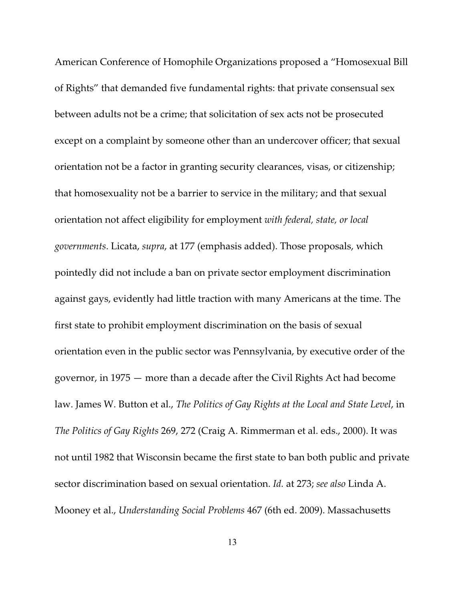American Conference of Homophile Organizations proposed a "Homosexual Bill of Rights" that demanded five fundamental rights: that private consensual sex between adults not be a crime; that solicitation of sex acts not be prosecuted except on a complaint by someone other than an undercover officer; that sexual orientation not be a factor in granting security clearances, visas, or citizenship; that homosexuality not be a barrier to service in the military; and that sexual orientation not affect eligibility for employment *with federal, state, or local governments*. Licata, *supra*, at 177 (emphasis added). Those proposals, which pointedly did not include a ban on private sector employment discrimination against gays, evidently had little traction with many Americans at the time. The first state to prohibit employment discrimination on the basis of sexual orientation even in the public sector was Pennsylvania, by executive order of the governor, in 1975 — more than a decade after the Civil Rights Act had become law. James W. Button et al., *The Politics of Gay Rights at the Local and State Level*, in *The Politics of Gay Rights* 269, 272 (Craig A. Rimmerman et al. eds., 2000). It was not until 1982 that Wisconsin became the first state to ban both public and private sector discrimination based on sexual orientation. *Id.* at 273; *see also* Linda A. Mooney et al., *Understanding Social Problems* 467 (6th ed. 2009). Massachusetts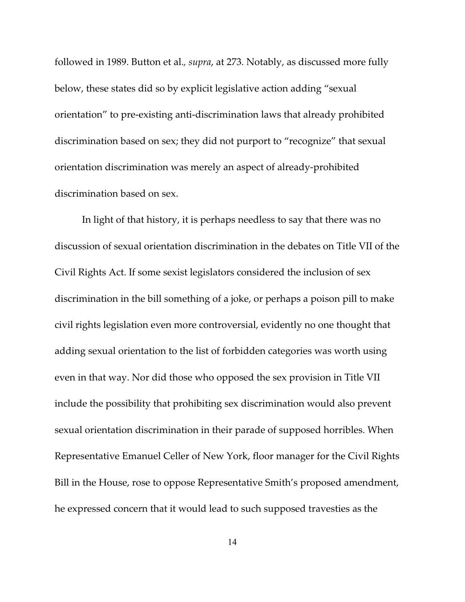followed in 1989. Button et al.*, supra*, at 273. Notably, as discussed more fully below, these states did so by explicit legislative action adding "sexual orientation" to pre-existing anti-discrimination laws that already prohibited discrimination based on sex; they did not purport to "recognize" that sexual orientation discrimination was merely an aspect of already-prohibited discrimination based on sex.

In light of that history, it is perhaps needless to say that there was no discussion of sexual orientation discrimination in the debates on Title VII of the Civil Rights Act. If some sexist legislators considered the inclusion of sex discrimination in the bill something of a joke, or perhaps a poison pill to make civil rights legislation even more controversial, evidently no one thought that adding sexual orientation to the list of forbidden categories was worth using even in that way. Nor did those who opposed the sex provision in Title VII include the possibility that prohibiting sex discrimination would also prevent sexual orientation discrimination in their parade of supposed horribles. When Representative Emanuel Celler of New York, floor manager for the Civil Rights Bill in the House, rose to oppose Representative Smith's proposed amendment, he expressed concern that it would lead to such supposed travesties as the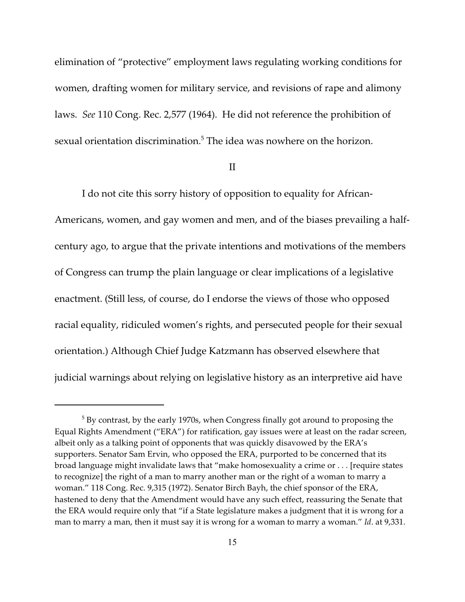elimination of "protective" employment laws regulating working conditions for women, drafting women for military service, and revisions of rape and alimony laws. *See* 110 Cong. Rec. 2,577 (1964). He did not reference the prohibition of sexual orientation discrimination.<sup>5</sup> The idea was nowhere on the horizon.

## II

I do not cite this sorry history of opposition to equality for African-Americans, women, and gay women and men, and of the biases prevailing a halfcentury ago, to argue that the private intentions and motivations of the members of Congress can trump the plain language or clear implications of a legislative enactment. (Still less, of course, do I endorse the views of those who opposed racial equality, ridiculed women's rights, and persecuted people for their sexual orientation.) Although Chief Judge Katzmann has observed elsewhere that judicial warnings about relying on legislative history as an interpretive aid have

 $^5$  By contrast, by the early 1970s, when Congress finally got around to proposing the Equal Rights Amendment ("ERA") for ratification, gay issues were at least on the radar screen, albeit only as a talking point of opponents that was quickly disavowed by the ERA's supporters. Senator Sam Ervin, who opposed the ERA, purported to be concerned that its broad language might invalidate laws that "make homosexuality a crime or . . . [require states to recognize] the right of a man to marry another man or the right of a woman to marry a woman." 118 Cong. Rec. 9,315 (1972). Senator Birch Bayh, the chief sponsor of the ERA, hastened to deny that the Amendment would have any such effect, reassuring the Senate that the ERA would require only that "if a State legislature makes a judgment that it is wrong for a man to marry a man, then it must say it is wrong for a woman to marry a woman." *Id*. at 9,331.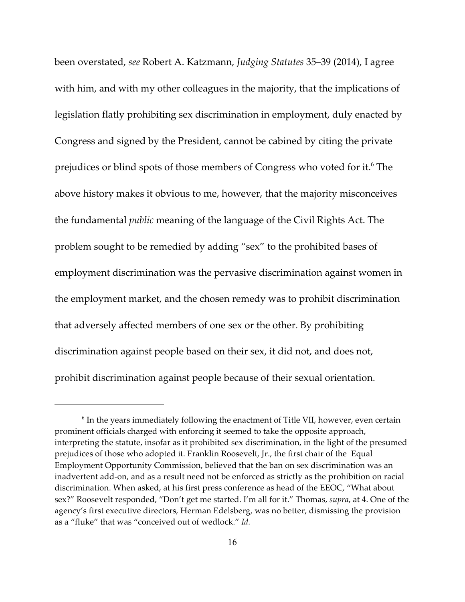been overstated, *see* Robert A. Katzmann, *Judging Statutes* 35–39 (2014), I agree with him, and with my other colleagues in the majority, that the implications of legislation flatly prohibiting sex discrimination in employment, duly enacted by Congress and signed by the President, cannot be cabined by citing the private prejudices or blind spots of those members of Congress who voted for it.<sup>6</sup> The above history makes it obvious to me, however, that the majority misconceives the fundamental *public* meaning of the language of the Civil Rights Act. The problem sought to be remedied by adding "sex" to the prohibited bases of employment discrimination was the pervasive discrimination against women in the employment market, and the chosen remedy was to prohibit discrimination that adversely affected members of one sex or the other. By prohibiting discrimination against people based on their sex, it did not, and does not, prohibit discrimination against people because of their sexual orientation.

 $6$  In the years immediately following the enactment of Title VII, however, even certain prominent officials charged with enforcing it seemed to take the opposite approach, interpreting the statute, insofar as it prohibited sex discrimination, in the light of the presumed prejudices of those who adopted it. Franklin Roosevelt, Jr., the first chair of the Equal Employment Opportunity Commission, believed that the ban on sex discrimination was an inadvertent add-on, and as a result need not be enforced as strictly as the prohibition on racial discrimination. When asked, at his first press conference as head of the EEOC, "What about sex?" Roosevelt responded, "Don't get me started. I'm all for it." Thomas, *supra*, at 4. One of the agency's first executive directors, Herman Edelsberg, was no better, dismissing the provision as a "fluke" that was "conceived out of wedlock." *Id.*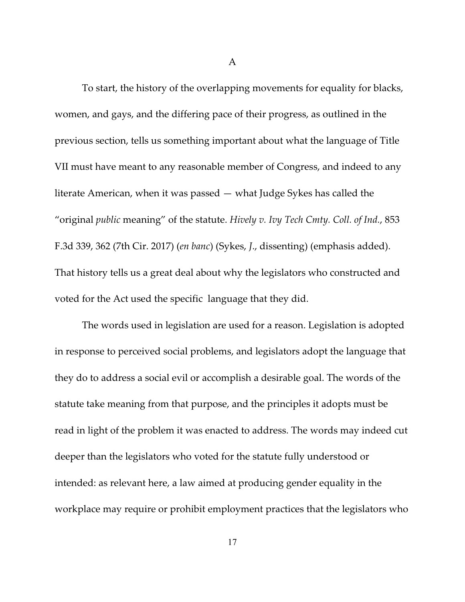A

To start, the history of the overlapping movements for equality for blacks, women, and gays, and the differing pace of their progress, as outlined in the previous section, tells us something important about what the language of Title VII must have meant to any reasonable member of Congress, and indeed to any literate American, when it was passed — what Judge Sykes has called the "original *public* meaning" of the statute. *Hively v. Ivy Tech Cmty. Coll. of Ind.*, 853 F.3d 339, 362 (7th Cir. 2017) (*en banc*) (Sykes, *J*., dissenting) (emphasis added). That history tells us a great deal about why the legislators who constructed and voted for the Act used the specific language that they did.

The words used in legislation are used for a reason. Legislation is adopted in response to perceived social problems, and legislators adopt the language that they do to address a social evil or accomplish a desirable goal. The words of the statute take meaning from that purpose, and the principles it adopts must be read in light of the problem it was enacted to address. The words may indeed cut deeper than the legislators who voted for the statute fully understood or intended: as relevant here, a law aimed at producing gender equality in the workplace may require or prohibit employment practices that the legislators who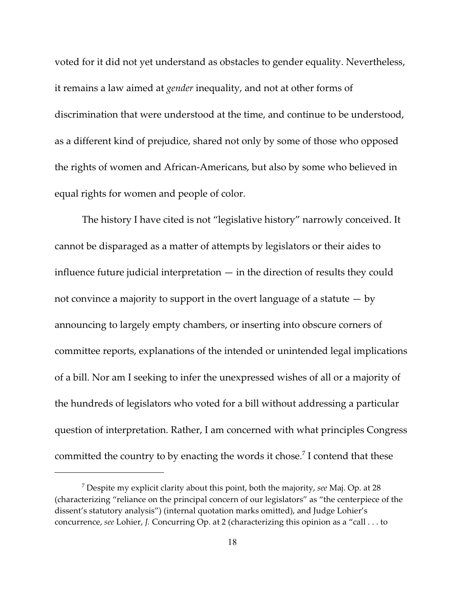voted for it did not yet understand as obstacles to gender equality. Nevertheless, it remains a law aimed at *gender* inequality, and not at other forms of discrimination that were understood at the time, and continue to be understood, as a different kind of prejudice, shared not only by some of those who opposed the rights of women and African-Americans, but also by some who believed in equal rights for women and people of color.

The history I have cited is not "legislative history" narrowly conceived. It cannot be disparaged as a matter of attempts by legislators or their aides to influence future judicial interpretation  $-$  in the direction of results they could not convince a majority to support in the overt language of a statute  $-$  by announcing to largely empty chambers, or inserting into obscure corners of committee reports, explanations of the intended or unintended legal implications of a bill. Nor am I seeking to infer the unexpressed wishes of all or a majority of the hundreds of legislators who voted for a bill without addressing a particular question of interpretation. Rather, I am concerned with what principles Congress committed the country to by enacting the words it chose.<sup>7</sup> I contend that these

Despite my explicit clarity about this point, both the majority, *see* Maj. Op. at 28 <sup>7</sup> (characterizing "reliance on the principal concern of our legislators" as "the centerpiece of the dissent's statutory analysis") (internal quotation marks omitted), and Judge Lohier's concurrence, *see* Lohier, *J.* Concurring Op. at 2 (characterizing this opinion as a "call . . . to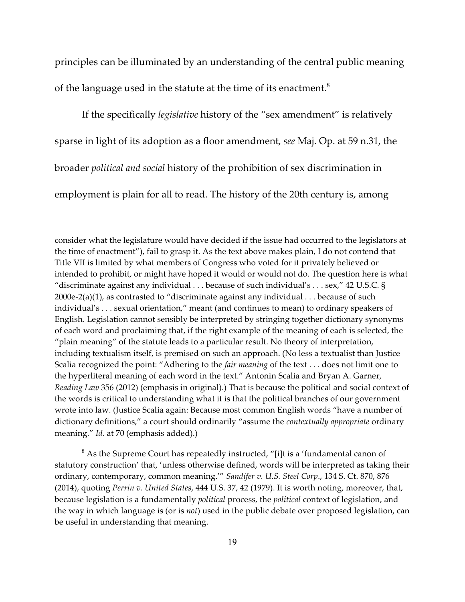principles can be illuminated by an understanding of the central public meaning of the language used in the statute at the time of its enactment.<sup>8</sup>

If the specifically *legislative* history of the "sex amendment" is relatively sparse in light of its adoption as a floor amendment, *see* Maj. Op. at 59 n.31, the broader *political and social* history of the prohibition of sex discrimination in employment is plain for all to read. The history of the 20th century is, among

 $8$  As the Supreme Court has repeatedly instructed, "[i]t is a 'fundamental canon of statutory construction' that, 'unless otherwise defined, words will be interpreted as taking their ordinary, contemporary, common meaning.'" *Sandifer v. U.S. Steel Corp*., 134 S. Ct. 870, 876 (2014), quoting *Perrin v. United States*, 444 U.S. 37, 42 (1979). It is worth noting, moreover, that, because legislation is a fundamentally *political* process, the *political* context of legislation, and the way in which language is (or is *not*) used in the public debate over proposed legislation, can be useful in understanding that meaning.

consider what the legislature would have decided if the issue had occurred to the legislators at the time of enactment"), fail to grasp it. As the text above makes plain, I do not contend that Title VII is limited by what members of Congress who voted for it privately believed or intended to prohibit, or might have hoped it would or would not do. The question here is what "discriminate against any individual . . . because of such individual's . . . sex," 42 U.S.C. § 2000e-2(a)(1), as contrasted to "discriminate against any individual  $\dots$  because of such individual's . . . sexual orientation," meant (and continues to mean) to ordinary speakers of English. Legislation cannot sensibly be interpreted by stringing together dictionary synonyms of each word and proclaiming that, if the right example of the meaning of each is selected, the "plain meaning" of the statute leads to a particular result. No theory of interpretation, including textualism itself, is premised on such an approach. (No less a textualist than Justice Scalia recognized the point: "Adhering to the *fair meaning* of the text . . . does not limit one to the hyperliteral meaning of each word in the text." Antonin Scalia and Bryan A. Garner, *Reading Law* 356 (2012) (emphasis in original).) That is because the political and social context of the words is critical to understanding what it is that the political branches of our government wrote into law. (Justice Scalia again: Because most common English words "have a number of dictionary definitions," a court should ordinarily "assume the *contextually appropriate* ordinary meaning." *Id*. at 70 (emphasis added).)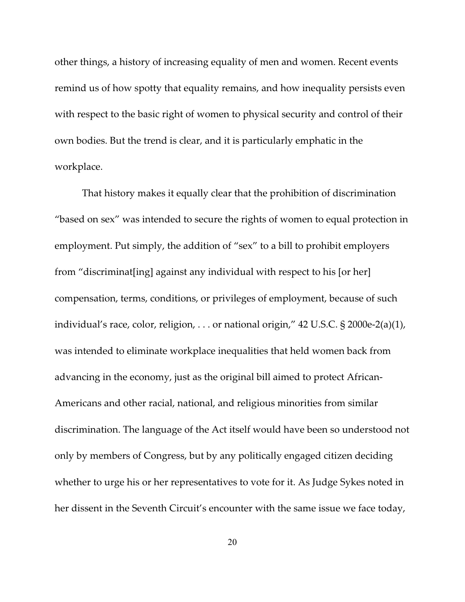other things, a history of increasing equality of men and women. Recent events remind us of how spotty that equality remains, and how inequality persists even with respect to the basic right of women to physical security and control of their own bodies. But the trend is clear, and it is particularly emphatic in the workplace.

That history makes it equally clear that the prohibition of discrimination "based on sex" was intended to secure the rights of women to equal protection in employment. Put simply, the addition of "sex" to a bill to prohibit employers from "discriminat[ing] against any individual with respect to his [or her] compensation, terms, conditions, or privileges of employment, because of such individual's race, color, religion, . . . or national origin," 42 U.S.C. § 2000e-2(a)(1), was intended to eliminate workplace inequalities that held women back from advancing in the economy, just as the original bill aimed to protect African-Americans and other racial, national, and religious minorities from similar discrimination. The language of the Act itself would have been so understood not only by members of Congress, but by any politically engaged citizen deciding whether to urge his or her representatives to vote for it. As Judge Sykes noted in her dissent in the Seventh Circuit's encounter with the same issue we face today,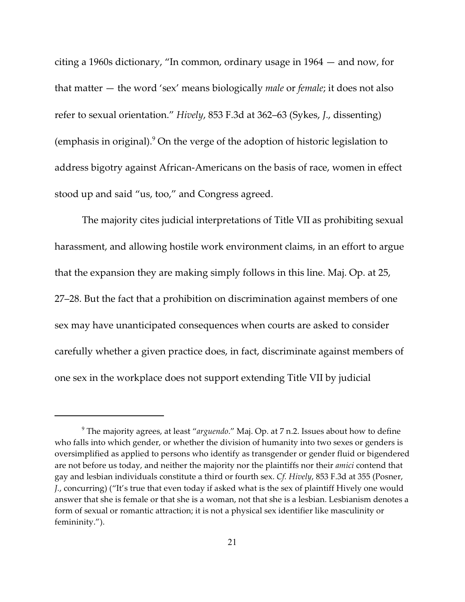citing a 1960s dictionary, "In common, ordinary usage in 1964 — and now, for that matter — the word 'sex' means biologically *male* or *female*; it does not also refer to sexual orientation." *Hively*, 853 F.3d at 362–63 (Sykes, *J*., dissenting) (emphasis in original). $9$  On the verge of the adoption of historic legislation to address bigotry against African-Americans on the basis of race, women in effect stood up and said "us, too," and Congress agreed.

The majority cites judicial interpretations of Title VII as prohibiting sexual harassment, and allowing hostile work environment claims, in an effort to argue that the expansion they are making simply follows in this line. Maj. Op. at 25, 27–28. But the fact that a prohibition on discrimination against members of one sex may have unanticipated consequences when courts are asked to consider carefully whether a given practice does, in fact, discriminate against members of one sex in the workplace does not support extending Title VII by judicial

The majority agrees, at least "*arguendo*." Maj. Op. at 7 n.2. Issues about how to define <sup>9</sup> who falls into which gender, or whether the division of humanity into two sexes or genders is oversimplified as applied to persons who identify as transgender or gender fluid or bigendered are not before us today, and neither the majority nor the plaintiffs nor their *amici* contend that gay and lesbian individuals constitute a third or fourth sex. *Cf. Hively*, 853 F.3d at 355 (Posner, *J.*, concurring) ("It's true that even today if asked what is the sex of plaintiff Hively one would answer that she is female or that she is a woman, not that she is a lesbian. Lesbianism denotes a form of sexual or romantic attraction; it is not a physical sex identifier like masculinity or femininity.").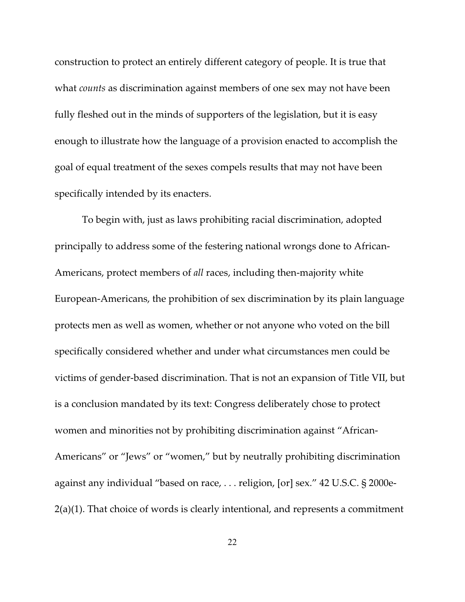construction to protect an entirely different category of people. It is true that what *counts* as discrimination against members of one sex may not have been fully fleshed out in the minds of supporters of the legislation, but it is easy enough to illustrate how the language of a provision enacted to accomplish the goal of equal treatment of the sexes compels results that may not have been specifically intended by its enacters.

To begin with, just as laws prohibiting racial discrimination, adopted principally to address some of the festering national wrongs done to African-Americans, protect members of *all* races, including then-majority white European-Americans, the prohibition of sex discrimination by its plain language protects men as well as women, whether or not anyone who voted on the bill specifically considered whether and under what circumstances men could be victims of gender-based discrimination. That is not an expansion of Title VII, but is a conclusion mandated by its text: Congress deliberately chose to protect women and minorities not by prohibiting discrimination against "African-Americans" or "Jews" or "women," but by neutrally prohibiting discrimination against any individual "based on race, . . . religion, [or] sex." 42 U.S.C. § 2000e-2(a)(1). That choice of words is clearly intentional, and represents a commitment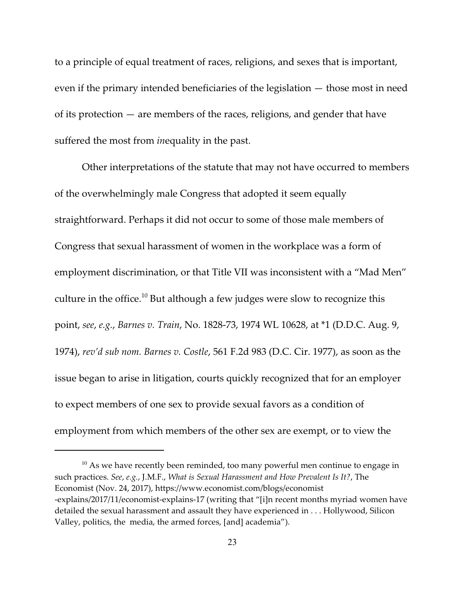to a principle of equal treatment of races, religions, and sexes that is important, even if the primary intended beneficiaries of the legislation — those most in need of its protection — are members of the races, religions, and gender that have suffered the most from *in*equality in the past.

Other interpretations of the statute that may not have occurred to members of the overwhelmingly male Congress that adopted it seem equally straightforward. Perhaps it did not occur to some of those male members of Congress that sexual harassment of women in the workplace was a form of employment discrimination, or that Title VII was inconsistent with a "Mad Men" culture in the office.<sup>10</sup> But although a few judges were slow to recognize this point, *see*, *e.g.*, *Barnes v. Train*, No. 1828-73, 1974 WL 10628, at \*1 (D.D.C. Aug. 9, 1974), *rev'd sub nom. Barnes v. Costle*, 561 F.2d 983 (D.C. Cir. 1977), as soon as the issue began to arise in litigation, courts quickly recognized that for an employer to expect members of one sex to provide sexual favors as a condition of employment from which members of the other sex are exempt, or to view the

 $10$  As we have recently been reminded, too many powerful men continue to engage in such practices. *See*, *e.g.*, J.M.F., *What is Sexual Harassment and How Prevalent Is It?*, The Economist (Nov. 24, 2017), https://www.economist.com/blogs/economist -explains/2017/11/economist-explains-17 (writing that "[i]n recent months myriad women have detailed the sexual harassment and assault they have experienced in . . . Hollywood, Silicon Valley, politics, the media, the armed forces, [and] academia").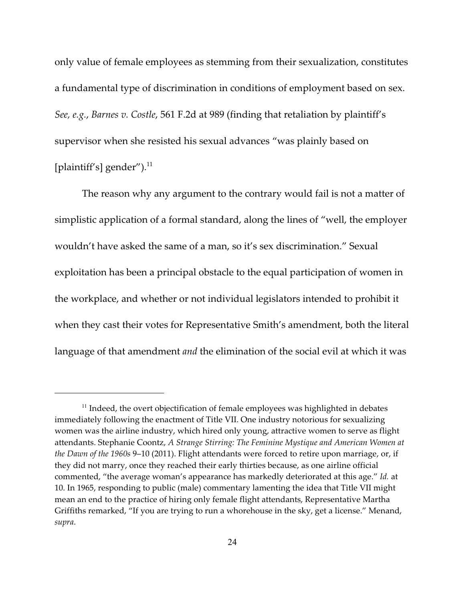only value of female employees as stemming from their sexualization, constitutes a fundamental type of discrimination in conditions of employment based on sex. *See, e.g.*, *Barnes v. Costle*, 561 F.2d at 989 (finding that retaliation by plaintiff's supervisor when she resisted his sexual advances "was plainly based on [plaintiff's] gender").<sup>11</sup>

The reason why any argument to the contrary would fail is not a matter of simplistic application of a formal standard, along the lines of "well, the employer wouldn't have asked the same of a man, so it's sex discrimination." Sexual exploitation has been a principal obstacle to the equal participation of women in the workplace, and whether or not individual legislators intended to prohibit it when they cast their votes for Representative Smith's amendment, both the literal language of that amendment *and* the elimination of the social evil at which it was

 $11$  Indeed, the overt objectification of female employees was highlighted in debates immediately following the enactment of Title VII. One industry notorious for sexualizing women was the airline industry, which hired only young, attractive women to serve as flight attendants. Stephanie Coontz, *A Strange Stirring: The Feminine Mystique and American Women at the Dawn of the 1960s* 9–10 (2011). Flight attendants were forced to retire upon marriage, or, if they did not marry, once they reached their early thirties because, as one airline official commented, "the average woman's appearance has markedly deteriorated at this age." *Id.* at 10. In 1965, responding to public (male) commentary lamenting the idea that Title VII might mean an end to the practice of hiring only female flight attendants, Representative Martha Griffiths remarked, "If you are trying to run a whorehouse in the sky, get a license." Menand, *supra*.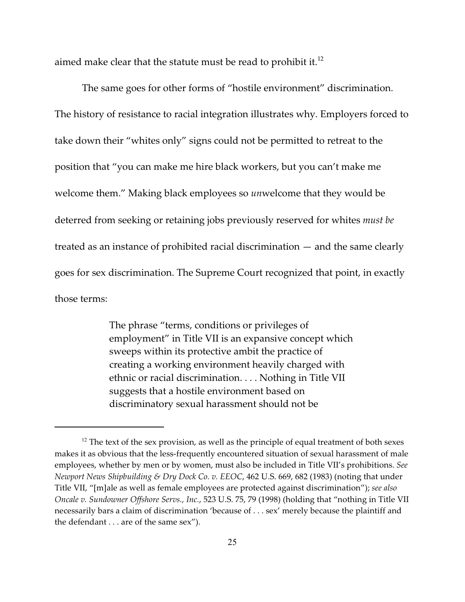aimed make clear that the statute must be read to prohibit it.<sup>12</sup>

The same goes for other forms of "hostile environment" discrimination. The history of resistance to racial integration illustrates why. Employers forced to take down their "whites only" signs could not be permitted to retreat to the position that "you can make me hire black workers, but you can't make me welcome them." Making black employees so *un*welcome that they would be deterred from seeking or retaining jobs previously reserved for whites *must be* treated as an instance of prohibited racial discrimination — and the same clearly goes for sex discrimination. The Supreme Court recognized that point, in exactly those terms:

> The phrase "terms, conditions or privileges of employment" in Title VII is an expansive concept which sweeps within its protective ambit the practice of creating a working environment heavily charged with ethnic or racial discrimination. . . . Nothing in Title VII suggests that a hostile environment based on discriminatory sexual harassment should not be

 $12$  The text of the sex provision, as well as the principle of equal treatment of both sexes makes it as obvious that the less-frequently encountered situation of sexual harassment of male employees, whether by men or by women, must also be included in Title VII's prohibitions. *See Newport News Shipbuilding & Dry Dock Co. v. EEOC*, 462 U.S. 669, 682 (1983) (noting that under Title VII, "[m]ale as well as female employees are protected against discrimination"); *see also Oncale v. Sundowner Offshore Servs., Inc.*, 523 U.S. 75, 79 (1998) (holding that "nothing in Title VII necessarily bars a claim of discrimination 'because of . . . sex' merely because the plaintiff and the defendant . . . are of the same sex").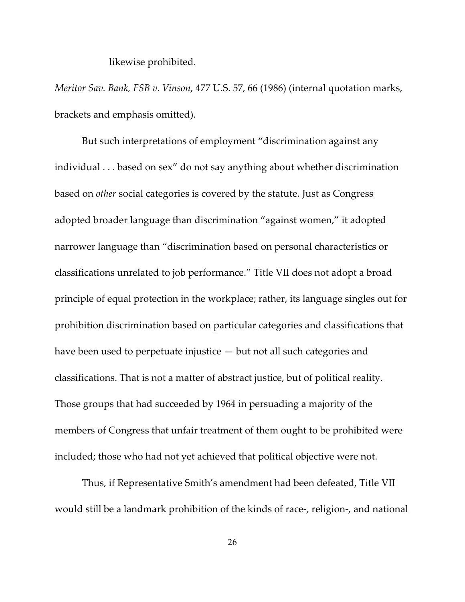likewise prohibited.

*Meritor Sav. Bank, FSB v. Vinson*, 477 U.S. 57, 66 (1986) (internal quotation marks, brackets and emphasis omitted).

But such interpretations of employment "discrimination against any individual . . . based on sex" do not say anything about whether discrimination based on *other* social categories is covered by the statute. Just as Congress adopted broader language than discrimination "against women," it adopted narrower language than "discrimination based on personal characteristics or classifications unrelated to job performance." Title VII does not adopt a broad principle of equal protection in the workplace; rather, its language singles out for prohibition discrimination based on particular categories and classifications that have been used to perpetuate injustice — but not all such categories and classifications. That is not a matter of abstract justice, but of political reality. Those groups that had succeeded by 1964 in persuading a majority of the members of Congress that unfair treatment of them ought to be prohibited were included; those who had not yet achieved that political objective were not.

Thus, if Representative Smith's amendment had been defeated, Title VII would still be a landmark prohibition of the kinds of race-, religion-, and national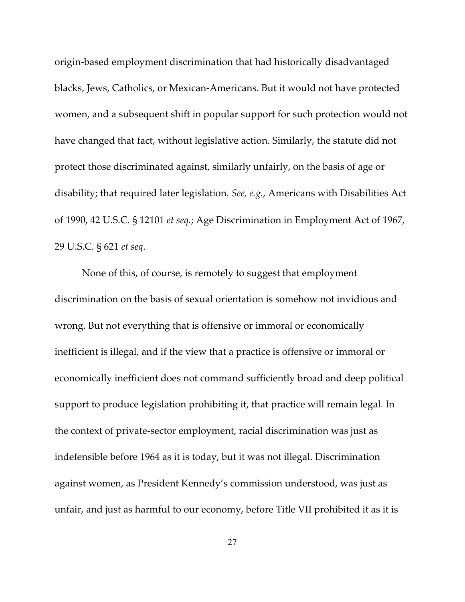origin-based employment discrimination that had historically disadvantaged blacks, Jews, Catholics, or Mexican-Americans. But it would not have protected women, and a subsequent shift in popular support for such protection would not have changed that fact, without legislative action. Similarly, the statute did not protect those discriminated against, similarly unfairly, on the basis of age or disability; that required later legislation. *See, e.g.*, Americans with Disabilities Act of 1990, 42 U.S.C. § 12101 *et seq*.; Age Discrimination in Employment Act of 1967, 29 U.S.C. § 621 *et seq*.

None of this, of course, is remotely to suggest that employment discrimination on the basis of sexual orientation is somehow not invidious and wrong. But not everything that is offensive or immoral or economically inefficient is illegal, and if the view that a practice is offensive or immoral or economically inefficient does not command sufficiently broad and deep political support to produce legislation prohibiting it, that practice will remain legal. In the context of private-sector employment, racial discrimination was just as indefensible before 1964 as it is today, but it was not illegal. Discrimination against women, as President Kennedy's commission understood, was just as unfair, and just as harmful to our economy, before Title VII prohibited it as it is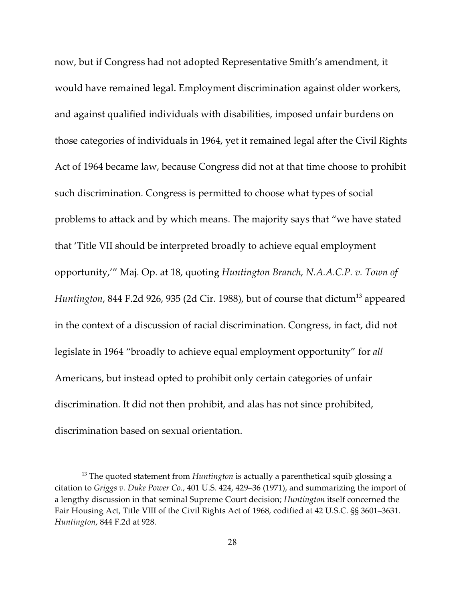now, but if Congress had not adopted Representative Smith's amendment, it would have remained legal. Employment discrimination against older workers, and against qualified individuals with disabilities, imposed unfair burdens on those categories of individuals in 1964, yet it remained legal after the Civil Rights Act of 1964 became law, because Congress did not at that time choose to prohibit such discrimination. Congress is permitted to choose what types of social problems to attack and by which means. The majority says that "we have stated that 'Title VII should be interpreted broadly to achieve equal employment opportunity,'" Maj. Op. at 18, quoting *Huntington Branch, N.A.A.C.P. v. Town of Huntington,* 844 F.2d 926*,* 935 (2d Cir. 1988)*,* but of course that dictum<sup>13</sup> appeared in the context of a discussion of racial discrimination. Congress, in fact, did not legislate in 1964 "broadly to achieve equal employment opportunity" for *all* Americans, but instead opted to prohibit only certain categories of unfair discrimination. It did not then prohibit, and alas has not since prohibited, discrimination based on sexual orientation.

<sup>&</sup>lt;sup>13</sup> The quoted statement from *Huntington* is actually a parenthetical squib glossing a citation to *Griggs v. Duke Power Co.*, 401 U.S. 424, 429–36 (1971), and summarizing the import of a lengthy discussion in that seminal Supreme Court decision; *Huntington* itself concerned the Fair Housing Act, Title VIII of the Civil Rights Act of 1968, codified at 42 U.S.C. §§ 3601–3631. *Huntington*, 844 F.2d at 928.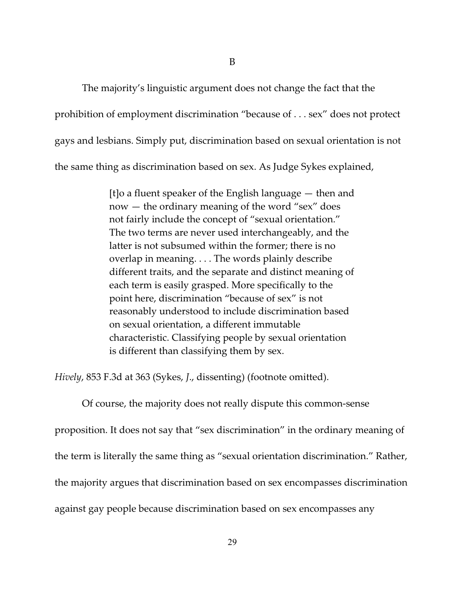The majority's linguistic argument does not change the fact that the prohibition of employment discrimination "because of . . . sex" does not protect gays and lesbians. Simply put, discrimination based on sexual orientation is not the same thing as discrimination based on sex. As Judge Sykes explained,

> [t]o a fluent speaker of the English language — then and now — the ordinary meaning of the word "sex" does not fairly include the concept of "sexual orientation." The two terms are never used interchangeably, and the latter is not subsumed within the former; there is no overlap in meaning. . . . The words plainly describe different traits, and the separate and distinct meaning of each term is easily grasped. More specifically to the point here, discrimination "because of sex" is not reasonably understood to include discrimination based on sexual orientation, a different immutable characteristic. Classifying people by sexual orientation is different than classifying them by sex.

*Hively*, 853 F.3d at 363 (Sykes, *J*., dissenting) (footnote omitted).

Of course, the majority does not really dispute this common-sense proposition. It does not say that "sex discrimination" in the ordinary meaning of the term is literally the same thing as "sexual orientation discrimination." Rather, the majority argues that discrimination based on sex encompasses discrimination against gay people because discrimination based on sex encompasses any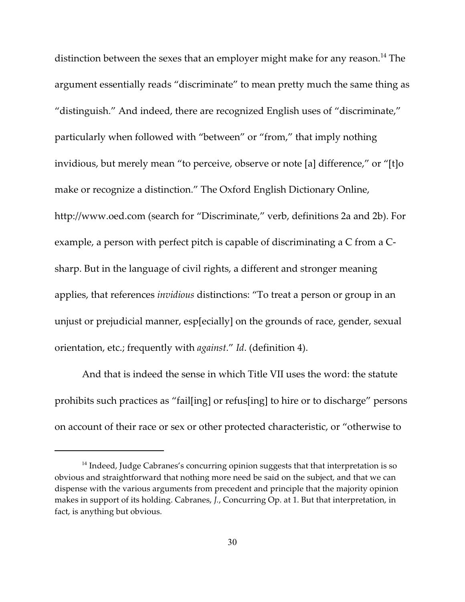distinction between the sexes that an employer might make for any reason.<sup>14</sup> The argument essentially reads "discriminate" to mean pretty much the same thing as "distinguish." And indeed, there are recognized English uses of "discriminate," particularly when followed with "between" or "from," that imply nothing invidious, but merely mean "to perceive, observe or note [a] difference," or "[t]o make or recognize a distinction." The Oxford English Dictionary Online, http://www.oed.com (search for "Discriminate," verb, definitions 2a and 2b). For example, a person with perfect pitch is capable of discriminating a C from a Csharp. But in the language of civil rights, a different and stronger meaning applies, that references *invidious* distinctions: "To treat a person or group in an unjust or prejudicial manner, esp[ecially] on the grounds of race, gender, sexual orientation, etc.; frequently with *against*." *Id*. (definition 4).

And that is indeed the sense in which Title VII uses the word: the statute prohibits such practices as "fail[ing] or refus[ing] to hire or to discharge" persons on account of their race or sex or other protected characteristic, or "otherwise to

 $14$  Indeed, Judge Cabranes's concurring opinion suggests that that interpretation is so obvious and straightforward that nothing more need be said on the subject, and that we can dispense with the various arguments from precedent and principle that the majority opinion makes in support of its holding. Cabranes, *J.*, Concurring Op. at 1. But that interpretation, in fact, is anything but obvious.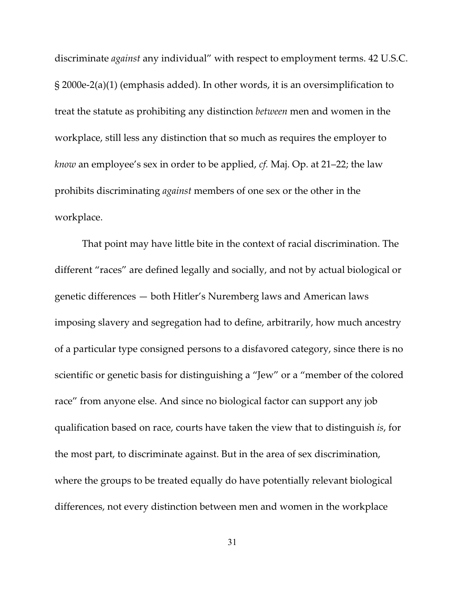discriminate *against* any individual" with respect to employment terms. 42 U.S.C. § 2000e-2(a)(1) (emphasis added). In other words, it is an oversimplification to treat the statute as prohibiting any distinction *between* men and women in the workplace, still less any distinction that so much as requires the employer to *know* an employee's sex in order to be applied, *cf.* Maj. Op. at 21–22; the law prohibits discriminating *against* members of one sex or the other in the workplace.

That point may have little bite in the context of racial discrimination. The different "races" are defined legally and socially, and not by actual biological or genetic differences — both Hitler's Nuremberg laws and American laws imposing slavery and segregation had to define, arbitrarily, how much ancestry of a particular type consigned persons to a disfavored category, since there is no scientific or genetic basis for distinguishing a "Jew" or a "member of the colored race" from anyone else. And since no biological factor can support any job qualification based on race, courts have taken the view that to distinguish *is*, for the most part, to discriminate against. But in the area of sex discrimination, where the groups to be treated equally do have potentially relevant biological differences, not every distinction between men and women in the workplace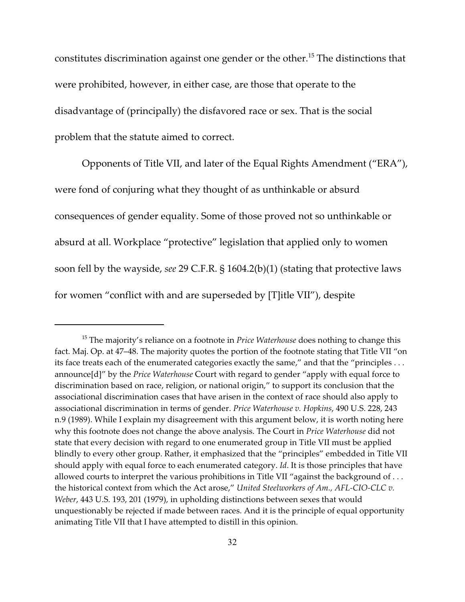constitutes discrimination against one gender or the other.<sup>15</sup> The distinctions that were prohibited, however, in either case, are those that operate to the disadvantage of (principally) the disfavored race or sex. That is the social problem that the statute aimed to correct.

Opponents of Title VII, and later of the Equal Rights Amendment ("ERA"), were fond of conjuring what they thought of as unthinkable or absurd consequences of gender equality. Some of those proved not so unthinkable or absurd at all. Workplace "protective" legislation that applied only to women soon fell by the wayside, *see* 29 C.F.R. § 1604.2(b)(1) (stating that protective laws for women "conflict with and are superseded by [T]itle VII"), despite

<sup>&</sup>lt;sup>15</sup> The majority's reliance on a footnote in *Price Waterhouse* does nothing to change this fact. Maj. Op. at 47–48. The majority quotes the portion of the footnote stating that Title VII "on its face treats each of the enumerated categories exactly the same," and that the "principles . . . announce[d]" by the *Price Waterhouse* Court with regard to gender "apply with equal force to discrimination based on race, religion, or national origin," to support its conclusion that the associational discrimination cases that have arisen in the context of race should also apply to associational discrimination in terms of gender. *Price Waterhouse v. Hopkins*, 490 U.S. 228, 243 n.9 (1989). While I explain my disagreement with this argument below, it is worth noting here why this footnote does not change the above analysis. The Court in *Price Waterhouse* did not state that every decision with regard to one enumerated group in Title VII must be applied blindly to every other group. Rather, it emphasized that the "principles" embedded in Title VII should apply with equal force to each enumerated category. *Id*. It is those principles that have allowed courts to interpret the various prohibitions in Title VII "against the background of ... the historical context from which the Act arose," *United Steelworkers of Am., AFL-CIO-CLC v. Weber*, 443 U.S. 193, 201 (1979), in upholding distinctions between sexes that would unquestionably be rejected if made between races. And it is the principle of equal opportunity animating Title VII that I have attempted to distill in this opinion.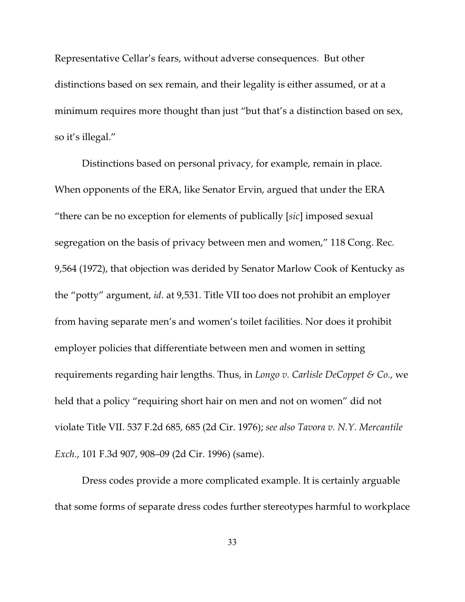Representative Cellar's fears, without adverse consequences. But other distinctions based on sex remain, and their legality is either assumed, or at a minimum requires more thought than just "but that's a distinction based on sex, so it's illegal."

Distinctions based on personal privacy, for example, remain in place. When opponents of the ERA, like Senator Ervin, argued that under the ERA "there can be no exception for elements of publically [*sic*] imposed sexual segregation on the basis of privacy between men and women," 118 Cong. Rec. 9,564 (1972), that objection was derided by Senator Marlow Cook of Kentucky as the "potty" argument, *id.* at 9,531. Title VII too does not prohibit an employer from having separate men's and women's toilet facilities. Nor does it prohibit employer policies that differentiate between men and women in setting requirements regarding hair lengths. Thus, in *Longo v. Carlisle DeCoppet & Co.*, we held that a policy "requiring short hair on men and not on women" did not violate Title VII. 537 F.2d 685, 685 (2d Cir. 1976); *see also Tavora v. N.Y. Mercantile Exch.*, 101 F.3d 907, 908–09 (2d Cir. 1996) (same).

Dress codes provide a more complicated example. It is certainly arguable that some forms of separate dress codes further stereotypes harmful to workplace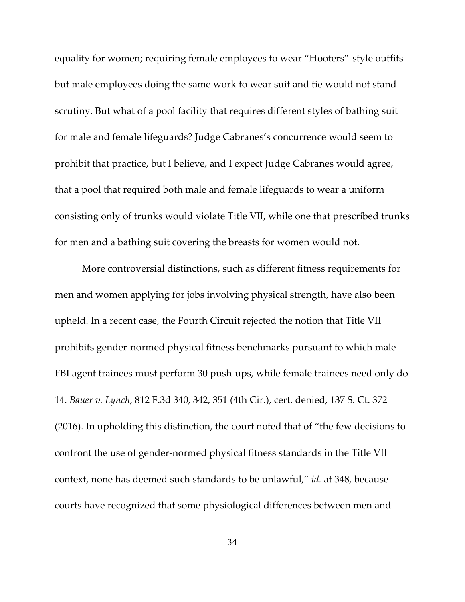equality for women; requiring female employees to wear "Hooters"-style outfits but male employees doing the same work to wear suit and tie would not stand scrutiny. But what of a pool facility that requires different styles of bathing suit for male and female lifeguards? Judge Cabranes's concurrence would seem to prohibit that practice, but I believe, and I expect Judge Cabranes would agree, that a pool that required both male and female lifeguards to wear a uniform consisting only of trunks would violate Title VII, while one that prescribed trunks for men and a bathing suit covering the breasts for women would not.

More controversial distinctions, such as different fitness requirements for men and women applying for jobs involving physical strength, have also been upheld. In a recent case, the Fourth Circuit rejected the notion that Title VII prohibits gender-normed physical fitness benchmarks pursuant to which male FBI agent trainees must perform 30 push-ups, while female trainees need only do 14. *Bauer v. Lynch*, 812 F.3d 340, 342, 351 (4th Cir.), cert. denied, 137 S. Ct. 372 (2016). In upholding this distinction, the court noted that of "the few decisions to confront the use of gender-normed physical fitness standards in the Title VII context, none has deemed such standards to be unlawful," *id.* at 348, because courts have recognized that some physiological differences between men and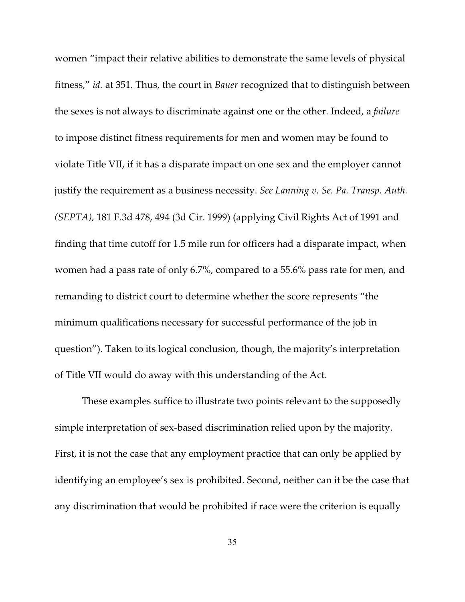women "impact their relative abilities to demonstrate the same levels of physical fitness," *id.* at 351. Thus, the court in *Bauer* recognized that to distinguish between the sexes is not always to discriminate against one or the other. Indeed, a *failure* to impose distinct fitness requirements for men and women may be found to violate Title VII, if it has a disparate impact on one sex and the employer cannot justify the requirement as a business necessity. *See Lanning v. Se. Pa. Transp. Auth. (SEPTA),* 181 F.3d 478, 494 (3d Cir. 1999) (applying Civil Rights Act of 1991 and finding that time cutoff for 1.5 mile run for officers had a disparate impact, when women had a pass rate of only 6.7%, compared to a 55.6% pass rate for men, and remanding to district court to determine whether the score represents "the minimum qualifications necessary for successful performance of the job in question"). Taken to its logical conclusion, though, the majority's interpretation of Title VII would do away with this understanding of the Act.

These examples suffice to illustrate two points relevant to the supposedly simple interpretation of sex-based discrimination relied upon by the majority. First, it is not the case that any employment practice that can only be applied by identifying an employee's sex is prohibited. Second, neither can it be the case that any discrimination that would be prohibited if race were the criterion is equally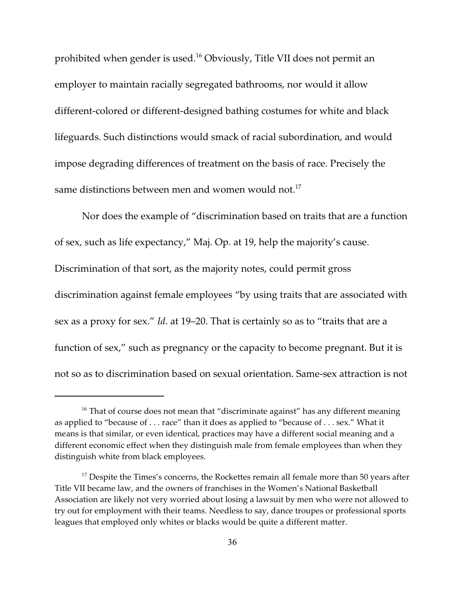prohibited when gender is used.<sup>16</sup> Obviously, Title VII does not permit an employer to maintain racially segregated bathrooms, nor would it allow different-colored or different-designed bathing costumes for white and black lifeguards. Such distinctions would smack of racial subordination, and would impose degrading differences of treatment on the basis of race. Precisely the same distinctions between men and women would not.<sup>17</sup>

Nor does the example of "discrimination based on traits that are a function of sex, such as life expectancy," Maj. Op. at 19, help the majority's cause. Discrimination of that sort, as the majority notes, could permit gross discrimination against female employees "by using traits that are associated with sex as a proxy for sex." *Id*. at 19–20. That is certainly so as to "traits that are a function of sex," such as pregnancy or the capacity to become pregnant. But it is not so as to discrimination based on sexual orientation. Same-sex attraction is not

 $16$  That of course does not mean that "discriminate against" has any different meaning as applied to "because of . . . race" than it does as applied to "because of . . . sex." What it means is that similar, or even identical, practices may have a different social meaning and a different economic effect when they distinguish male from female employees than when they distinguish white from black employees.

 $17$  Despite the Times's concerns, the Rockettes remain all female more than 50 years after Title VII became law, and the owners of franchises in the Women's National Basketball Association are likely not very worried about losing a lawsuit by men who were not allowed to try out for employment with their teams. Needless to say, dance troupes or professional sports leagues that employed only whites or blacks would be quite a different matter.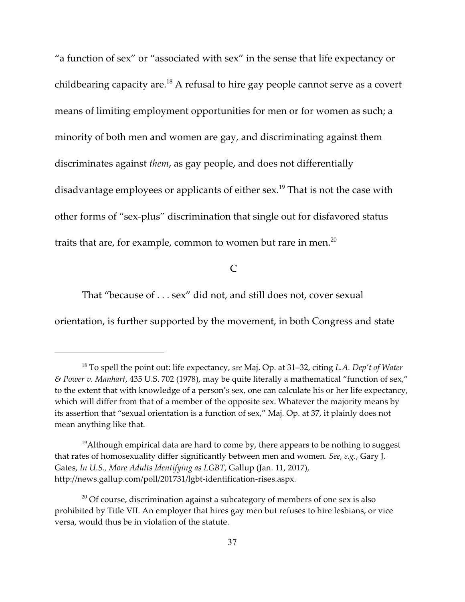"a function of sex" or "associated with sex" in the sense that life expectancy or childbearing capacity are. $^{18}$  A refusal to hire gay people cannot serve as a covert means of limiting employment opportunities for men or for women as such; a minority of both men and women are gay, and discriminating against them discriminates against *them*, as gay people, and does not differentially disadvantage employees or applicants of either sex.<sup>19</sup> That is not the case with other forms of "sex-plus" discrimination that single out for disfavored status traits that are, for example, common to women but rare in men.<sup>20</sup>

# $\mathcal{C}$

That "because of . . . sex" did not, and still does not, cover sexual

orientation, is further supported by the movement, in both Congress and state

<sup>&</sup>lt;sup>18</sup> To spell the point out: life expectancy, *see* Maj. Op. at 31–32, citing *L.A. Dep't of Water & Power v. Manhart*, 435 U.S. 702 (1978), may be quite literally a mathematical "function of sex," to the extent that with knowledge of a person's sex, one can calculate his or her life expectancy, which will differ from that of a member of the opposite sex. Whatever the majority means by its assertion that "sexual orientation is a function of sex," Maj. Op. at 37, it plainly does not mean anything like that.

 $^{19}$ Although empirical data are hard to come by, there appears to be nothing to suggest that rates of homosexuality differ significantly between men and women. *See, e.g.*, Gary J. Gates, *In U.S., More Adults Identifying as LGBT*, Gallup (Jan. 11, 2017), http://news.gallup.com/poll/201731/lgbt-identification-rises.aspx.

 $20$  Of course, discrimination against a subcategory of members of one sex is also prohibited by Title VII. An employer that hires gay men but refuses to hire lesbians, or vice versa, would thus be in violation of the statute.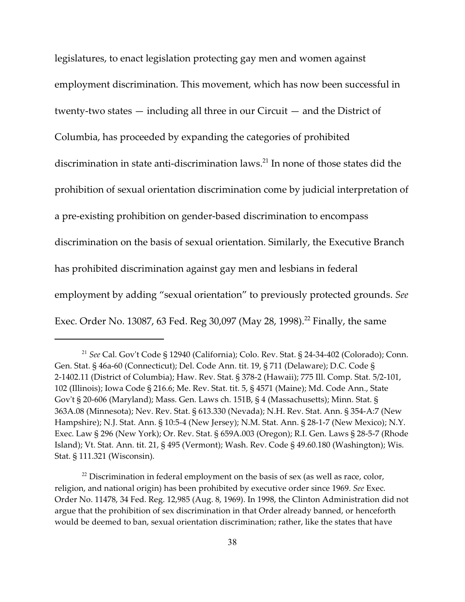legislatures, to enact legislation protecting gay men and women against employment discrimination. This movement, which has now been successful in twenty-two states — including all three in our Circuit — and the District of Columbia, has proceeded by expanding the categories of prohibited discrimination in state anti-discrimination laws. $^{21}$  In none of those states did the prohibition of sexual orientation discrimination come by judicial interpretation of a pre-existing prohibition on gender-based discrimination to encompass discrimination on the basis of sexual orientation. Similarly, the Executive Branch has prohibited discrimination against gay men and lesbians in federal employment by adding "sexual orientation" to previously protected grounds. *See* Exec. Order No. 13087, 63 Fed. Reg 30,097 (May 28, 1998).<sup>22</sup> Finally, the same

<sup>&</sup>lt;sup>21</sup> See Cal. Gov't Code § 12940 (California); Colo. Rev. Stat. § 24-34-402 (Colorado); Conn. Gen. Stat. § 46a-60 (Connecticut); Del. Code Ann. tit. 19, § 711 (Delaware); D.C. Code § 2-1402.11 (District of Columbia); Haw. Rev. Stat. § 378-2 (Hawaii); 775 Ill. Comp. Stat. 5/2-101, 102 (Illinois); Iowa Code § 216.6; Me. Rev. Stat. tit. 5, § 4571 (Maine); Md. Code Ann., State Gov't § 20-606 (Maryland); Mass. Gen. Laws ch. 151B, § 4 (Massachusetts); Minn. Stat. § 363A.08 (Minnesota); Nev. Rev. Stat. § 613.330 (Nevada); N.H. Rev. Stat. Ann. § 354-A:7 (New Hampshire); N.J. Stat. Ann. § 10:5-4 (New Jersey); N.M. Stat. Ann. § 28-1-7 (New Mexico); N.Y. Exec. Law § 296 (New York); Or. Rev. Stat. § 659A.003 (Oregon); R.I. Gen. Laws § 28-5-7 (Rhode Island); Vt. Stat. Ann. tit. 21, § 495 (Vermont); Wash. Rev. Code § 49.60.180 (Washington); Wis. Stat. § 111.321 (Wisconsin).

 $^{22}$  Discrimination in federal employment on the basis of sex (as well as race, color, religion, and national origin) has been prohibited by executive order since 1969. *See* Exec. Order No. 11478, 34 Fed. Reg. 12,985 (Aug. 8, 1969). In 1998, the Clinton Administration did not argue that the prohibition of sex discrimination in that Order already banned, or henceforth would be deemed to ban, sexual orientation discrimination; rather, like the states that have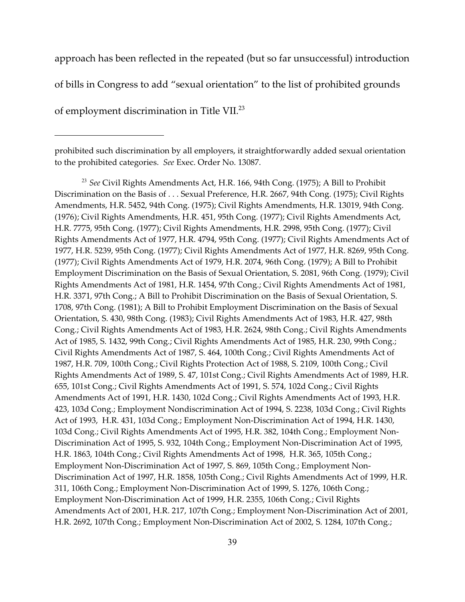approach has been reflected in the repeated (but so far unsuccessful) introduction

of bills in Congress to add "sexual orientation" to the list of prohibited grounds

of employment discrimination in Title VII.<sup>23</sup>

<sup>23</sup> See Civil Rights Amendments Act, H.R. 166, 94th Cong. (1975); A Bill to Prohibit Discrimination on the Basis of . . . Sexual Preference, H.R. 2667, 94th Cong. (1975); Civil Rights Amendments, H.R. 5452, 94th Cong. (1975); Civil Rights Amendments, H.R. 13019, 94th Cong. (1976); Civil Rights Amendments, H.R. 451, 95th Cong. (1977); Civil Rights Amendments Act, H.R. 7775, 95th Cong. (1977); Civil Rights Amendments, H.R. 2998, 95th Cong. (1977); Civil Rights Amendments Act of 1977, H.R. 4794, 95th Cong. (1977); Civil Rights Amendments Act of 1977, H.R. 5239, 95th Cong. (1977); Civil Rights Amendments Act of 1977, H.R. 8269, 95th Cong. (1977); Civil Rights Amendments Act of 1979, H.R. 2074, 96th Cong. (1979); A Bill to Prohibit Employment Discrimination on the Basis of Sexual Orientation, S. 2081, 96th Cong. (1979); Civil Rights Amendments Act of 1981, H.R. 1454, 97th Cong.; Civil Rights Amendments Act of 1981, H.R. 3371, 97th Cong.; A Bill to Prohibit Discrimination on the Basis of Sexual Orientation, S. 1708, 97th Cong. (1981); A Bill to Prohibit Employment Discrimination on the Basis of Sexual Orientation, S. 430, 98th Cong. (1983); Civil Rights Amendments Act of 1983, H.R. 427, 98th Cong.; Civil Rights Amendments Act of 1983, H.R. 2624, 98th Cong.; Civil Rights Amendments Act of 1985, S. 1432, 99th Cong.; Civil Rights Amendments Act of 1985, H.R. 230, 99th Cong.; Civil Rights Amendments Act of 1987, S. 464, 100th Cong.; Civil Rights Amendments Act of 1987, H.R. 709, 100th Cong.; Civil Rights Protection Act of 1988, S. 2109, 100th Cong.; Civil Rights Amendments Act of 1989, S. 47, 101st Cong.; Civil Rights Amendments Act of 1989, H.R. 655, 101st Cong.; Civil Rights Amendments Act of 1991, S. 574, 102d Cong.; Civil Rights Amendments Act of 1991, H.R. 1430, 102d Cong.; Civil Rights Amendments Act of 1993, H.R. 423, 103d Cong.; Employment Nondiscrimination Act of 1994, S. 2238, 103d Cong.; Civil Rights Act of 1993, H.R. 431, 103d Cong.; Employment Non-Discrimination Act of 1994, H.R. 1430, 103d Cong.; Civil Rights Amendments Act of 1995, H.R. 382, 104th Cong.; Employment Non-Discrimination Act of 1995, S. 932, 104th Cong.; Employment Non-Discrimination Act of 1995, H.R. 1863, 104th Cong.; Civil Rights Amendments Act of 1998, H.R. 365, 105th Cong.; Employment Non-Discrimination Act of 1997, S. 869, 105th Cong.; Employment Non-Discrimination Act of 1997, H.R. 1858, 105th Cong.; Civil Rights Amendments Act of 1999, H.R. 311, 106th Cong.; Employment Non-Discrimination Act of 1999, S. 1276, 106th Cong.; Employment Non-Discrimination Act of 1999, H.R. 2355, 106th Cong.; Civil Rights Amendments Act of 2001, H.R. 217, 107th Cong.; Employment Non-Discrimination Act of 2001, H.R. 2692, 107th Cong.; Employment Non-Discrimination Act of 2002, S. 1284, 107th Cong.;

prohibited such discrimination by all employers, it straightforwardly added sexual orientation to the prohibited categories. *See* Exec. Order No. 13087.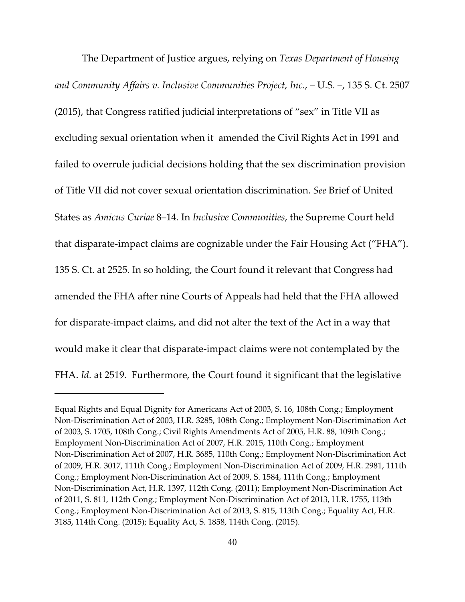The Department of Justice argues, relying on *Texas Department of Housing and Community Affairs v. Inclusive Communities Project, Inc.*, – U.S. –, 135 S. Ct. 2507 (2015), that Congress ratified judicial interpretations of "sex" in Title VII as excluding sexual orientation when it amended the Civil Rights Act in 1991 and failed to overrule judicial decisions holding that the sex discrimination provision of Title VII did not cover sexual orientation discrimination. *See* Brief of United States as *Amicus Curiae* 8–14. In *Inclusive Communities*, the Supreme Court held that disparate-impact claims are cognizable under the Fair Housing Act ("FHA"). 135 S. Ct. at 2525. In so holding, the Court found it relevant that Congress had amended the FHA after nine Courts of Appeals had held that the FHA allowed for disparate-impact claims, and did not alter the text of the Act in a way that would make it clear that disparate-impact claims were not contemplated by the FHA. *Id.* at 2519. Furthermore, the Court found it significant that the legislative

Equal Rights and Equal Dignity for Americans Act of 2003, S. 16, 108th Cong.; Employment Non-Discrimination Act of 2003, H.R. 3285, 108th Cong.; Employment Non-Discrimination Act of 2003, S. 1705, 108th Cong.; Civil Rights Amendments Act of 2005, H.R. 88, 109th Cong.; Employment Non-Discrimination Act of 2007, H.R. 2015, 110th Cong.; Employment Non-Discrimination Act of 2007, H.R. 3685, 110th Cong.; Employment Non-Discrimination Act of 2009, H.R. 3017, 111th Cong.; Employment Non-Discrimination Act of 2009, H.R. 2981, 111th Cong.; Employment Non-Discrimination Act of 2009, S. 1584, 111th Cong.; Employment Non-Discrimination Act, H.R. 1397, 112th Cong. (2011); Employment Non-Discrimination Act of 2011, S. 811, 112th Cong.; Employment Non-Discrimination Act of 2013, H.R. 1755, 113th Cong.; Employment Non-Discrimination Act of 2013, S. 815, 113th Cong.; Equality Act, H.R. 3185, 114th Cong. (2015); Equality Act, S. 1858, 114th Cong. (2015).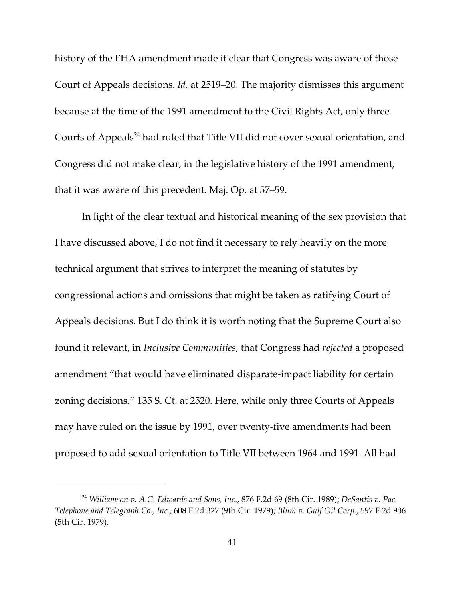history of the FHA amendment made it clear that Congress was aware of those Court of Appeals decisions. *Id.* at 2519–20. The majority dismisses this argument because at the time of the 1991 amendment to the Civil Rights Act, only three Courts of Appeals<sup>24</sup> had ruled that Title VII did not cover sexual orientation, and Congress did not make clear, in the legislative history of the 1991 amendment, that it was aware of this precedent. Maj. Op. at 57–59.

In light of the clear textual and historical meaning of the sex provision that I have discussed above, I do not find it necessary to rely heavily on the more technical argument that strives to interpret the meaning of statutes by congressional actions and omissions that might be taken as ratifying Court of Appeals decisions. But I do think it is worth noting that the Supreme Court also found it relevant, in *Inclusive Communities*, that Congress had *rejected* a proposed amendment "that would have eliminated disparate-impact liability for certain zoning decisions." 135 S. Ct. at 2520. Here, while only three Courts of Appeals may have ruled on the issue by 1991, over twenty-five amendments had been proposed to add sexual orientation to Title VII between 1964 and 1991. All had

*Williamson v. A.G. Edwards and Sons, Inc.*, 876 F.2d 69 (8th Cir. 1989); *DeSantis v. Pac.* <sup>24</sup> *Telephone and Telegraph Co., Inc.*, 608 F.2d 327 (9th Cir. 1979); *Blum v. Gulf Oil Corp.*, 597 F.2d 936 (5th Cir. 1979).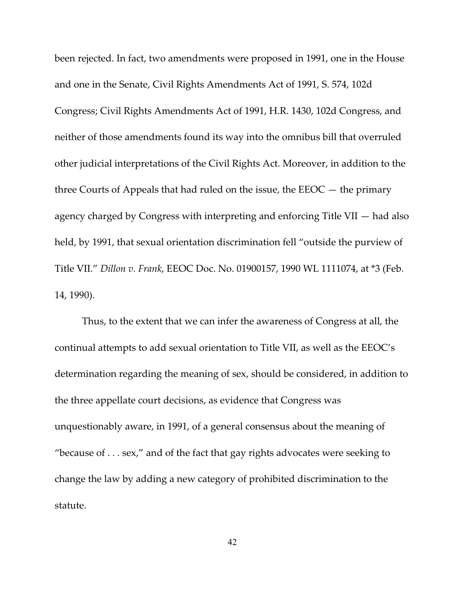been rejected. In fact, two amendments were proposed in 1991, one in the House and one in the Senate, Civil Rights Amendments Act of 1991, S. 574, 102d Congress; Civil Rights Amendments Act of 1991, H.R. 1430, 102d Congress, and neither of those amendments found its way into the omnibus bill that overruled other judicial interpretations of the Civil Rights Act. Moreover, in addition to the three Courts of Appeals that had ruled on the issue, the  $EEOC -$  the primary agency charged by Congress with interpreting and enforcing Title VII — had also held, by 1991, that sexual orientation discrimination fell "outside the purview of Title VII." *Dillon v. Frank*, EEOC Doc. No. 01900157, 1990 WL 1111074, at \*3 (Feb. 14, 1990).

Thus, to the extent that we can infer the awareness of Congress at all, the continual attempts to add sexual orientation to Title VII, as well as the EEOC's determination regarding the meaning of sex, should be considered, in addition to the three appellate court decisions, as evidence that Congress was unquestionably aware, in 1991, of a general consensus about the meaning of "because of  $\dots$  sex," and of the fact that gay rights advocates were seeking to change the law by adding a new category of prohibited discrimination to the statute.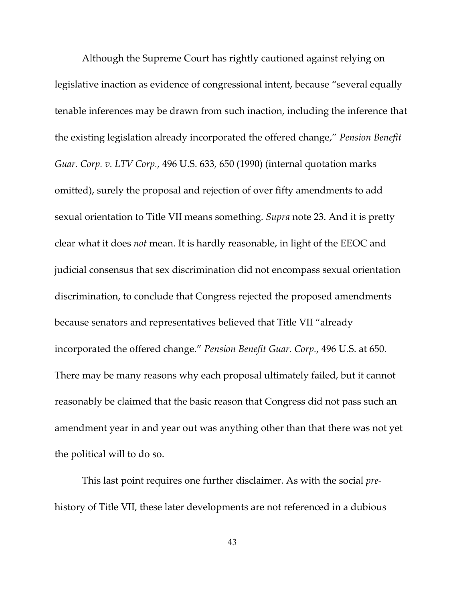Although the Supreme Court has rightly cautioned against relying on legislative inaction as evidence of congressional intent, because "several equally tenable inferences may be drawn from such inaction, including the inference that the existing legislation already incorporated the offered change," *Pension Benefit Guar. Corp. v. LTV Corp.*, 496 U.S. 633, 650 (1990) (internal quotation marks omitted), surely the proposal and rejection of over fifty amendments to add sexual orientation to Title VII means something. *Supra* note 23. And it is pretty clear what it does *not* mean. It is hardly reasonable, in light of the EEOC and judicial consensus that sex discrimination did not encompass sexual orientation discrimination, to conclude that Congress rejected the proposed amendments because senators and representatives believed that Title VII "already incorporated the offered change." *Pension Benefit Guar. Corp.*, 496 U.S. at 650. There may be many reasons why each proposal ultimately failed, but it cannot reasonably be claimed that the basic reason that Congress did not pass such an amendment year in and year out was anything other than that there was not yet the political will to do so.

This last point requires one further disclaimer. As with the social *pre*history of Title VII, these later developments are not referenced in a dubious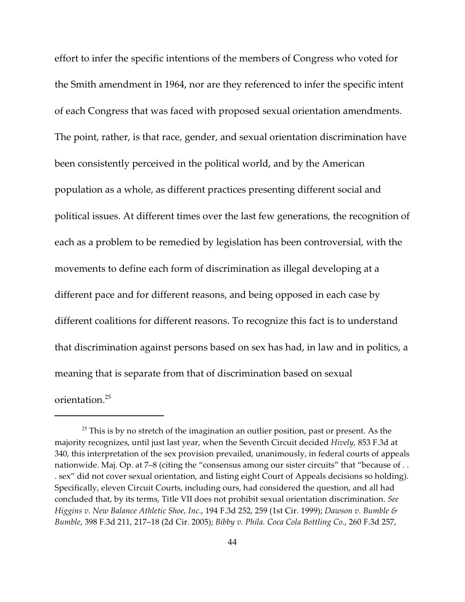effort to infer the specific intentions of the members of Congress who voted for the Smith amendment in 1964, nor are they referenced to infer the specific intent of each Congress that was faced with proposed sexual orientation amendments. The point, rather, is that race, gender, and sexual orientation discrimination have been consistently perceived in the political world, and by the American population as a whole, as different practices presenting different social and political issues. At different times over the last few generations, the recognition of each as a problem to be remedied by legislation has been controversial, with the movements to define each form of discrimination as illegal developing at a different pace and for different reasons, and being opposed in each case by different coalitions for different reasons. To recognize this fact is to understand that discrimination against persons based on sex has had, in law and in politics, a meaning that is separate from that of discrimination based on sexual orientation.<sup>25</sup>

 $25$  This is by no stretch of the imagination an outlier position, past or present. As the majority recognizes, until just last year, when the Seventh Circuit decided *Hively,* 853 F.3d at 340, this interpretation of the sex provision prevailed, unanimously, in federal courts of appeals nationwide. Maj. Op. at 7–8 (citing the "consensus among our sister circuits" that "because of . . . sex" did not cover sexual orientation, and listing eight Court of Appeals decisions so holding). Specifically, eleven Circuit Courts, including ours, had considered the question, and all had concluded that, by its terms, Title VII does not prohibit sexual orientation discrimination. *See Higgins v. New Balance Athletic Shoe, Inc.*, 194 F.3d 252, 259 (1st Cir. 1999); *Dawson v. Bumble & Bumble*, 398 F.3d 211, 217–18 (2d Cir. 2005); *Bibby v. Phila. Coca Cola Bottling Co.*, 260 F.3d 257,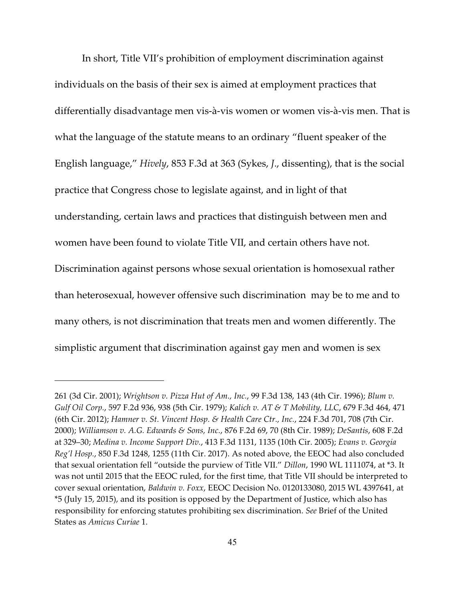In short, Title VII's prohibition of employment discrimination against individuals on the basis of their sex is aimed at employment practices that differentially disadvantage men vis-à-vis women or women vis-à-vis men. That is what the language of the statute means to an ordinary "fluent speaker of the English language," *Hively*, 853 F.3d at 363 (Sykes, *J*., dissenting), that is the social practice that Congress chose to legislate against, and in light of that understanding, certain laws and practices that distinguish between men and women have been found to violate Title VII, and certain others have not. Discrimination against persons whose sexual orientation is homosexual rather than heterosexual, however offensive such discrimination may be to me and to many others, is not discrimination that treats men and women differently. The simplistic argument that discrimination against gay men and women is sex

<sup>261 (3</sup>d Cir. 2001); *Wrightson v. Pizza Hut of Am., Inc.*, 99 F.3d 138, 143 (4th Cir. 1996); *Blum v. Gulf Oil Corp.*, 597 F.2d 936, 938 (5th Cir. 1979); *Kalich v. AT & T Mobility, LLC*, 679 F.3d 464, 471 (6th Cir. 2012); *Hamner v. St. Vincent Hosp. & Health Care Ctr., Inc.*, 224 F.3d 701, 708 (7th Cir. 2000); *Williamson v. A.G. Edwards & Sons, Inc.*, 876 F.2d 69, 70 (8th Cir. 1989); *DeSantis*, 608 F.2d at 329–30; *Medina v. Income Support Div.*, 413 F.3d 1131, 1135 (10th Cir. 2005); *Evans v. Georgia Reg'l Hosp.*, 850 F.3d 1248, 1255 (11th Cir. 2017). As noted above, the EEOC had also concluded that sexual orientation fell "outside the purview of Title VII." *Dillon*, 1990 WL 1111074, at \*3. It was not until 2015 that the EEOC ruled, for the first time, that Title VII should be interpreted to cover sexual orientation, *Baldwin v. Foxx*, EEOC Decision No. 0120133080, 2015 WL 4397641, at \*5 (July 15, 2015), and its position is opposed by the Department of Justice, which also has responsibility for enforcing statutes prohibiting sex discrimination. *See* Brief of the United States as *Amicus Curiae* 1.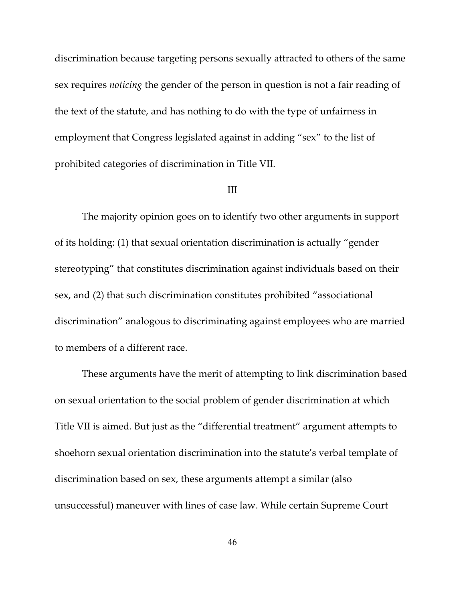discrimination because targeting persons sexually attracted to others of the same sex requires *noticing* the gender of the person in question is not a fair reading of the text of the statute, and has nothing to do with the type of unfairness in employment that Congress legislated against in adding "sex" to the list of prohibited categories of discrimination in Title VII.

## III

The majority opinion goes on to identify two other arguments in support of its holding: (1) that sexual orientation discrimination is actually "gender stereotyping" that constitutes discrimination against individuals based on their sex, and (2) that such discrimination constitutes prohibited "associational discrimination" analogous to discriminating against employees who are married to members of a different race.

These arguments have the merit of attempting to link discrimination based on sexual orientation to the social problem of gender discrimination at which Title VII is aimed. But just as the "differential treatment" argument attempts to shoehorn sexual orientation discrimination into the statute's verbal template of discrimination based on sex, these arguments attempt a similar (also unsuccessful) maneuver with lines of case law. While certain Supreme Court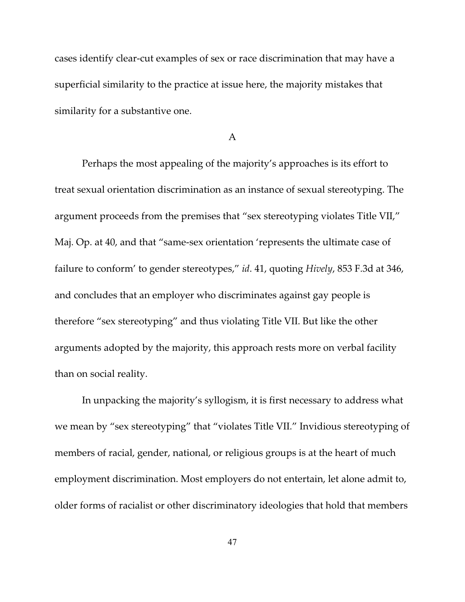cases identify clear-cut examples of sex or race discrimination that may have a superficial similarity to the practice at issue here, the majority mistakes that similarity for a substantive one.

#### A

Perhaps the most appealing of the majority's approaches is its effort to treat sexual orientation discrimination as an instance of sexual stereotyping. The argument proceeds from the premises that "sex stereotyping violates Title VII," Maj. Op. at 40, and that "same-sex orientation 'represents the ultimate case of failure to conform' to gender stereotypes," *id*. 41, quoting *Hively*, 853 F.3d at 346, and concludes that an employer who discriminates against gay people is therefore "sex stereotyping" and thus violating Title VII. But like the other arguments adopted by the majority, this approach rests more on verbal facility than on social reality.

In unpacking the majority's syllogism, it is first necessary to address what we mean by "sex stereotyping" that "violates Title VII." Invidious stereotyping of members of racial, gender, national, or religious groups is at the heart of much employment discrimination. Most employers do not entertain, let alone admit to, older forms of racialist or other discriminatory ideologies that hold that members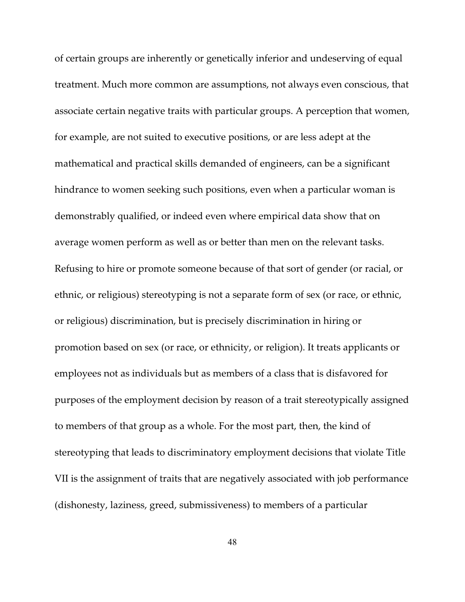of certain groups are inherently or genetically inferior and undeserving of equal treatment. Much more common are assumptions, not always even conscious, that associate certain negative traits with particular groups. A perception that women, for example, are not suited to executive positions, or are less adept at the mathematical and practical skills demanded of engineers, can be a significant hindrance to women seeking such positions, even when a particular woman is demonstrably qualified, or indeed even where empirical data show that on average women perform as well as or better than men on the relevant tasks. Refusing to hire or promote someone because of that sort of gender (or racial, or ethnic, or religious) stereotyping is not a separate form of sex (or race, or ethnic, or religious) discrimination, but is precisely discrimination in hiring or promotion based on sex (or race, or ethnicity, or religion). It treats applicants or employees not as individuals but as members of a class that is disfavored for purposes of the employment decision by reason of a trait stereotypically assigned to members of that group as a whole. For the most part, then, the kind of stereotyping that leads to discriminatory employment decisions that violate Title VII is the assignment of traits that are negatively associated with job performance (dishonesty, laziness, greed, submissiveness) to members of a particular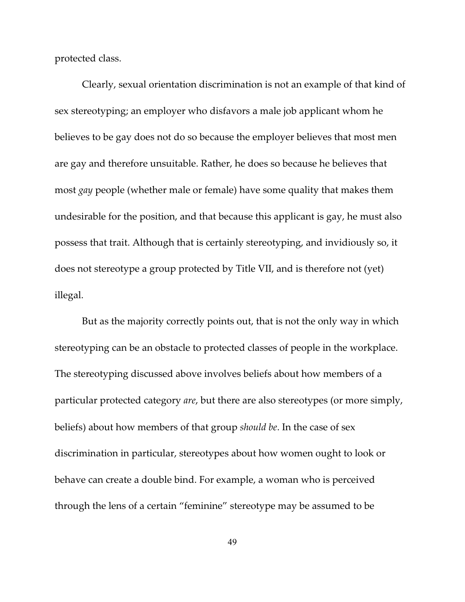protected class.

Clearly, sexual orientation discrimination is not an example of that kind of sex stereotyping; an employer who disfavors a male job applicant whom he believes to be gay does not do so because the employer believes that most men are gay and therefore unsuitable. Rather, he does so because he believes that most *gay* people (whether male or female) have some quality that makes them undesirable for the position, and that because this applicant is gay, he must also possess that trait. Although that is certainly stereotyping, and invidiously so, it does not stereotype a group protected by Title VII, and is therefore not (yet) illegal.

But as the majority correctly points out, that is not the only way in which stereotyping can be an obstacle to protected classes of people in the workplace. The stereotyping discussed above involves beliefs about how members of a particular protected category *are*, but there are also stereotypes (or more simply, beliefs) about how members of that group *should be*. In the case of sex discrimination in particular, stereotypes about how women ought to look or behave can create a double bind. For example, a woman who is perceived through the lens of a certain "feminine" stereotype may be assumed to be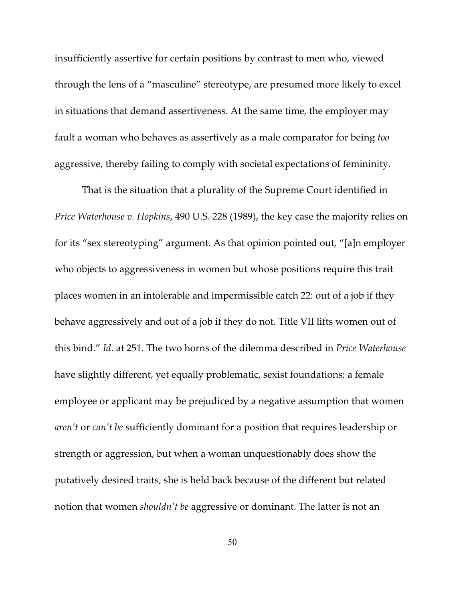insufficiently assertive for certain positions by contrast to men who, viewed through the lens of a "masculine" stereotype, are presumed more likely to excel in situations that demand assertiveness. At the same time, the employer may fault a woman who behaves as assertively as a male comparator for being *too* aggressive, thereby failing to comply with societal expectations of femininity.

That is the situation that a plurality of the Supreme Court identified in *Price Waterhouse v. Hopkins*, 490 U.S. 228 (1989), the key case the majority relies on for its "sex stereotyping" argument. As that opinion pointed out, "[a]n employer who objects to aggressiveness in women but whose positions require this trait places women in an intolerable and impermissible catch 22: out of a job if they behave aggressively and out of a job if they do not. Title VII lifts women out of this bind." *Id*. at 251. The two horns of the dilemma described in *Price Waterhouse* have slightly different, yet equally problematic, sexist foundations: a female employee or applicant may be prejudiced by a negative assumption that women *aren't* or *can't be* sufficiently dominant for a position that requires leadership or strength or aggression, but when a woman unquestionably does show the putatively desired traits, she is held back because of the different but related notion that women *shouldn't be* aggressive or dominant. The latter is not an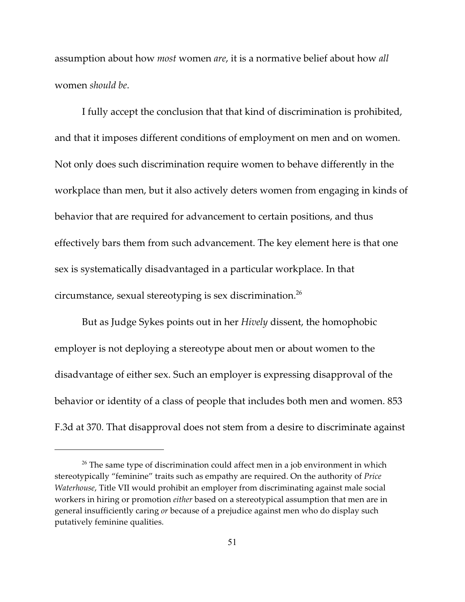assumption about how *most* women *are*, it is a normative belief about how *all* women *should be*.

I fully accept the conclusion that that kind of discrimination is prohibited, and that it imposes different conditions of employment on men and on women. Not only does such discrimination require women to behave differently in the workplace than men, but it also actively deters women from engaging in kinds of behavior that are required for advancement to certain positions, and thus effectively bars them from such advancement. The key element here is that one sex is systematically disadvantaged in a particular workplace. In that circumstance, sexual stereotyping is sex discrimination.<sup>26</sup>

But as Judge Sykes points out in her *Hively* dissent, the homophobic employer is not deploying a stereotype about men or about women to the disadvantage of either sex. Such an employer is expressing disapproval of the behavior or identity of a class of people that includes both men and women. 853 F.3d at 370. That disapproval does not stem from a desire to discriminate against

 $26$  The same type of discrimination could affect men in a job environment in which stereotypically "feminine" traits such as empathy are required. On the authority of *Price Waterhouse*, Title VII would prohibit an employer from discriminating against male social workers in hiring or promotion *either* based on a stereotypical assumption that men are in general insufficiently caring *or* because of a prejudice against men who do display such putatively feminine qualities.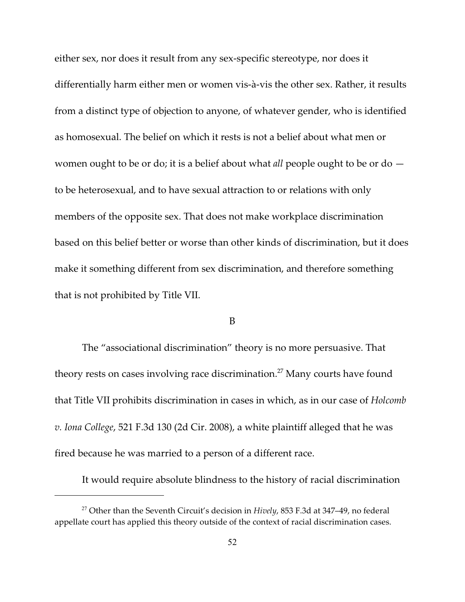either sex, nor does it result from any sex-specific stereotype, nor does it differentially harm either men or women vis-à-vis the other sex. Rather, it results from a distinct type of objection to anyone, of whatever gender, who is identified as homosexual. The belief on which it rests is not a belief about what men or women ought to be or do; it is a belief about what *all* people ought to be or do to be heterosexual, and to have sexual attraction to or relations with only members of the opposite sex. That does not make workplace discrimination based on this belief better or worse than other kinds of discrimination, but it does make it something different from sex discrimination, and therefore something that is not prohibited by Title VII.

#### B

The "associational discrimination" theory is no more persuasive. That theory rests on cases involving race discrimination.<sup>27</sup> Many courts have found that Title VII prohibits discrimination in cases in which, as in our case of *Holcomb v. Iona College*, 521 F.3d 130 (2d Cir. 2008), a white plaintiff alleged that he was fired because he was married to a person of a different race.

It would require absolute blindness to the history of racial discrimination

<sup>&</sup>lt;sup>27</sup> Other than the Seventh Circuit's decision in *Hively*, 853 F.3d at 347-49, no federal appellate court has applied this theory outside of the context of racial discrimination cases.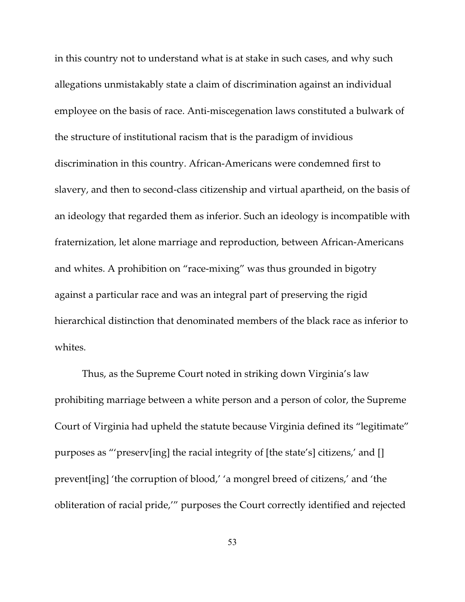in this country not to understand what is at stake in such cases, and why such allegations unmistakably state a claim of discrimination against an individual employee on the basis of race. Anti-miscegenation laws constituted a bulwark of the structure of institutional racism that is the paradigm of invidious discrimination in this country. African-Americans were condemned first to slavery, and then to second-class citizenship and virtual apartheid, on the basis of an ideology that regarded them as inferior. Such an ideology is incompatible with fraternization, let alone marriage and reproduction, between African-Americans and whites. A prohibition on "race-mixing" was thus grounded in bigotry against a particular race and was an integral part of preserving the rigid hierarchical distinction that denominated members of the black race as inferior to whites.

Thus, as the Supreme Court noted in striking down Virginia's law prohibiting marriage between a white person and a person of color, the Supreme Court of Virginia had upheld the statute because Virginia defined its "legitimate" purposes as "'preserv[ing] the racial integrity of [the state's] citizens,' and [] prevent[ing] 'the corruption of blood,' 'a mongrel breed of citizens,' and 'the obliteration of racial pride,'" purposes the Court correctly identified and rejected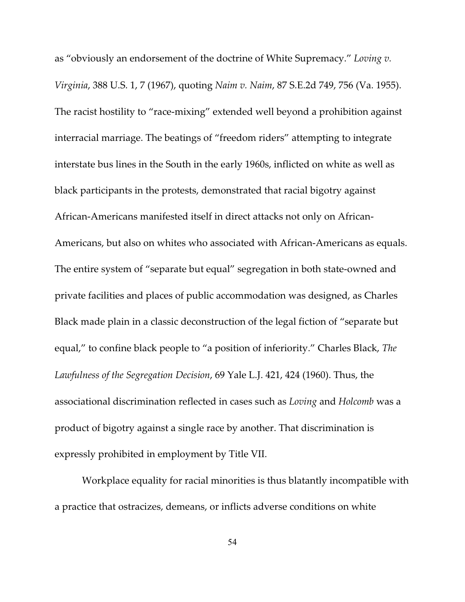as "obviously an endorsement of the doctrine of White Supremacy." *Loving v. Virginia*, 388 U.S. 1, 7 (1967), quoting *Naim v. Naim*, 87 S.E.2d 749, 756 (Va. 1955). The racist hostility to "race-mixing" extended well beyond a prohibition against interracial marriage. The beatings of "freedom riders" attempting to integrate interstate bus lines in the South in the early 1960s, inflicted on white as well as black participants in the protests, demonstrated that racial bigotry against African-Americans manifested itself in direct attacks not only on African-Americans, but also on whites who associated with African-Americans as equals. The entire system of "separate but equal" segregation in both state-owned and private facilities and places of public accommodation was designed, as Charles Black made plain in a classic deconstruction of the legal fiction of "separate but equal," to confine black people to "a position of inferiority." Charles Black, *The Lawfulness of the Segregation Decision*, 69 Yale L.J. 421, 424 (1960). Thus, the associational discrimination reflected in cases such as *Loving* and *Holcomb* was a product of bigotry against a single race by another. That discrimination is expressly prohibited in employment by Title VII.

Workplace equality for racial minorities is thus blatantly incompatible with a practice that ostracizes, demeans, or inflicts adverse conditions on white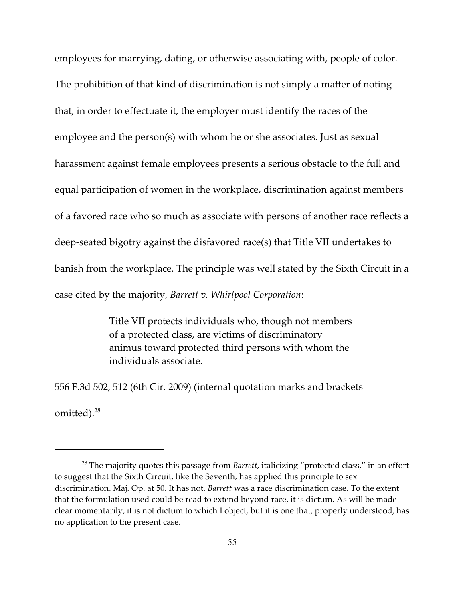employees for marrying, dating, or otherwise associating with, people of color. The prohibition of that kind of discrimination is not simply a matter of noting that, in order to effectuate it, the employer must identify the races of the employee and the person(s) with whom he or she associates. Just as sexual harassment against female employees presents a serious obstacle to the full and equal participation of women in the workplace, discrimination against members of a favored race who so much as associate with persons of another race reflects a deep-seated bigotry against the disfavored race(s) that Title VII undertakes to banish from the workplace. The principle was well stated by the Sixth Circuit in a case cited by the majority, *Barrett v. Whirlpool Corporation*:

> Title VII protects individuals who, though not members of a protected class, are victims of discriminatory animus toward protected third persons with whom the individuals associate.

556 F.3d 502, 512 (6th Cir. 2009) (internal quotation marks and brackets omitted).<sup>28</sup>

<sup>&</sup>lt;sup>28</sup> The majority quotes this passage from *Barrett,* italicizing "protected class," in an effort to suggest that the Sixth Circuit, like the Seventh, has applied this principle to sex discrimination. Maj. Op. at 50. It has not. *Barrett* was a race discrimination case. To the extent that the formulation used could be read to extend beyond race, it is dictum. As will be made clear momentarily, it is not dictum to which I object, but it is one that, properly understood, has no application to the present case.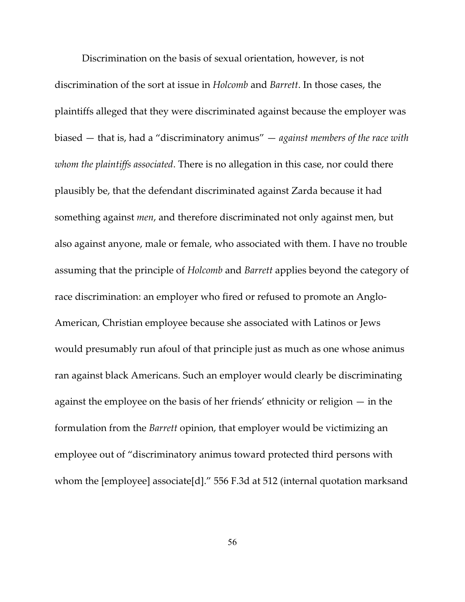Discrimination on the basis of sexual orientation, however, is not discrimination of the sort at issue in *Holcomb* and *Barrett*. In those cases, the plaintiffs alleged that they were discriminated against because the employer was biased — that is, had a "discriminatory animus" — *against members of the race with whom the plaintiffs associated*. There is no allegation in this case, nor could there plausibly be, that the defendant discriminated against Zarda because it had something against *men*, and therefore discriminated not only against men, but also against anyone, male or female, who associated with them. I have no trouble assuming that the principle of *Holcomb* and *Barrett* applies beyond the category of race discrimination: an employer who fired or refused to promote an Anglo-American, Christian employee because she associated with Latinos or Jews would presumably run afoul of that principle just as much as one whose animus ran against black Americans. Such an employer would clearly be discriminating against the employee on the basis of her friends' ethnicity or religion — in the formulation from the *Barrett* opinion, that employer would be victimizing an employee out of "discriminatory animus toward protected third persons with whom the [employee] associate[d]." 556 F.3d at 512 (internal quotation marksand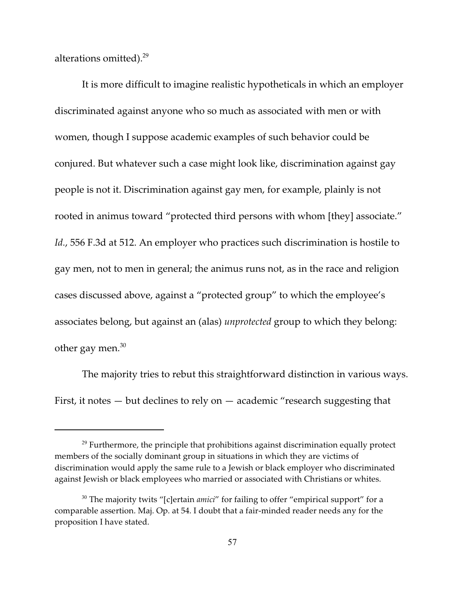alterations omitted).<sup>29</sup>

It is more difficult to imagine realistic hypotheticals in which an employer discriminated against anyone who so much as associated with men or with women, though I suppose academic examples of such behavior could be conjured. But whatever such a case might look like, discrimination against gay people is not it. Discrimination against gay men, for example, plainly is not rooted in animus toward "protected third persons with whom [they] associate." *Id.*, 556 F.3d at 512. An employer who practices such discrimination is hostile to gay men, not to men in general; the animus runs not, as in the race and religion cases discussed above, against a "protected group" to which the employee's associates belong, but against an (alas) *unprotected* group to which they belong: other gay men. $30$ 

The majority tries to rebut this straightforward distinction in various ways. First, it notes  $-$  but declines to rely on  $-$  academic "research suggesting that

 $29$  Furthermore, the principle that prohibitions against discrimination equally protect members of the socially dominant group in situations in which they are victims of discrimination would apply the same rule to a Jewish or black employer who discriminated against Jewish or black employees who married or associated with Christians or whites.

<sup>&</sup>lt;sup>30</sup> The majority twits "[c]ertain *amici*" for failing to offer "empirical support" for a comparable assertion. Maj. Op. at 54. I doubt that a fair-minded reader needs any for the proposition I have stated.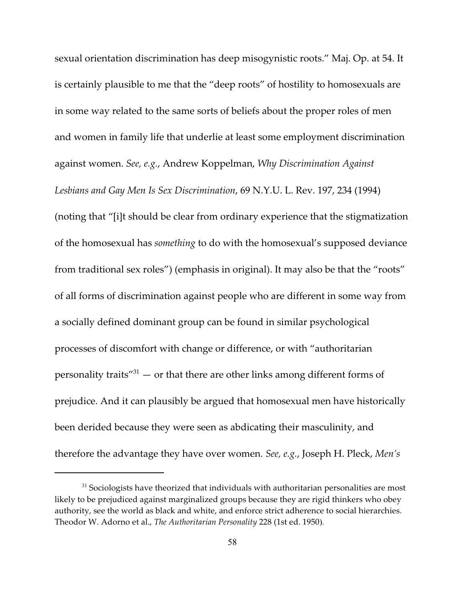sexual orientation discrimination has deep misogynistic roots." Maj. Op. at 54. It is certainly plausible to me that the "deep roots" of hostility to homosexuals are in some way related to the same sorts of beliefs about the proper roles of men and women in family life that underlie at least some employment discrimination against women. *See, e.g.*, Andrew Koppelman, *Why Discrimination Against Lesbians and Gay Men Is Sex Discrimination*, 69 N.Y.U. L. Rev. 197, 234 (1994) (noting that "[i]t should be clear from ordinary experience that the stigmatization of the homosexual has *something* to do with the homosexual's supposed deviance from traditional sex roles") (emphasis in original). It may also be that the "roots" of all forms of discrimination against people who are different in some way from a socially defined dominant group can be found in similar psychological processes of discomfort with change or difference, or with "authoritarian personality traits" $31$  — or that there are other links among different forms of prejudice. And it can plausibly be argued that homosexual men have historically been derided because they were seen as abdicating their masculinity, and therefore the advantage they have over women. *See, e.g.*, Joseph H. Pleck, *Men's*

 $31$  Sociologists have theorized that individuals with authoritarian personalities are most likely to be prejudiced against marginalized groups because they are rigid thinkers who obey authority, see the world as black and white, and enforce strict adherence to social hierarchies. Theodor W. Adorno et al., *The Authoritarian Personality* 228 (1st ed. 1950).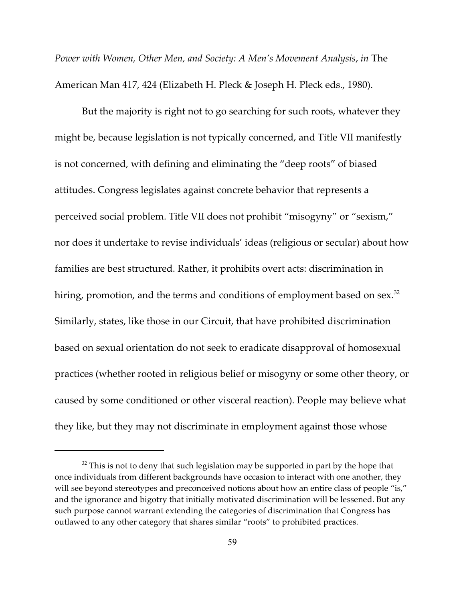*Power with Women, Other Men, and Society: A Men's Movement Analysis*, *in* The American Man 417, 424 (Elizabeth H. Pleck & Joseph H. Pleck eds., 1980).

But the majority is right not to go searching for such roots, whatever they might be, because legislation is not typically concerned, and Title VII manifestly is not concerned, with defining and eliminating the "deep roots" of biased attitudes. Congress legislates against concrete behavior that represents a perceived social problem. Title VII does not prohibit "misogyny" or "sexism," nor does it undertake to revise individuals' ideas (religious or secular) about how families are best structured. Rather, it prohibits overt acts: discrimination in hiring, promotion, and the terms and conditions of employment based on sex. $^{\rm 32}$ Similarly, states, like those in our Circuit, that have prohibited discrimination based on sexual orientation do not seek to eradicate disapproval of homosexual practices (whether rooted in religious belief or misogyny or some other theory, or caused by some conditioned or other visceral reaction). People may believe what they like, but they may not discriminate in employment against those whose

 $32$  This is not to deny that such legislation may be supported in part by the hope that once individuals from different backgrounds have occasion to interact with one another, they will see beyond stereotypes and preconceived notions about how an entire class of people "is," and the ignorance and bigotry that initially motivated discrimination will be lessened. But any such purpose cannot warrant extending the categories of discrimination that Congress has outlawed to any other category that shares similar "roots" to prohibited practices.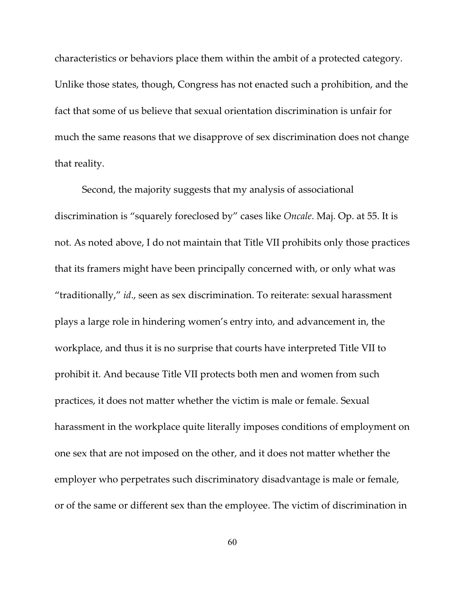characteristics or behaviors place them within the ambit of a protected category. Unlike those states, though, Congress has not enacted such a prohibition, and the fact that some of us believe that sexual orientation discrimination is unfair for much the same reasons that we disapprove of sex discrimination does not change that reality.

Second, the majority suggests that my analysis of associational discrimination is "squarely foreclosed by" cases like *Oncale*. Maj. Op. at 55. It is not. As noted above, I do not maintain that Title VII prohibits only those practices that its framers might have been principally concerned with, or only what was "traditionally," *id*., seen as sex discrimination. To reiterate: sexual harassment plays a large role in hindering women's entry into, and advancement in, the workplace, and thus it is no surprise that courts have interpreted Title VII to prohibit it. And because Title VII protects both men and women from such practices, it does not matter whether the victim is male or female. Sexual harassment in the workplace quite literally imposes conditions of employment on one sex that are not imposed on the other, and it does not matter whether the employer who perpetrates such discriminatory disadvantage is male or female, or of the same or different sex than the employee. The victim of discrimination in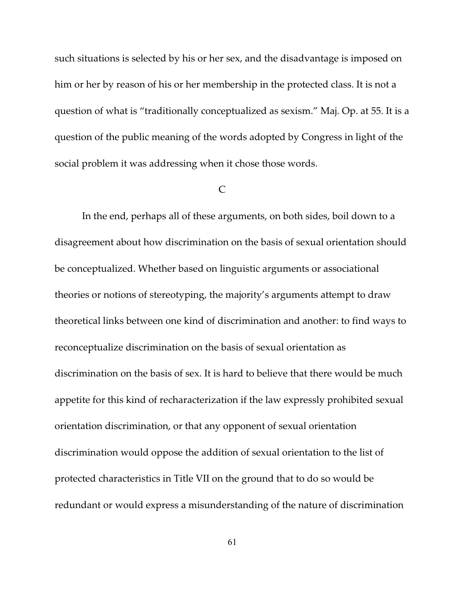such situations is selected by his or her sex, and the disadvantage is imposed on him or her by reason of his or her membership in the protected class. It is not a question of what is "traditionally conceptualized as sexism." Maj. Op. at 55. It is a question of the public meaning of the words adopted by Congress in light of the social problem it was addressing when it chose those words.

### $\Gamma$

In the end, perhaps all of these arguments, on both sides, boil down to a disagreement about how discrimination on the basis of sexual orientation should be conceptualized. Whether based on linguistic arguments or associational theories or notions of stereotyping, the majority's arguments attempt to draw theoretical links between one kind of discrimination and another: to find ways to reconceptualize discrimination on the basis of sexual orientation as discrimination on the basis of sex. It is hard to believe that there would be much appetite for this kind of recharacterization if the law expressly prohibited sexual orientation discrimination, or that any opponent of sexual orientation discrimination would oppose the addition of sexual orientation to the list of protected characteristics in Title VII on the ground that to do so would be redundant or would express a misunderstanding of the nature of discrimination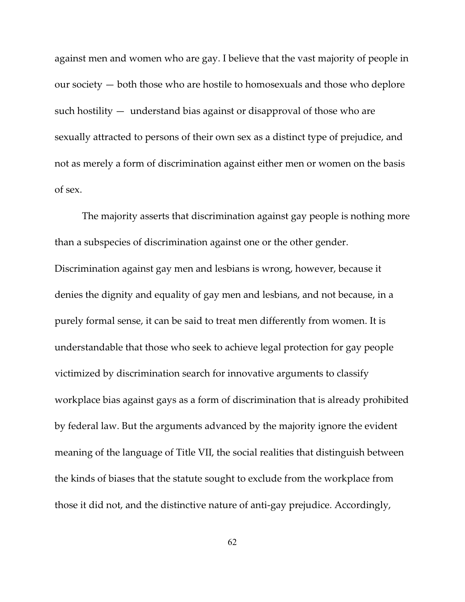against men and women who are gay. I believe that the vast majority of people in our society — both those who are hostile to homosexuals and those who deplore such hostility — understand bias against or disapproval of those who are sexually attracted to persons of their own sex as a distinct type of prejudice, and not as merely a form of discrimination against either men or women on the basis of sex.

The majority asserts that discrimination against gay people is nothing more than a subspecies of discrimination against one or the other gender. Discrimination against gay men and lesbians is wrong, however, because it denies the dignity and equality of gay men and lesbians, and not because, in a purely formal sense, it can be said to treat men differently from women. It is understandable that those who seek to achieve legal protection for gay people victimized by discrimination search for innovative arguments to classify workplace bias against gays as a form of discrimination that is already prohibited by federal law. But the arguments advanced by the majority ignore the evident meaning of the language of Title VII, the social realities that distinguish between the kinds of biases that the statute sought to exclude from the workplace from those it did not, and the distinctive nature of anti-gay prejudice. Accordingly,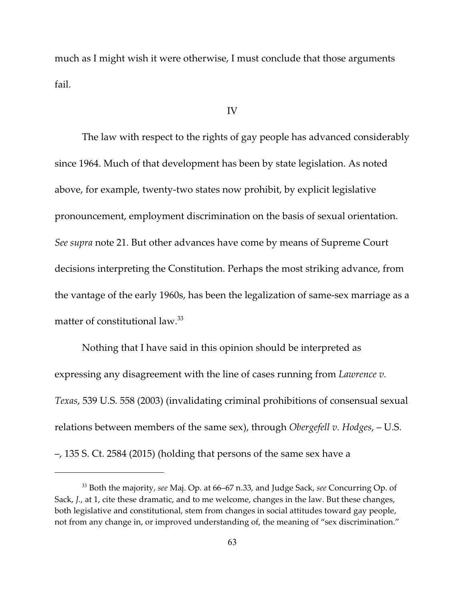much as I might wish it were otherwise, I must conclude that those arguments fail.

## IV

The law with respect to the rights of gay people has advanced considerably since 1964. Much of that development has been by state legislation. As noted above, for example, twenty-two states now prohibit, by explicit legislative pronouncement, employment discrimination on the basis of sexual orientation. *See supra* note 21. But other advances have come by means of Supreme Court decisions interpreting the Constitution. Perhaps the most striking advance, from the vantage of the early 1960s, has been the legalization of same-sex marriage as a matter of constitutional law.<sup>33</sup>

Nothing that I have said in this opinion should be interpreted as expressing any disagreement with the line of cases running from *Lawrence v. Texas*, 539 U.S. 558 (2003) (invalidating criminal prohibitions of consensual sexual relations between members of the same sex), through *Obergefell v. Hodges*, – U.S. –, 135 S. Ct. 2584 (2015) (holding that persons of the same sex have a

<sup>&</sup>lt;sup>33</sup> Both the majority, see Maj. Op. at 66-67 n.33, and Judge Sack, see Concurring Op. of Sack, *J.*, at 1, cite these dramatic, and to me welcome, changes in the law. But these changes, both legislative and constitutional, stem from changes in social attitudes toward gay people, not from any change in, or improved understanding of, the meaning of "sex discrimination."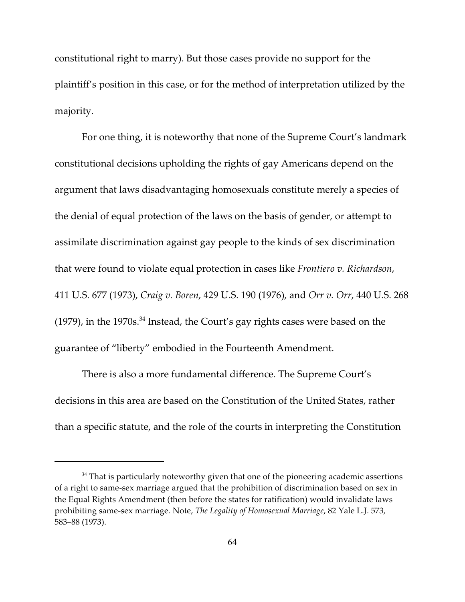constitutional right to marry). But those cases provide no support for the plaintiff's position in this case, or for the method of interpretation utilized by the majority.

For one thing, it is noteworthy that none of the Supreme Court's landmark constitutional decisions upholding the rights of gay Americans depend on the argument that laws disadvantaging homosexuals constitute merely a species of the denial of equal protection of the laws on the basis of gender, or attempt to assimilate discrimination against gay people to the kinds of sex discrimination that were found to violate equal protection in cases like *Frontiero v. Richardson*, 411 U.S. 677 (1973), *Craig v. Boren*, 429 U.S. 190 (1976), and *Orr v. Orr*, 440 U.S. 268 (1979), in the 1970s. $34$  Instead, the Court's gay rights cases were based on the guarantee of "liberty" embodied in the Fourteenth Amendment.

There is also a more fundamental difference. The Supreme Court's decisions in this area are based on the Constitution of the United States, rather than a specific statute, and the role of the courts in interpreting the Constitution

 $34$  That is particularly noteworthy given that one of the pioneering academic assertions of a right to same-sex marriage argued that the prohibition of discrimination based on sex in the Equal Rights Amendment (then before the states for ratification) would invalidate laws prohibiting same-sex marriage. Note, *The Legality of Homosexual Marriage*, 82 Yale L.J. 573, 583–88 (1973).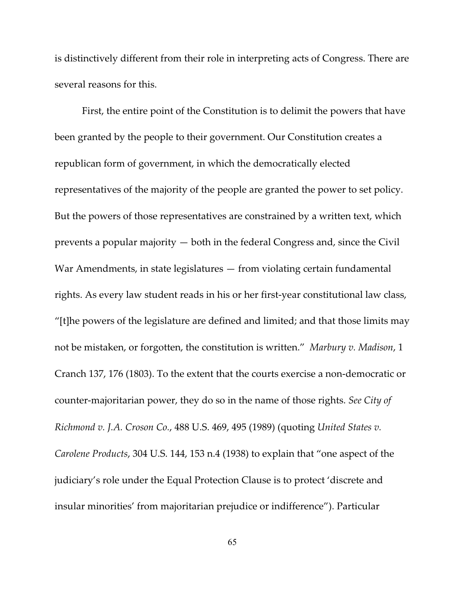is distinctively different from their role in interpreting acts of Congress. There are several reasons for this.

First, the entire point of the Constitution is to delimit the powers that have been granted by the people to their government. Our Constitution creates a republican form of government, in which the democratically elected representatives of the majority of the people are granted the power to set policy. But the powers of those representatives are constrained by a written text, which prevents a popular majority — both in the federal Congress and, since the Civil War Amendments, in state legislatures — from violating certain fundamental rights. As every law student reads in his or her first-year constitutional law class, "[t]he powers of the legislature are defined and limited; and that those limits may not be mistaken, or forgotten, the constitution is written." *Marbury v. Madison*, 1 Cranch 137, 176 (1803). To the extent that the courts exercise a non-democratic or counter-majoritarian power, they do so in the name of those rights. *See City of Richmond v. J.A. Croson Co.*, 488 U.S. 469, 495 (1989) (quoting *United States v. Carolene Products*, 304 U.S. 144, 153 n.4 (1938) to explain that "one aspect of the judiciary's role under the Equal Protection Clause is to protect 'discrete and insular minorities' from majoritarian prejudice or indifference"). Particular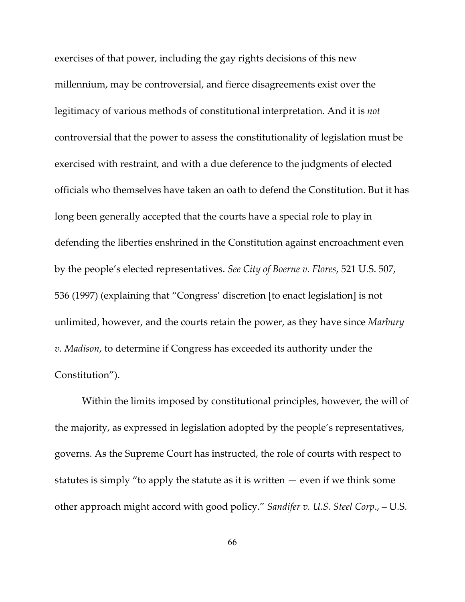exercises of that power, including the gay rights decisions of this new millennium, may be controversial, and fierce disagreements exist over the legitimacy of various methods of constitutional interpretation. And it is *not* controversial that the power to assess the constitutionality of legislation must be exercised with restraint, and with a due deference to the judgments of elected officials who themselves have taken an oath to defend the Constitution. But it has long been generally accepted that the courts have a special role to play in defending the liberties enshrined in the Constitution against encroachment even by the people's elected representatives. *See City of Boerne v. Flores*, 521 U.S. 507, 536 (1997) (explaining that "Congress' discretion [to enact legislation] is not unlimited, however, and the courts retain the power, as they have since *Marbury v. Madison*, to determine if Congress has exceeded its authority under the Constitution").

Within the limits imposed by constitutional principles, however, the will of the majority, as expressed in legislation adopted by the people's representatives, governs. As the Supreme Court has instructed, the role of courts with respect to statutes is simply "to apply the statute as it is written  $-$  even if we think some other approach might accord with good policy." *Sandifer v. U.S. Steel Corp*., – U.S.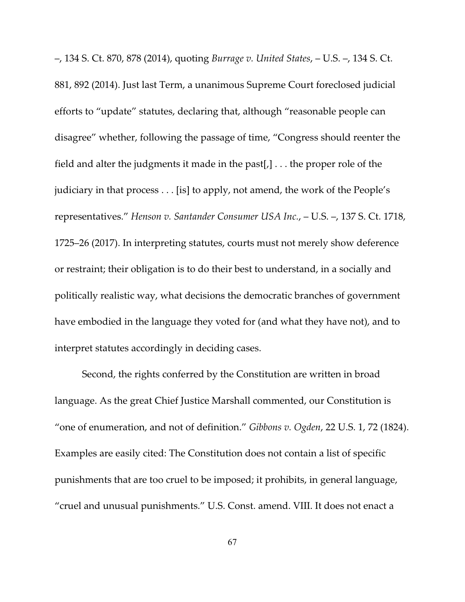–, 134 S. Ct. 870, 878 (2014), quoting *Burrage v. United States*, – U.S. –, 134 S. Ct. 881, 892 (2014). Just last Term, a unanimous Supreme Court foreclosed judicial efforts to "update" statutes, declaring that, although "reasonable people can disagree" whether, following the passage of time, "Congress should reenter the field and alter the judgments it made in the past[ $,$ ]... the proper role of the judiciary in that process . . . [is] to apply, not amend, the work of the People's representatives." *Henson v. Santander Consumer USA Inc.*, – U.S. –, 137 S. Ct. 1718, 1725–26 (2017). In interpreting statutes, courts must not merely show deference or restraint; their obligation is to do their best to understand, in a socially and politically realistic way, what decisions the democratic branches of government have embodied in the language they voted for (and what they have not), and to interpret statutes accordingly in deciding cases.

Second, the rights conferred by the Constitution are written in broad language. As the great Chief Justice Marshall commented, our Constitution is "one of enumeration, and not of definition." *Gibbons v. Ogden*, 22 U.S. 1, 72 (1824). Examples are easily cited: The Constitution does not contain a list of specific punishments that are too cruel to be imposed; it prohibits, in general language, "cruel and unusual punishments." U.S. Const. amend. VIII. It does not enact a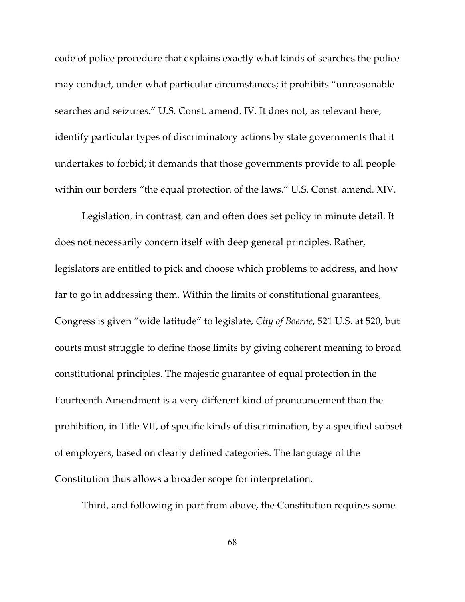code of police procedure that explains exactly what kinds of searches the police may conduct, under what particular circumstances; it prohibits "unreasonable searches and seizures." U.S. Const. amend. IV. It does not, as relevant here, identify particular types of discriminatory actions by state governments that it undertakes to forbid; it demands that those governments provide to all people within our borders "the equal protection of the laws." U.S. Const. amend. XIV.

Legislation, in contrast, can and often does set policy in minute detail. It does not necessarily concern itself with deep general principles. Rather, legislators are entitled to pick and choose which problems to address, and how far to go in addressing them. Within the limits of constitutional guarantees, Congress is given "wide latitude" to legislate, *City of Boerne*, 521 U.S. at 520, but courts must struggle to define those limits by giving coherent meaning to broad constitutional principles. The majestic guarantee of equal protection in the Fourteenth Amendment is a very different kind of pronouncement than the prohibition, in Title VII, of specific kinds of discrimination, by a specified subset of employers, based on clearly defined categories. The language of the Constitution thus allows a broader scope for interpretation.

Third, and following in part from above, the Constitution requires some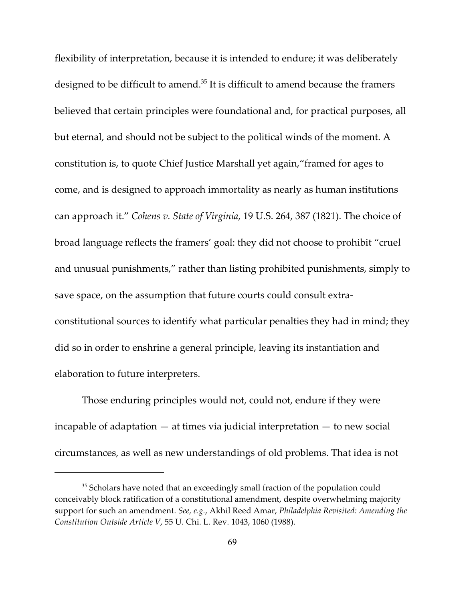flexibility of interpretation, because it is intended to endure; it was deliberately designed to be difficult to amend. $35$  It is difficult to amend because the framers believed that certain principles were foundational and, for practical purposes, all but eternal, and should not be subject to the political winds of the moment. A constitution is, to quote Chief Justice Marshall yet again,"framed for ages to come, and is designed to approach immortality as nearly as human institutions can approach it." *Cohens v. State of Virginia*, 19 U.S. 264, 387 (1821). The choice of broad language reflects the framers' goal: they did not choose to prohibit "cruel and unusual punishments," rather than listing prohibited punishments, simply to save space, on the assumption that future courts could consult extraconstitutional sources to identify what particular penalties they had in mind; they did so in order to enshrine a general principle, leaving its instantiation and elaboration to future interpreters.

Those enduring principles would not, could not, endure if they were incapable of adaptation  $-$  at times via judicial interpretation  $-$  to new social circumstances, as well as new understandings of old problems. That idea is not

 $35$  Scholars have noted that an exceedingly small fraction of the population could conceivably block ratification of a constitutional amendment, despite overwhelming majority support for such an amendment. *See, e.g.*, Akhil Reed Amar, *Philadelphia Revisited: Amending the Constitution Outside Article V*, 55 U. Chi. L. Rev. 1043, 1060 (1988).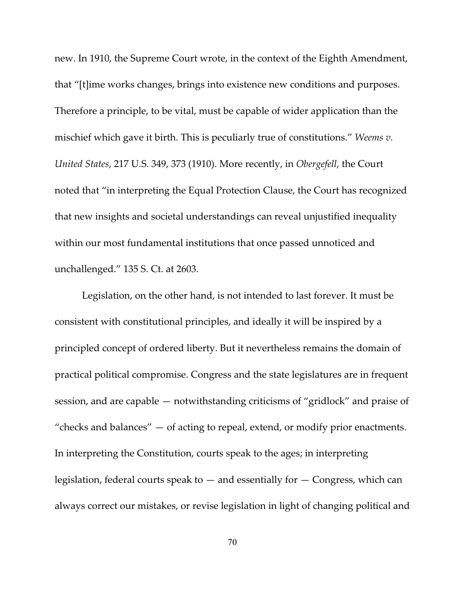new. In 1910, the Supreme Court wrote, in the context of the Eighth Amendment, that "[t]ime works changes, brings into existence new conditions and purposes. Therefore a principle, to be vital, must be capable of wider application than the mischief which gave it birth. This is peculiarly true of constitutions." *Weems v. United States*, 217 U.S. 349, 373 (1910). More recently, in *Obergefell*, the Court noted that "in interpreting the Equal Protection Clause, the Court has recognized that new insights and societal understandings can reveal unjustified inequality within our most fundamental institutions that once passed unnoticed and unchallenged." 135 S. Ct. at 2603.

Legislation, on the other hand, is not intended to last forever. It must be consistent with constitutional principles, and ideally it will be inspired by a principled concept of ordered liberty. But it nevertheless remains the domain of practical political compromise. Congress and the state legislatures are in frequent session, and are capable — notwithstanding criticisms of "gridlock" and praise of "checks and balances"  $-$  of acting to repeal, extend, or modify prior enactments. In interpreting the Constitution, courts speak to the ages; in interpreting legislation, federal courts speak to  $-$  and essentially for  $-$  Congress, which can always correct our mistakes, or revise legislation in light of changing political and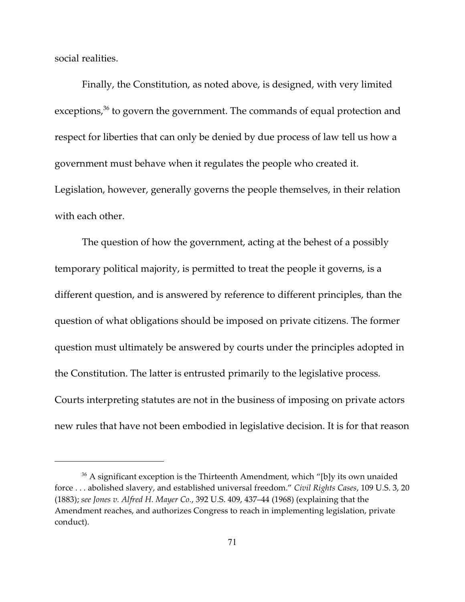social realities.

Finally, the Constitution, as noted above, is designed, with very limited exceptions, $36$  to govern the government. The commands of equal protection and respect for liberties that can only be denied by due process of law tell us how a government must behave when it regulates the people who created it. Legislation, however, generally governs the people themselves, in their relation with each other.

The question of how the government, acting at the behest of a possibly temporary political majority, is permitted to treat the people it governs, is a different question, and is answered by reference to different principles, than the question of what obligations should be imposed on private citizens. The former question must ultimately be answered by courts under the principles adopted in the Constitution. The latter is entrusted primarily to the legislative process. Courts interpreting statutes are not in the business of imposing on private actors new rules that have not been embodied in legislative decision. It is for that reason

 $36$  A significant exception is the Thirteenth Amendment, which "[b]y its own unaided force . . . abolished slavery, and established universal freedom." *Civil Rights Cases*, 109 U.S. 3, 20 (1883); *see Jones v. Alfred H. Mayer Co.*, 392 U.S. 409, 437–44 (1968) (explaining that the Amendment reaches, and authorizes Congress to reach in implementing legislation, private conduct).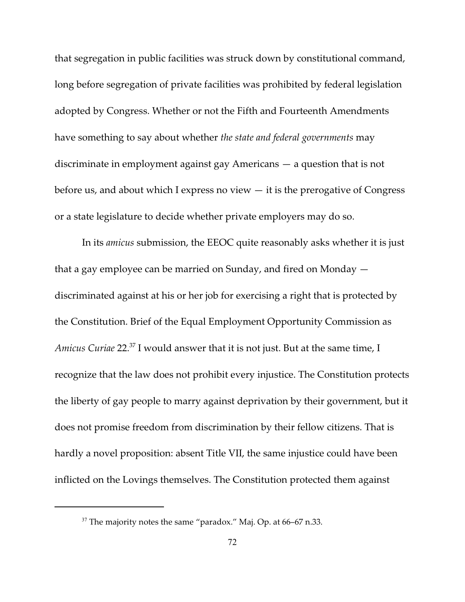that segregation in public facilities was struck down by constitutional command, long before segregation of private facilities was prohibited by federal legislation adopted by Congress. Whether or not the Fifth and Fourteenth Amendments have something to say about whether *the state and federal governments* may discriminate in employment against gay Americans — a question that is not before us, and about which I express no view  $-$  it is the prerogative of Congress or a state legislature to decide whether private employers may do so.

In its *amicus* submission, the EEOC quite reasonably asks whether it is just that a gay employee can be married on Sunday, and fired on Monday discriminated against at his or her job for exercising a right that is protected by the Constitution. Brief of the Equal Employment Opportunity Commission as *Amicus Curiae* 22.<sup>37</sup> I would answer that it is not just. But at the same time, I recognize that the law does not prohibit every injustice. The Constitution protects the liberty of gay people to marry against deprivation by their government, but it does not promise freedom from discrimination by their fellow citizens. That is hardly a novel proposition: absent Title VII, the same injustice could have been inflicted on the Lovings themselves. The Constitution protected them against

 $37$  The majority notes the same "paradox." Maj. Op. at 66–67 n.33.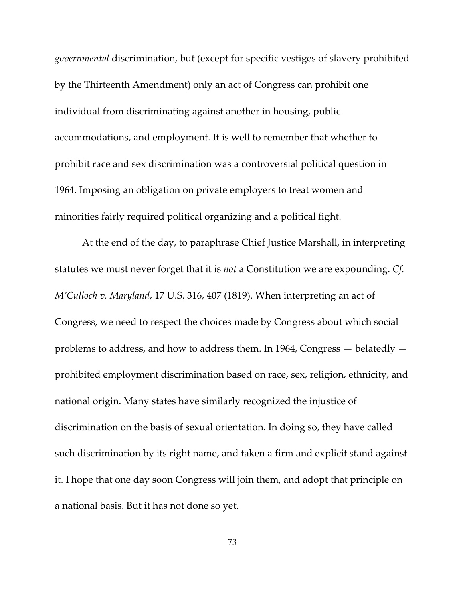*governmental* discrimination, but (except for specific vestiges of slavery prohibited by the Thirteenth Amendment) only an act of Congress can prohibit one individual from discriminating against another in housing, public accommodations, and employment. It is well to remember that whether to prohibit race and sex discrimination was a controversial political question in 1964. Imposing an obligation on private employers to treat women and minorities fairly required political organizing and a political fight.

At the end of the day, to paraphrase Chief Justice Marshall, in interpreting statutes we must never forget that it is *not* a Constitution we are expounding. *Cf. M'Culloch v. Maryland*, 17 U.S. 316, 407 (1819). When interpreting an act of Congress, we need to respect the choices made by Congress about which social problems to address, and how to address them. In 1964, Congress — belatedly prohibited employment discrimination based on race, sex, religion, ethnicity, and national origin. Many states have similarly recognized the injustice of discrimination on the basis of sexual orientation. In doing so, they have called such discrimination by its right name, and taken a firm and explicit stand against it. I hope that one day soon Congress will join them, and adopt that principle on a national basis. But it has not done so yet.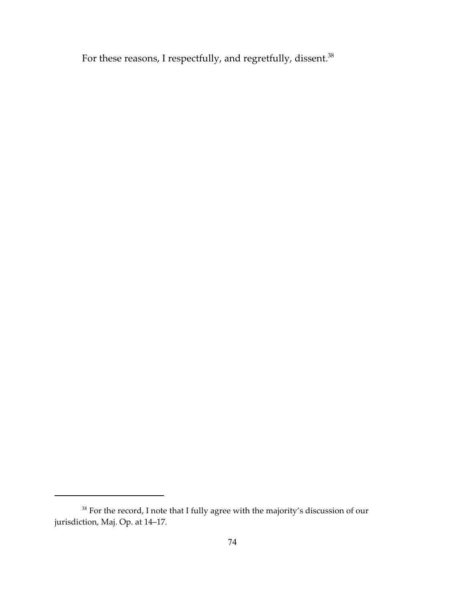For these reasons, I respectfully, and regretfully, dissent.<sup>38</sup>

 $^{38}$  For the record, I note that I fully agree with the majority's discussion of our jurisdiction, Maj. Op. at 14–17.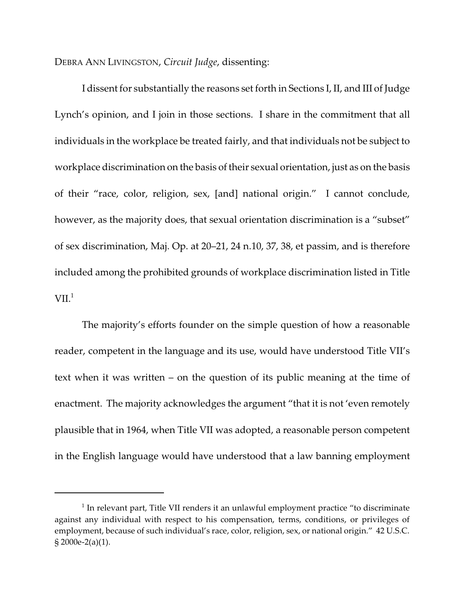DEBRA ANN LIVINGSTON, *Circuit Judge*, dissenting:

I dissent for substantially the reasons set forth in Sections I, II, and III of Judge Lynch's opinion, and I join in those sections. I share in the commitment that all individuals in the workplace be treated fairly, and that individuals not be subject to workplace discrimination on the basis of their sexual orientation, just as on the basis of their "race, color, religion, sex, [and] national origin." I cannot conclude, however, as the majority does, that sexual orientation discrimination is a "subset" of sex discrimination, Maj. Op. at 20–21, 24 n.10, 37, 38, et passim, and is therefore included among the prohibited grounds of workplace discrimination listed in Title  $\rm{VII.}^1$ 

The majority's efforts founder on the simple question of how a reasonable reader, competent in the language and its use, would have understood Title VII's text when it was written – on the question of its public meaning at the time of enactment. The majority acknowledges the argument "that it is not 'even remotely plausible that in 1964, when Title VII was adopted, a reasonable person competent in the English language would have understood that a law banning employment

 $1$  In relevant part, Title VII renders it an unlawful employment practice "to discriminate against any individual with respect to his compensation, terms, conditions, or privileges of employment, because of such individual's race, color, religion, sex, or national origin." 42 U.S.C. § 2000e-2(a)(1).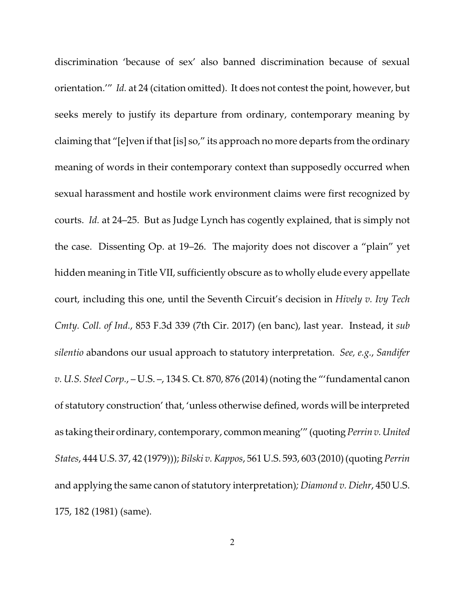discrimination 'because of sex' also banned discrimination because of sexual orientation.'" *Id.* at 24 (citation omitted). It does not contest the point, however, but seeks merely to justify its departure from ordinary, contemporary meaning by claiming that "[e]ven if that [is] so," its approach no more departs from the ordinary meaning of words in their contemporary context than supposedly occurred when sexual harassment and hostile work environment claims were first recognized by courts. *Id.* at 24–25. But as Judge Lynch has cogently explained, that is simply not the case. Dissenting Op. at 19–26. The majority does not discover a "plain" yet hidden meaning in Title VII, sufficiently obscure as to wholly elude every appellate court, including this one, until the Seventh Circuit's decision in *Hively v. Ivy Tech Cmty. Coll. of Ind.*, 853 F.3d 339 (7th Cir. 2017) (en banc), last year. Instead, it *sub silentio* abandons our usual approach to statutory interpretation. *See, e.g.*, *Sandifer v. U.S. Steel Corp.*, – U.S. –, 134 S. Ct. 870, 876 (2014) (noting the "'fundamental canon of statutory construction' that, 'unless otherwise defined, words will be interpreted as taking their ordinary, contemporary, common meaning'" (quoting *Perrin v. United States*, 444 U.S. 37, 42 (1979))); *Bilski v. Kappos*, 561 U.S. 593, 603 (2010) (quoting *Perrin* and applying the same canon of statutory interpretation)*; Diamond v. Diehr*, 450 U.S. 175, 182 (1981) (same).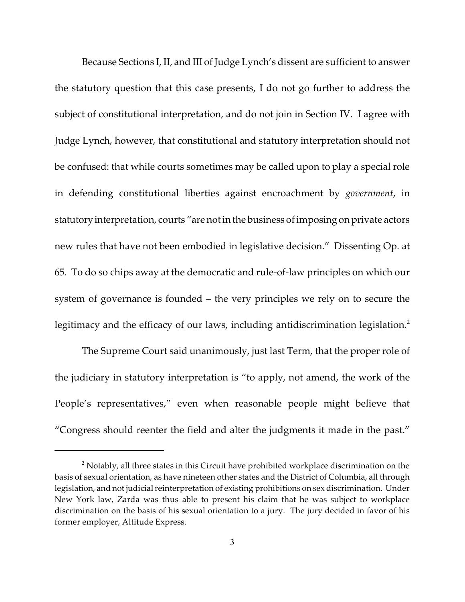Because Sections I, II, and III of Judge Lynch's dissent are sufficient to answer the statutory question that this case presents, I do not go further to address the subject of constitutional interpretation, and do not join in Section IV. I agree with Judge Lynch, however, that constitutional and statutory interpretation should not be confused: that while courts sometimes may be called upon to play a special role in defending constitutional liberties against encroachment by *government*, in statutory interpretation, courts "are not in the business of imposing on private actors new rules that have not been embodied in legislative decision." Dissenting Op. at 65. To do so chips away at the democratic and rule-of-law principles on which our system of governance is founded – the very principles we rely on to secure the legitimacy and the efficacy of our laws, including antidiscrimination legislation.<sup>2</sup>

The Supreme Court said unanimously, just last Term, that the proper role of the judiciary in statutory interpretation is "to apply, not amend, the work of the People's representatives," even when reasonable people might believe that "Congress should reenter the field and alter the judgments it made in the past."

 $2$  Notably, all three states in this Circuit have prohibited workplace discrimination on the basis of sexual orientation, as have nineteen other states and the District of Columbia, all through legislation, and not judicial reinterpretation of existing prohibitions on sex discrimination. Under New York law, Zarda was thus able to present his claim that he was subject to workplace discrimination on the basis of his sexual orientation to a jury. The jury decided in favor of his former employer, Altitude Express.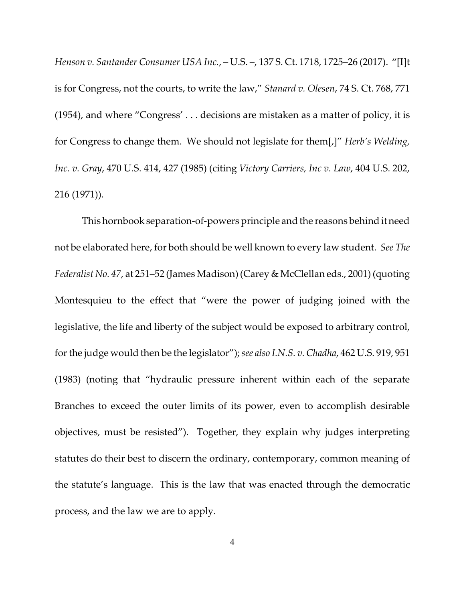*Henson v. Santander Consumer USA Inc.*, – U.S. –, 137 S. Ct. 1718, 1725–26 (2017). "[I]t is for Congress, not the courts, to write the law," *Stanard v. Olesen*, 74 S. Ct. 768, 771 (1954), and where "Congress' . . . decisions are mistaken as a matter of policy, it is for Congress to change them. We should not legislate for them[,]" *Herb's Welding, Inc. v. Gray*, 470 U.S. 414, 427 (1985) (citing *Victory Carriers, Inc v. Law*, 404 U.S. 202, 216 (1971)).

This hornbook separation-of-powers principle and the reasons behind it need not be elaborated here, for both should be well known to every law student. *See The Federalist No. 47*, at 251–52 (James Madison) (Carey & McClellan eds., 2001) (quoting Montesquieu to the effect that "were the power of judging joined with the legislative, the life and liberty of the subject would be exposed to arbitrary control, for the judge would then be the legislator"); *see also I.N.S. v. Chadha*, 462 U.S. 919, 951 (1983) (noting that "hydraulic pressure inherent within each of the separate Branches to exceed the outer limits of its power, even to accomplish desirable objectives, must be resisted"). Together, they explain why judges interpreting statutes do their best to discern the ordinary, contemporary, common meaning of the statute's language. This is the law that was enacted through the democratic process, and the law we are to apply.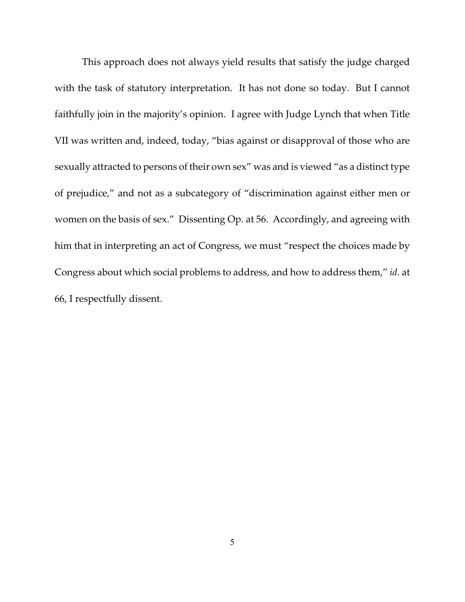This approach does not always yield results that satisfy the judge charged with the task of statutory interpretation. It has not done so today. But I cannot faithfully join in the majority's opinion. I agree with Judge Lynch that when Title VII was written and, indeed, today, "bias against or disapproval of those who are sexually attracted to persons of their own sex" was and is viewed "as a distinct type of prejudice," and not as a subcategory of "discrimination against either men or women on the basis of sex." Dissenting Op. at 56. Accordingly, and agreeing with him that in interpreting an act of Congress, we must "respect the choices made by Congress about which social problems to address, and how to address them," *id.* at 66, I respectfully dissent.